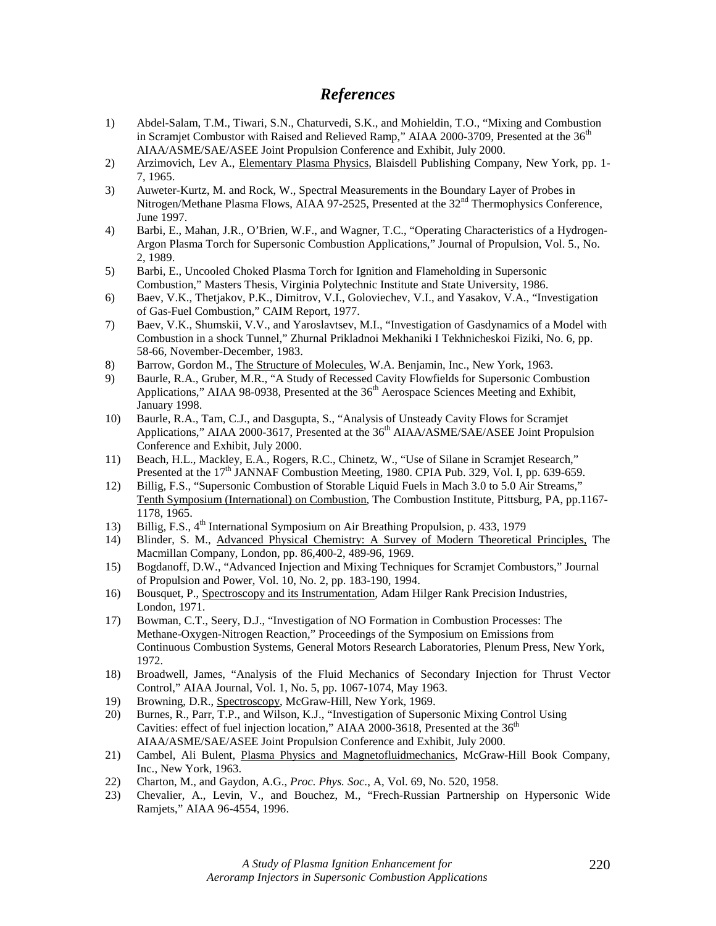# *References*

- 1) Abdel-Salam, T.M., Tiwari, S.N., Chaturvedi, S.K., and Mohieldin, T.O., "Mixing and Combustion in Scramjet Combustor with Raised and Relieved Ramp," AIAA 2000-3709, Presented at the  $36<sup>th</sup>$ AIAA/ASME/SAE/ASEE Joint Propulsion Conference and Exhibit, July 2000.
- 2) Arzimovich, Lev A., Elementary Plasma Physics, Blaisdell Publishing Company, New York, pp. 1- 7, 1965.
- 3) Auweter-Kurtz, M. and Rock, W., Spectral Measurements in the Boundary Layer of Probes in Nitrogen/Methane Plasma Flows, AIAA 97-2525, Presented at the 32<sup>nd</sup> Thermophysics Conference, June 1997.
- 4) Barbi, E., Mahan, J.R., O'Brien, W.F., and Wagner, T.C., "Operating Characteristics of a Hydrogen-Argon Plasma Torch for Supersonic Combustion Applications," Journal of Propulsion, Vol. 5., No. 2, 1989.
- 5) Barbi, E., Uncooled Choked Plasma Torch for Ignition and Flameholding in Supersonic Combustion," Masters Thesis, Virginia Polytechnic Institute and State University, 1986.
- 6) Baev, V.K., Thetjakov, P.K., Dimitrov, V.I., Goloviechev, V.I., and Yasakov, V.A., "Investigation of Gas-Fuel Combustion," CAIM Report, 1977.
- 7) Baev, V.K., Shumskii, V.V., and Yaroslavtsev, M.I., "Investigation of Gasdynamics of a Model with Combustion in a shock Tunnel," Zhurnal Prikladnoi Mekhaniki I Tekhnicheskoi Fiziki, No. 6, pp. 58-66, November-December, 1983.
- 8) Barrow, Gordon M., The Structure of Molecules, W.A. Benjamin, Inc., New York, 1963.
- 9) Baurle, R.A., Gruber, M.R., "A Study of Recessed Cavity Flowfields for Supersonic Combustion Applications," AIAA 98-0938, Presented at the 36<sup>th</sup> Aerospace Sciences Meeting and Exhibit, January 1998.
- 10) Baurle, R.A., Tam, C.J., and Dasgupta, S., "Analysis of Unsteady Cavity Flows for Scramjet Applications," AIAA 2000-3617, Presented at the 36<sup>th</sup> AIAA/ASME/SAE/ASEE Joint Propulsion Conference and Exhibit, July 2000.
- 11) Beach, H.L., Mackley, E.A., Rogers, R.C., Chinetz, W., "Use of Silane in Scramjet Research," Presented at the  $17<sup>th</sup>$  JANNAF Combustion Meeting, 1980. CPIA Pub. 329, Vol. I, pp. 639-659.
- 12) Billig, F.S., "Supersonic Combustion of Storable Liquid Fuels in Mach 3.0 to 5.0 Air Streams," Tenth Symposium (International) on Combustion, The Combustion Institute, Pittsburg, PA, pp.1167- 1178, 1965.
- 13) Billig, F.S.,  $4<sup>th</sup>$  International Symposium on Air Breathing Propulsion, p. 433, 1979
- 14) Blinder, S. M., Advanced Physical Chemistry: A Survey of Modern Theoretical Principles, The Macmillan Company, London, pp. 86,400-2, 489-96, 1969.
- 15) Bogdanoff, D.W., "Advanced Injection and Mixing Techniques for Scramjet Combustors," Journal of Propulsion and Power, Vol. 10, No. 2, pp. 183-190, 1994.
- 16) Bousquet, P., Spectroscopy and its Instrumentation, Adam Hilger Rank Precision Industries, London, 1971.
- 17) Bowman, C.T., Seery, D.J., "Investigation of NO Formation in Combustion Processes: The Methane-Oxygen-Nitrogen Reaction," Proceedings of the Symposium on Emissions from Continuous Combustion Systems, General Motors Research Laboratories, Plenum Press, New York, 1972.
- 18) Broadwell, James, "Analysis of the Fluid Mechanics of Secondary Injection for Thrust Vector Control," AIAA Journal, Vol. 1, No. 5, pp. 1067-1074, May 1963.
- 19) Browning, D.R., Spectroscopy, McGraw-Hill, New York, 1969.
- 20) Burnes, R., Parr, T.P., and Wilson, K.J., "Investigation of Supersonic Mixing Control Using Cavities: effect of fuel injection location," AIAA 2000-3618, Presented at the  $36<sup>th</sup>$ AIAA/ASME/SAE/ASEE Joint Propulsion Conference and Exhibit, July 2000.
- 21) Cambel, Ali Bulent, Plasma Physics and Magnetofluidmechanics, McGraw-Hill Book Company, Inc., New York, 1963.
- 22) Charton, M., and Gaydon, A.G., *Proc. Phys. Soc*., A, Vol. 69, No. 520, 1958.
- 23) Chevalier, A., Levin, V., and Bouchez, M., "Frech-Russian Partnership on Hypersonic Wide Ramjets," AIAA 96-4554, 1996.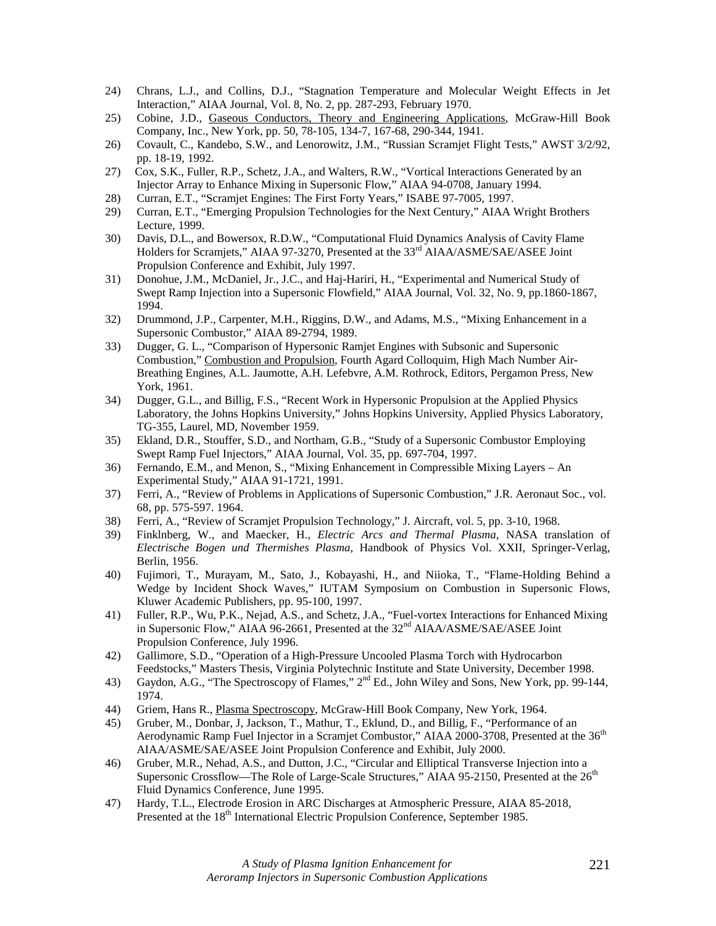- 24) Chrans, L.J., and Collins, D.J., "Stagnation Temperature and Molecular Weight Effects in Jet Interaction," AIAA Journal, Vol. 8, No. 2, pp. 287-293, February 1970.
- 25) Cobine, J.D., Gaseous Conductors, Theory and Engineering Applications, McGraw-Hill Book Company, Inc., New York, pp. 50, 78-105, 134-7, 167-68, 290-344, 1941.
- 26) Covault, C., Kandebo, S.W., and Lenorowitz, J.M., "Russian Scramjet Flight Tests," AWST 3/2/92, pp. 18-19, 1992.
- 27) Cox, S.K., Fuller, R.P., Schetz, J.A., and Walters, R.W., "Vortical Interactions Generated by an Injector Array to Enhance Mixing in Supersonic Flow," AIAA 94-0708, January 1994.
- 28) Curran, E.T., "Scramjet Engines: The First Forty Years," ISABE 97-7005, 1997.
- 29) Curran, E.T., "Emerging Propulsion Technologies for the Next Century," AIAA Wright Brothers Lecture, 1999.
- 30) Davis, D.L., and Bowersox, R.D.W., "Computational Fluid Dynamics Analysis of Cavity Flame Holders for Scramjets," AIAA 97-3270, Presented at the 33<sup>rd</sup> AIAA/ASME/SAE/ASEE Joint Propulsion Conference and Exhibit, July 1997.
- 31) Donohue, J.M., McDaniel, Jr., J.C., and Haj-Hariri, H., "Experimental and Numerical Study of Swept Ramp Injection into a Supersonic Flowfield," AIAA Journal, Vol. 32, No. 9, pp.1860-1867, 1994.
- 32) Drummond, J.P., Carpenter, M.H., Riggins, D.W., and Adams, M.S., "Mixing Enhancement in a Supersonic Combustor," AIAA 89-2794, 1989.
- 33) Dugger, G. L., "Comparison of Hypersonic Ramjet Engines with Subsonic and Supersonic Combustion," Combustion and Propulsion, Fourth Agard Colloquim, High Mach Number Air-Breathing Engines, A.L. Jaumotte, A.H. Lefebvre, A.M. Rothrock, Editors, Pergamon Press, New York, 1961.
- 34) Dugger, G.L., and Billig, F.S., "Recent Work in Hypersonic Propulsion at the Applied Physics Laboratory, the Johns Hopkins University," Johns Hopkins University, Applied Physics Laboratory, TG-355, Laurel, MD, November 1959.
- 35) Ekland, D.R., Stouffer, S.D., and Northam, G.B., "Study of a Supersonic Combustor Employing Swept Ramp Fuel Injectors," AIAA Journal, Vol. 35, pp. 697-704, 1997.
- 36) Fernando, E.M., and Menon, S., "Mixing Enhancement in Compressible Mixing Layers An Experimental Study," AIAA 91-1721, 1991.
- 37) Ferri, A., "Review of Problems in Applications of Supersonic Combustion," J.R. Aeronaut Soc., vol. 68, pp. 575-597. 1964.
- 38) Ferri, A., "Review of Scramjet Propulsion Technology," J. Aircraft, vol. 5, pp. 3-10, 1968.
- 39) Finklnberg, W., and Maecker, H., *Electric Arcs and Thermal Plasma,* NASA translation of *Electrische Bogen und Thermishes Plasma*, Handbook of Physics Vol. XXII, Springer-Verlag, Berlin, 1956.
- 40) Fujimori, T., Murayam, M., Sato, J., Kobayashi, H., and Niioka, T., "Flame-Holding Behind a Wedge by Incident Shock Waves," IUTAM Symposium on Combustion in Supersonic Flows, Kluwer Academic Publishers, pp. 95-100, 1997.
- 41) Fuller, R.P., Wu, P.K., Nejad, A.S., and Schetz, J.A., "Fuel-vortex Interactions for Enhanced Mixing in Supersonic Flow," AIAA 96-2661, Presented at the 32<sup>nd</sup> AIAA/ASME/SAE/ASEE Joint Propulsion Conference, July 1996.
- 42) Gallimore, S.D., "Operation of a High-Pressure Uncooled Plasma Torch with Hydrocarbon Feedstocks," Masters Thesis, Virginia Polytechnic Institute and State University, December 1998.
- 43) Gaydon, A.G., "The Spectroscopy of Flames,"  $2^{nd}$  Ed., John Wiley and Sons, New York, pp. 99-144, 1974.
- 44) Griem, Hans R., Plasma Spectroscopy, McGraw-Hill Book Company, New York, 1964.
- 45) Gruber, M., Donbar, J, Jackson, T., Mathur, T., Eklund, D., and Billig, F., "Performance of an Aerodynamic Ramp Fuel Injector in a Scramjet Combustor," AIAA 2000-3708, Presented at the 36<sup>th</sup> AIAA/ASME/SAE/ASEE Joint Propulsion Conference and Exhibit, July 2000.
- 46) Gruber, M.R., Nehad, A.S., and Dutton, J.C., "Circular and Elliptical Transverse Injection into a Supersonic Crossflow—The Role of Large-Scale Structures," AIAA 95-2150, Presented at the 26<sup>th</sup> Fluid Dynamics Conference, June 1995.
- 47) Hardy, T.L., Electrode Erosion in ARC Discharges at Atmospheric Pressure, AIAA 85-2018, Presented at the 18<sup>th</sup> International Electric Propulsion Conference, September 1985.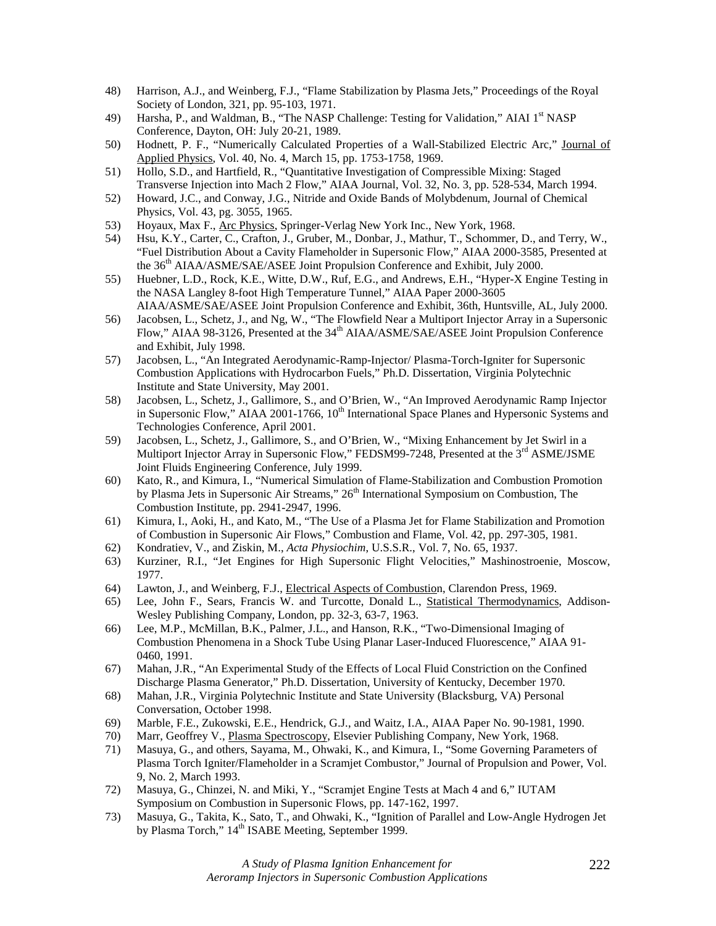- 48) Harrison, A.J., and Weinberg, F.J., "Flame Stabilization by Plasma Jets," Proceedings of the Royal Society of London, 321, pp. 95-103, 1971.
- 49) Harsha, P., and Waldman, B., "The NASP Challenge: Testing for Validation," AIAI 1st NASP Conference, Dayton, OH: July 20-21, 1989.
- 50) Hodnett, P. F., "Numerically Calculated Properties of a Wall-Stabilized Electric Arc," Journal of Applied Physics, Vol. 40, No. 4, March 15, pp. 1753-1758, 1969.
- 51) Hollo, S.D., and Hartfield, R., "Quantitative Investigation of Compressible Mixing: Staged Transverse Injection into Mach 2 Flow," AIAA Journal, Vol. 32, No. 3, pp. 528-534, March 1994.
- 52) Howard, J.C., and Conway, J.G., Nitride and Oxide Bands of Molybdenum, Journal of Chemical Physics, Vol. 43, pg. 3055, 1965.
- 53) Hoyaux, Max F., Arc Physics, Springer-Verlag New York Inc., New York, 1968.
- 54) Hsu, K.Y., Carter, C., Crafton, J., Gruber, M., Donbar, J., Mathur, T., Schommer, D., and Terry, W., "Fuel Distribution About a Cavity Flameholder in Supersonic Flow," AIAA 2000-3585, Presented at the 36<sup>th</sup> AIAA/ASME/SAE/ASEE Joint Propulsion Conference and Exhibit, July 2000.
- 55) Huebner, L.D., Rock, K.E., Witte, D.W., Ruf, E.G., and Andrews, E.H., "Hyper-X Engine Testing in the NASA Langley 8-foot High Temperature Tunnel," AIAA Paper 2000-3605 AIAA/ASME/SAE/ASEE Joint Propulsion Conference and Exhibit, 36th, Huntsville, AL, July 2000.
- 56) Jacobsen, L., Schetz, J., and Ng, W., "The Flowfield Near a Multiport Injector Array in a Supersonic Flow," AIAA 98-3126, Presented at the 34<sup>th</sup> AIAA/ASME/SAE/ASEE Joint Propulsion Conference and Exhibit, July 1998.
- 57) Jacobsen, L., "An Integrated Aerodynamic-Ramp-Injector/ Plasma-Torch-Igniter for Supersonic Combustion Applications with Hydrocarbon Fuels," Ph.D. Dissertation, Virginia Polytechnic Institute and State University, May 2001.
- 58) Jacobsen, L., Schetz, J., Gallimore, S., and O'Brien, W., "An Improved Aerodynamic Ramp Injector in Supersonic Flow," AIAA 2001-1766, 10<sup>th</sup> International Space Planes and Hypersonic Systems and Technologies Conference, April 2001.
- 59) Jacobsen, L., Schetz, J., Gallimore, S., and O'Brien, W., "Mixing Enhancement by Jet Swirl in a Multiport Injector Array in Supersonic Flow," FEDSM99-7248, Presented at the  $3<sup>rd</sup>$  ASME/JSME Joint Fluids Engineering Conference, July 1999.
- 60) Kato, R., and Kimura, I., "Numerical Simulation of Flame-Stabilization and Combustion Promotion by Plasma Jets in Supersonic Air Streams," 26<sup>th</sup> International Symposium on Combustion, The Combustion Institute, pp. 2941-2947, 1996.
- 61) Kimura, I., Aoki, H., and Kato, M., "The Use of a Plasma Jet for Flame Stabilization and Promotion of Combustion in Supersonic Air Flows," Combustion and Flame, Vol. 42, pp. 297-305, 1981.
- 62) Kondratiev, V., and Ziskin, M., *Acta Physiochim*, U.S.S.R., Vol. 7, No. 65, 1937.
- 63) Kurziner, R.I., "Jet Engines for High Supersonic Flight Velocities," Mashinostroenie, Moscow, 1977.
- 64) Lawton, J., and Weinberg, F.J., Electrical Aspects of Combustion, Clarendon Press, 1969.
- 65) Lee, John F., Sears, Francis W. and Turcotte, Donald L., Statistical Thermodynamics, Addison-Wesley Publishing Company, London, pp. 32-3, 63-7, 1963.
- 66) Lee, M.P., McMillan, B.K., Palmer, J.L., and Hanson, R.K., "Two-Dimensional Imaging of Combustion Phenomena in a Shock Tube Using Planar Laser-Induced Fluorescence," AIAA 91- 0460, 1991.
- 67) Mahan, J.R., "An Experimental Study of the Effects of Local Fluid Constriction on the Confined Discharge Plasma Generator," Ph.D. Dissertation, University of Kentucky, December 1970.
- 68) Mahan, J.R., Virginia Polytechnic Institute and State University (Blacksburg, VA) Personal Conversation, October 1998.
- 69) Marble, F.E., Zukowski, E.E., Hendrick, G.J., and Waitz, I.A., AIAA Paper No. 90-1981, 1990.
- 70) Marr, Geoffrey V., Plasma Spectroscopy, Elsevier Publishing Company, New York, 1968.
- 71) Masuya, G., and others, Sayama, M., Ohwaki, K., and Kimura, I., "Some Governing Parameters of Plasma Torch Igniter/Flameholder in a Scramjet Combustor," Journal of Propulsion and Power, Vol. 9, No. 2, March 1993.
- 72) Masuya, G., Chinzei, N. and Miki, Y., "Scramjet Engine Tests at Mach 4 and 6," IUTAM Symposium on Combustion in Supersonic Flows, pp. 147-162, 1997.
- 73) Masuya, G., Takita, K., Sato, T., and Ohwaki, K., "Ignition of Parallel and Low-Angle Hydrogen Jet by Plasma Torch," 14<sup>th</sup> ISABE Meeting, September 1999.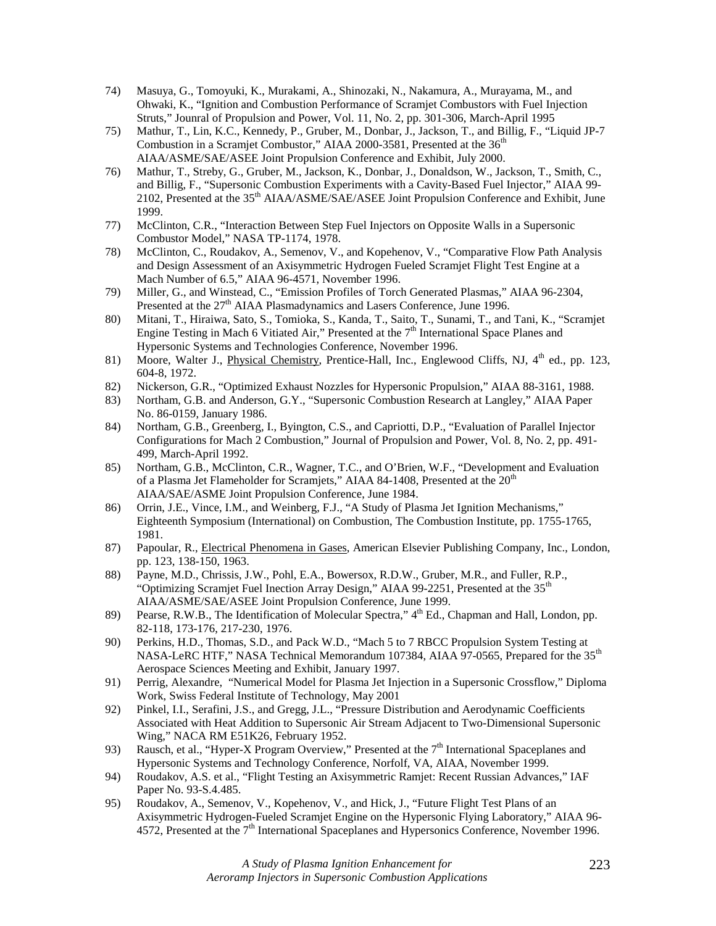- 74) Masuya, G., Tomoyuki, K., Murakami, A., Shinozaki, N., Nakamura, A., Murayama, M., and Ohwaki, K., "Ignition and Combustion Performance of Scramjet Combustors with Fuel Injection Struts," Jounral of Propulsion and Power, Vol. 11, No. 2, pp. 301-306, March-April 1995
- 75) Mathur, T., Lin, K.C., Kennedy, P., Gruber, M., Donbar, J., Jackson, T., and Billig, F., "Liquid JP-7 Combustion in a Scramjet Combustor," AIAA 2000-3581, Presented at the  $36<sup>th</sup>$ AIAA/ASME/SAE/ASEE Joint Propulsion Conference and Exhibit, July 2000.
- 76) Mathur, T., Streby, G., Gruber, M., Jackson, K., Donbar, J., Donaldson, W., Jackson, T., Smith, C., and Billig, F., "Supersonic Combustion Experiments with a Cavity-Based Fuel Injector," AIAA 99- 2102, Presented at the 35<sup>th</sup> AIAA/ASME/SAE/ASEE Joint Propulsion Conference and Exhibit, June 1999.
- 77) McClinton, C.R., "Interaction Between Step Fuel Injectors on Opposite Walls in a Supersonic Combustor Model," NASA TP-1174, 1978.
- 78) McClinton, C., Roudakov, A., Semenov, V., and Kopehenov, V., "Comparative Flow Path Analysis and Design Assessment of an Axisymmetric Hydrogen Fueled Scramjet Flight Test Engine at a Mach Number of 6.5," AIAA 96-4571, November 1996.
- 79) Miller, G., and Winstead, C., "Emission Profiles of Torch Generated Plasmas," AIAA 96-2304, Presented at the 27<sup>th</sup> AIAA Plasmadynamics and Lasers Conference, June 1996.
- 80) Mitani, T., Hiraiwa, Sato, S., Tomioka, S., Kanda, T., Saito, T., Sunami, T., and Tani, K., "Scramjet Engine Testing in Mach 6 Vitiated Air," Presented at the  $7<sup>th</sup>$  International Space Planes and Hypersonic Systems and Technologies Conference, November 1996.
- 81) Moore, Walter J., Physical Chemistry, Prentice-Hall, Inc., Englewood Cliffs, NJ, 4<sup>th</sup> ed., pp. 123, 604-8, 1972.
- 82) Nickerson, G.R., "Optimized Exhaust Nozzles for Hypersonic Propulsion," AIAA 88-3161, 1988.
- 83) Northam, G.B. and Anderson, G.Y., "Supersonic Combustion Research at Langley," AIAA Paper No. 86-0159, January 1986.
- 84) Northam, G.B., Greenberg, I., Byington, C.S., and Capriotti, D.P., "Evaluation of Parallel Injector Configurations for Mach 2 Combustion," Journal of Propulsion and Power, Vol. 8, No. 2, pp. 491- 499, March-April 1992.
- 85) Northam, G.B., McClinton, C.R., Wagner, T.C., and O'Brien, W.F., "Development and Evaluation of a Plasma Jet Flameholder for Scramjets," AIAA 84-1408, Presented at the  $20<sup>th</sup>$ AIAA/SAE/ASME Joint Propulsion Conference, June 1984.
- 86) Orrin, J.E., Vince, I.M., and Weinberg, F.J., "A Study of Plasma Jet Ignition Mechanisms," Eighteenth Symposium (International) on Combustion, The Combustion Institute, pp. 1755-1765, 1981.
- 87) Papoular, R., Electrical Phenomena in Gases, American Elsevier Publishing Company, Inc., London, pp. 123, 138-150, 1963.
- 88) Payne, M.D., Chrissis, J.W., Pohl, E.A., Bowersox, R.D.W., Gruber, M.R., and Fuller, R.P., "Optimizing Scramjet Fuel Inection Array Design," AIAA 99-2251, Presented at the  $35<sup>th</sup>$ AIAA/ASME/SAE/ASEE Joint Propulsion Conference, June 1999.
- 89) Pearse, R.W.B., The Identification of Molecular Spectra,"  $4<sup>th</sup>$  Ed., Chapman and Hall, London, pp. 82-118, 173-176, 217-230, 1976.
- 90) Perkins, H.D., Thomas, S.D., and Pack W.D., "Mach 5 to 7 RBCC Propulsion System Testing at NASA-LeRC HTF," NASA Technical Memorandum 107384, AIAA 97-0565, Prepared for the 35<sup>th</sup> Aerospace Sciences Meeting and Exhibit, January 1997.
- 91) Perrig, Alexandre, "Numerical Model for Plasma Jet Injection in a Supersonic Crossflow," Diploma Work, Swiss Federal Institute of Technology, May 2001
- 92) Pinkel, I.I., Serafini, J.S., and Gregg, J.L., "Pressure Distribution and Aerodynamic Coefficients Associated with Heat Addition to Supersonic Air Stream Adjacent to Two-Dimensional Supersonic Wing," NACA RM E51K26, February 1952.
- 93) Rausch, et al., "Hyper-X Program Overview," Presented at the 7<sup>th</sup> International Spaceplanes and Hypersonic Systems and Technology Conference, Norfolf, VA, AIAA, November 1999.
- 94) Roudakov, A.S. et al., "Flight Testing an Axisymmetric Ramjet: Recent Russian Advances," IAF Paper No. 93-S.4.485.
- 95) Roudakov, A., Semenov, V., Kopehenov, V., and Hick, J., "Future Flight Test Plans of an Axisymmetric Hydrogen-Fueled Scramjet Engine on the Hypersonic Flying Laboratory," AIAA 96- 4572, Presented at the 7<sup>th</sup> International Spaceplanes and Hypersonics Conference, November 1996.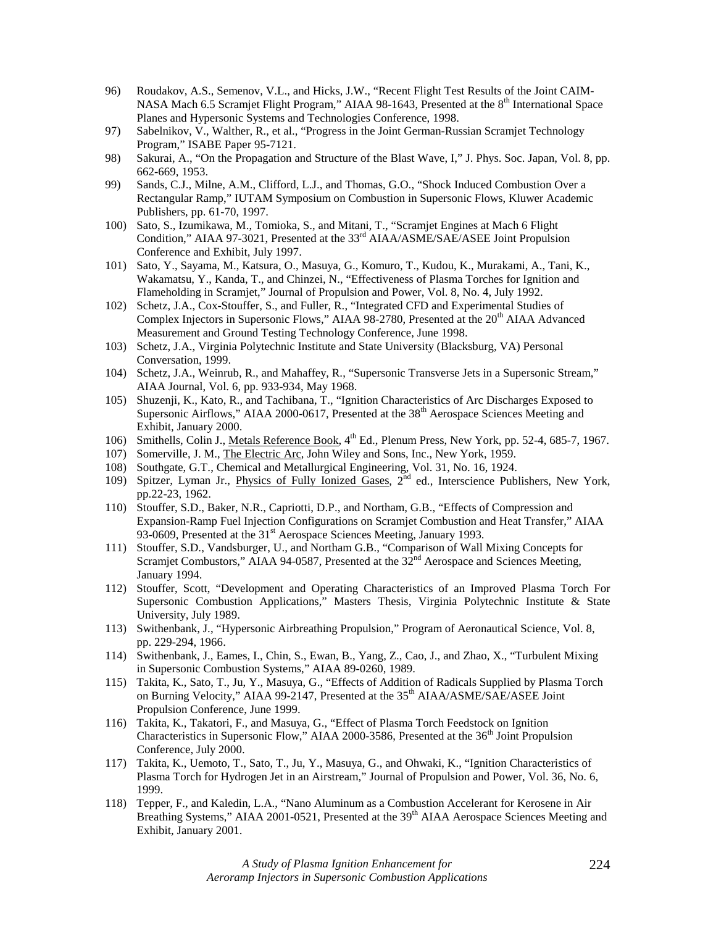- 96) Roudakov, A.S., Semenov, V.L., and Hicks, J.W., "Recent Flight Test Results of the Joint CAIM-NASA Mach 6.5 Scramjet Flight Program," AIAA 98-1643, Presented at the  $8<sup>th</sup>$  International Space Planes and Hypersonic Systems and Technologies Conference, 1998.
- 97) Sabelnikov, V., Walther, R., et al., "Progress in the Joint German-Russian Scramjet Technology Program," ISABE Paper 95-7121.
- 98) Sakurai, A., "On the Propagation and Structure of the Blast Wave, I," J. Phys. Soc. Japan, Vol. 8, pp. 662-669, 1953.
- 99) Sands, C.J., Milne, A.M., Clifford, L.J., and Thomas, G.O., "Shock Induced Combustion Over a Rectangular Ramp," IUTAM Symposium on Combustion in Supersonic Flows, Kluwer Academic Publishers, pp. 61-70, 1997.
- 100) Sato, S., Izumikawa, M., Tomioka, S., and Mitani, T., "Scramjet Engines at Mach 6 Flight Condition," AIAA 97-3021, Presented at the 33<sup>rd</sup> AIAA/ASME/SAE/ASEE Joint Propulsion Conference and Exhibit, July 1997.
- 101) Sato, Y., Sayama, M., Katsura, O., Masuya, G., Komuro, T., Kudou, K., Murakami, A., Tani, K., Wakamatsu, Y., Kanda, T., and Chinzei, N., "Effectiveness of Plasma Torches for Ignition and Flameholding in Scramjet," Journal of Propulsion and Power, Vol. 8, No. 4, July 1992.
- 102) Schetz, J.A., Cox-Stouffer, S., and Fuller, R., "Integrated CFD and Experimental Studies of Complex Injectors in Supersonic Flows," AIAA 98-2780, Presented at the  $20<sup>th</sup>$  AIAA Advanced Measurement and Ground Testing Technology Conference, June 1998.
- 103) Schetz, J.A., Virginia Polytechnic Institute and State University (Blacksburg, VA) Personal Conversation, 1999.
- 104) Schetz, J.A., Weinrub, R., and Mahaffey, R., "Supersonic Transverse Jets in a Supersonic Stream," AIAA Journal, Vol. 6, pp. 933-934, May 1968.
- 105) Shuzenji, K., Kato, R., and Tachibana, T., "Ignition Characteristics of Arc Discharges Exposed to Supersonic Airflows," AIAA 2000-0617, Presented at the 38<sup>th</sup> Aerospace Sciences Meeting and Exhibit, January 2000.
- 106) Smithells, Colin J., Metals Reference Book, 4<sup>th</sup> Ed., Plenum Press, New York, pp. 52-4, 685-7, 1967.
- 107) Somerville, J. M., The Electric Arc, John Wiley and Sons, Inc., New York, 1959.
- 108) Southgate, G.T., Chemical and Metallurgical Engineering, Vol. 31, No. 16, 1924.
- 109) Spitzer, Lyman Jr., *Physics of Fully Ionized Gases*, 2<sup>nd</sup> ed., Interscience Publishers, New York, pp.22-23, 1962.
- 110) Stouffer, S.D., Baker, N.R., Capriotti, D.P., and Northam, G.B., "Effects of Compression and Expansion-Ramp Fuel Injection Configurations on Scramjet Combustion and Heat Transfer," AIAA 93-0609, Presented at the 31<sup>st</sup> Aerospace Sciences Meeting, January 1993.
- 111) Stouffer, S.D., Vandsburger, U., and Northam G.B., "Comparison of Wall Mixing Concepts for Scramjet Combustors," AIAA 94-0587, Presented at the  $32<sup>nd</sup>$  Aerospace and Sciences Meeting, January 1994.
- 112) Stouffer, Scott, "Development and Operating Characteristics of an Improved Plasma Torch For Supersonic Combustion Applications," Masters Thesis, Virginia Polytechnic Institute & State University, July 1989.
- 113) Swithenbank, J., "Hypersonic Airbreathing Propulsion," Program of Aeronautical Science, Vol. 8, pp. 229-294, 1966.
- 114) Swithenbank, J., Eames, I., Chin, S., Ewan, B., Yang, Z., Cao, J., and Zhao, X., "Turbulent Mixing in Supersonic Combustion Systems," AIAA 89-0260, 1989.
- 115) Takita, K., Sato, T., Ju, Y., Masuya, G., "Effects of Addition of Radicals Supplied by Plasma Torch on Burning Velocity," AIAA 99-2147, Presented at the 35<sup>th</sup> AIAA/ASME/SAE/ASEE Joint Propulsion Conference, June 1999.
- 116) Takita, K., Takatori, F., and Masuya, G., "Effect of Plasma Torch Feedstock on Ignition Characteristics in Supersonic Flow," AIAA 2000-3586, Presented at the  $36<sup>th</sup>$  Joint Propulsion Conference, July 2000.
- 117) Takita, K., Uemoto, T., Sato, T., Ju, Y., Masuya, G., and Ohwaki, K., "Ignition Characteristics of Plasma Torch for Hydrogen Jet in an Airstream," Journal of Propulsion and Power, Vol. 36, No. 6, 1999.
- 118) Tepper, F., and Kaledin, L.A., "Nano Aluminum as a Combustion Accelerant for Kerosene in Air Breathing Systems," AIAA 2001-0521, Presented at the 39<sup>th</sup> AIAA Aerospace Sciences Meeting and Exhibit, January 2001.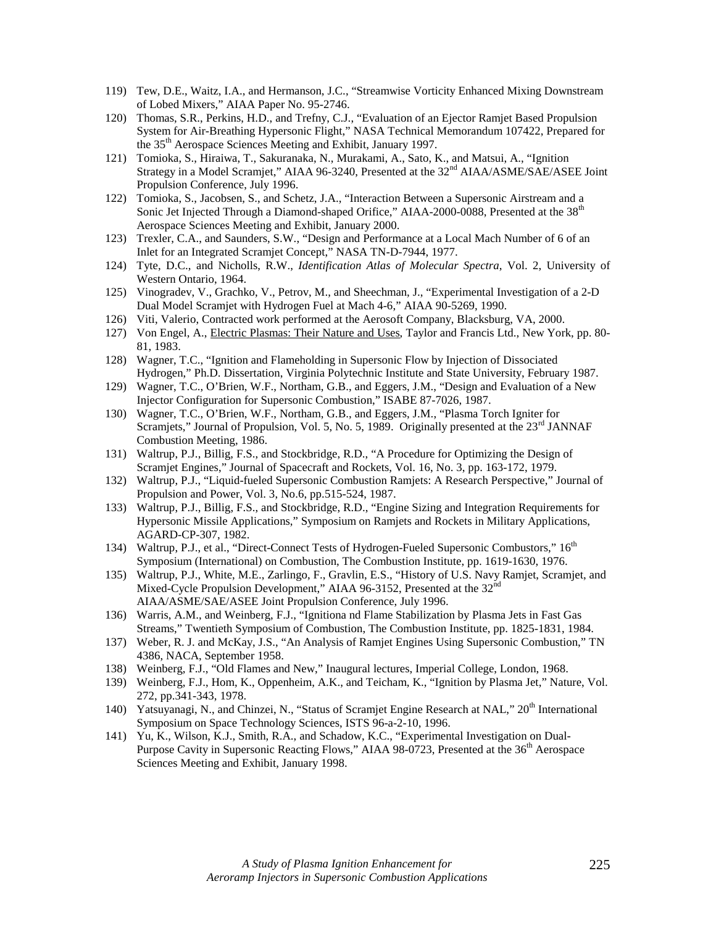- 119) Tew, D.E., Waitz, I.A., and Hermanson, J.C., "Streamwise Vorticity Enhanced Mixing Downstream of Lobed Mixers," AIAA Paper No. 95-2746.
- 120) Thomas, S.R., Perkins, H.D., and Trefny, C.J., "Evaluation of an Ejector Ramjet Based Propulsion System for Air-Breathing Hypersonic Flight," NASA Technical Memorandum 107422, Prepared for the 35th Aerospace Sciences Meeting and Exhibit, January 1997.
- 121) Tomioka, S., Hiraiwa, T., Sakuranaka, N., Murakami, A., Sato, K., and Matsui, A., "Ignition Strategy in a Model Scramjet," AIAA 96-3240, Presented at the 32<sup>nd</sup> AIAA/ASME/SAE/ASEE Joint Propulsion Conference, July 1996.
- 122) Tomioka, S., Jacobsen, S., and Schetz, J.A., "Interaction Between a Supersonic Airstream and a Sonic Jet Injected Through a Diamond-shaped Orifice," AIAA-2000-0088, Presented at the 38<sup>th</sup> Aerospace Sciences Meeting and Exhibit, January 2000.
- 123) Trexler, C.A., and Saunders, S.W., "Design and Performance at a Local Mach Number of 6 of an Inlet for an Integrated Scramjet Concept," NASA TN-D-7944, 1977.
- 124) Tyte, D.C., and Nicholls, R.W., *Identification Atlas of Molecular Spectra*, Vol. 2, University of Western Ontario, 1964.
- 125) Vinogradev, V., Grachko, V., Petrov, M., and Sheechman, J., "Experimental Investigation of a 2-D Dual Model Scramjet with Hydrogen Fuel at Mach 4-6," AIAA 90-5269, 1990.
- 126) Viti, Valerio, Contracted work performed at the Aerosoft Company, Blacksburg, VA, 2000.
- 127) Von Engel, A., Electric Plasmas: Their Nature and Uses, Taylor and Francis Ltd., New York, pp. 80- 81, 1983.
- 128) Wagner, T.C., "Ignition and Flameholding in Supersonic Flow by Injection of Dissociated Hydrogen," Ph.D. Dissertation, Virginia Polytechnic Institute and State University, February 1987.
- 129) Wagner, T.C., O'Brien, W.F., Northam, G.B., and Eggers, J.M., "Design and Evaluation of a New Injector Configuration for Supersonic Combustion," ISABE 87-7026, 1987.
- 130) Wagner, T.C., O'Brien, W.F., Northam, G.B., and Eggers, J.M., "Plasma Torch Igniter for Scramjets," Journal of Propulsion, Vol. 5, No. 5, 1989. Originally presented at the 23<sup>rd</sup> JANNAF Combustion Meeting, 1986.
- 131) Waltrup, P.J., Billig, F.S., and Stockbridge, R.D., "A Procedure for Optimizing the Design of Scramjet Engines," Journal of Spacecraft and Rockets, Vol. 16, No. 3, pp. 163-172, 1979.
- 132) Waltrup, P.J., "Liquid-fueled Supersonic Combustion Ramjets: A Research Perspective," Journal of Propulsion and Power, Vol. 3, No.6, pp.515-524, 1987.
- 133) Waltrup, P.J., Billig, F.S., and Stockbridge, R.D., "Engine Sizing and Integration Requirements for Hypersonic Missile Applications," Symposium on Ramjets and Rockets in Military Applications, AGARD-CP-307, 1982.
- 134) Waltrup, P.J., et al., "Direct-Connect Tests of Hydrogen-Fueled Supersonic Combustors,"  $16<sup>th</sup>$ Symposium (International) on Combustion, The Combustion Institute, pp. 1619-1630, 1976.
- 135) Waltrup, P.J., White, M.E., Zarlingo, F., Gravlin, E.S., "History of U.S. Navy Ramjet, Scramjet, and Mixed-Cycle Propulsion Development," AIAA 96-3152, Presented at the 32<sup>nd</sup> AIAA/ASME/SAE/ASEE Joint Propulsion Conference, July 1996.
- 136) Warris, A.M., and Weinberg, F.J., "Ignitiona nd Flame Stabilization by Plasma Jets in Fast Gas Streams," Twentieth Symposium of Combustion, The Combustion Institute, pp. 1825-1831, 1984.
- 137) Weber, R. J. and McKay, J.S., "An Analysis of Ramjet Engines Using Supersonic Combustion," TN 4386, NACA, September 1958.
- 138) Weinberg, F.J., "Old Flames and New," Inaugural lectures, Imperial College, London, 1968.
- 139) Weinberg, F.J., Hom, K., Oppenheim, A.K., and Teicham, K., "Ignition by Plasma Jet," Nature, Vol. 272, pp.341-343, 1978.
- 140) Yatsuyanagi, N., and Chinzei, N., "Status of Scramjet Engine Research at NAL," 20<sup>th</sup> International Symposium on Space Technology Sciences, ISTS 96-a-2-10, 1996.
- 141) Yu, K., Wilson, K.J., Smith, R.A., and Schadow, K.C., "Experimental Investigation on Dual-Purpose Cavity in Supersonic Reacting Flows," AIAA 98-0723, Presented at the 36<sup>th</sup> Aerospace Sciences Meeting and Exhibit, January 1998.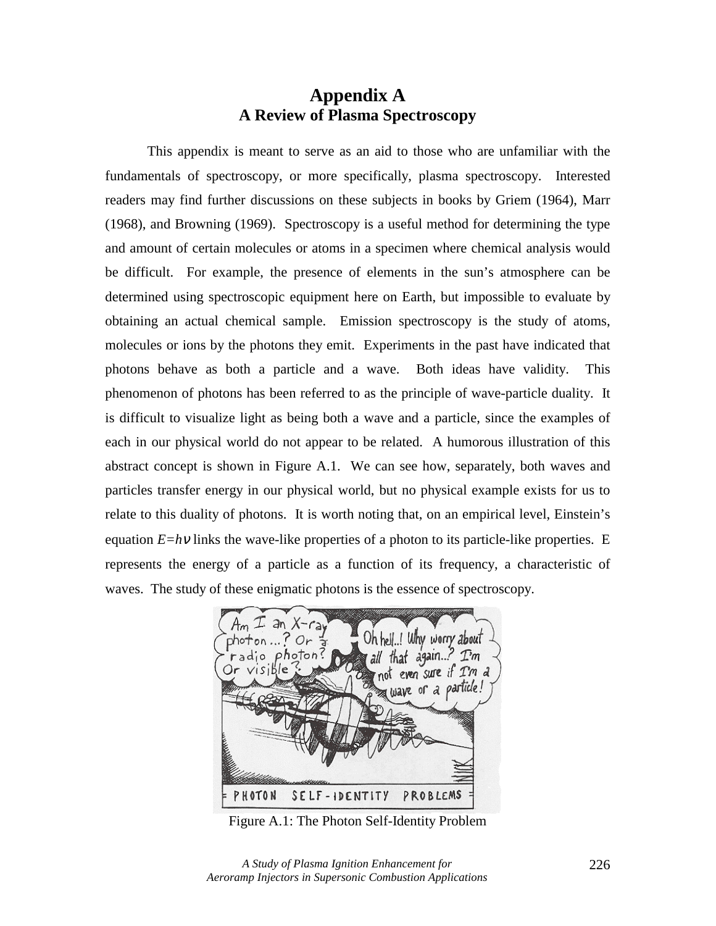# **Appendix A A Review of Plasma Spectroscopy**

This appendix is meant to serve as an aid to those who are unfamiliar with the fundamentals of spectroscopy, or more specifically, plasma spectroscopy. Interested readers may find further discussions on these subjects in books by Griem (1964), Marr (1968), and Browning (1969). Spectroscopy is a useful method for determining the type and amount of certain molecules or atoms in a specimen where chemical analysis would be difficult. For example, the presence of elements in the sun's atmosphere can be determined using spectroscopic equipment here on Earth, but impossible to evaluate by obtaining an actual chemical sample. Emission spectroscopy is the study of atoms, molecules or ions by the photons they emit. Experiments in the past have indicated that photons behave as both a particle and a wave. Both ideas have validity. This phenomenon of photons has been referred to as the principle of wave-particle duality. It is difficult to visualize light as being both a wave and a particle, since the examples of each in our physical world do not appear to be related. A humorous illustration of this abstract concept is shown in Figure A.1. We can see how, separately, both waves and particles transfer energy in our physical world, but no physical example exists for us to relate to this duality of photons. It is worth noting that, on an empirical level, Einstein's equation *E=hv* links the wave-like properties of a photon to its particle-like properties. E represents the energy of a particle as a function of its frequency, a characteristic of waves. The study of these enigmatic photons is the essence of spectroscopy.



Figure A.1: The Photon Self-Identity Problem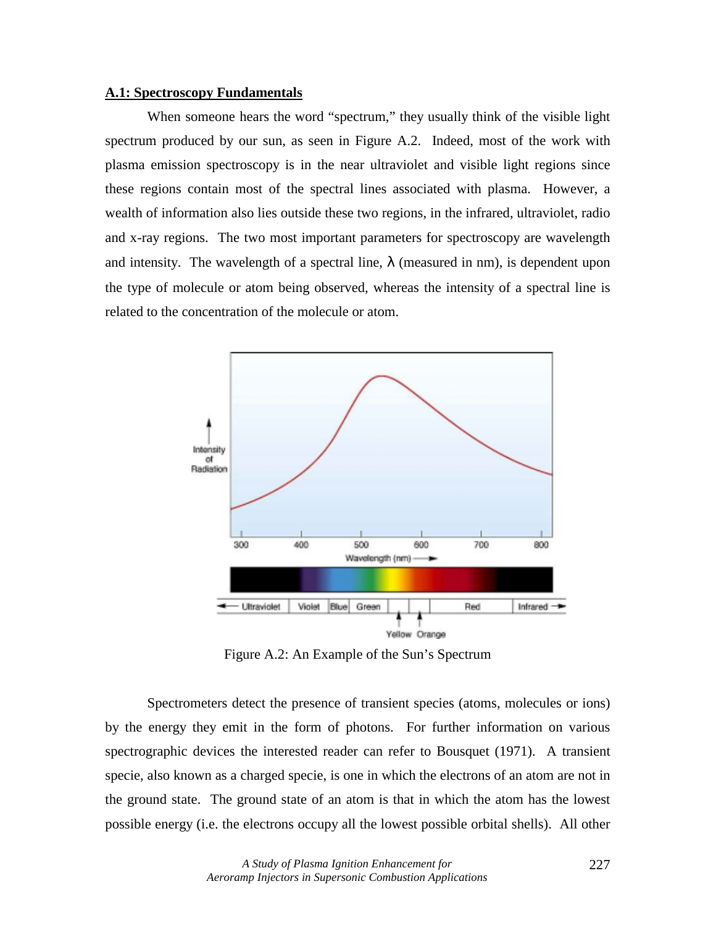# **A.1: Spectroscopy Fundamentals**

When someone hears the word "spectrum," they usually think of the visible light spectrum produced by our sun, as seen in Figure A.2. Indeed, most of the work with plasma emission spectroscopy is in the near ultraviolet and visible light regions since these regions contain most of the spectral lines associated with plasma. However, a wealth of information also lies outside these two regions, in the infrared, ultraviolet, radio and x-ray regions. The two most important parameters for spectroscopy are wavelength and intensity. The wavelength of a spectral line,  $\lambda$  (measured in nm), is dependent upon the type of molecule or atom being observed, whereas the intensity of a spectral line is related to the concentration of the molecule or atom.



Figure A.2: An Example of the Sun's Spectrum

Spectrometers detect the presence of transient species (atoms, molecules or ions) by the energy they emit in the form of photons. For further information on various spectrographic devices the interested reader can refer to Bousquet (1971). A transient specie, also known as a charged specie, is one in which the electrons of an atom are not in the ground state. The ground state of an atom is that in which the atom has the lowest possible energy (i.e. the electrons occupy all the lowest possible orbital shells). All other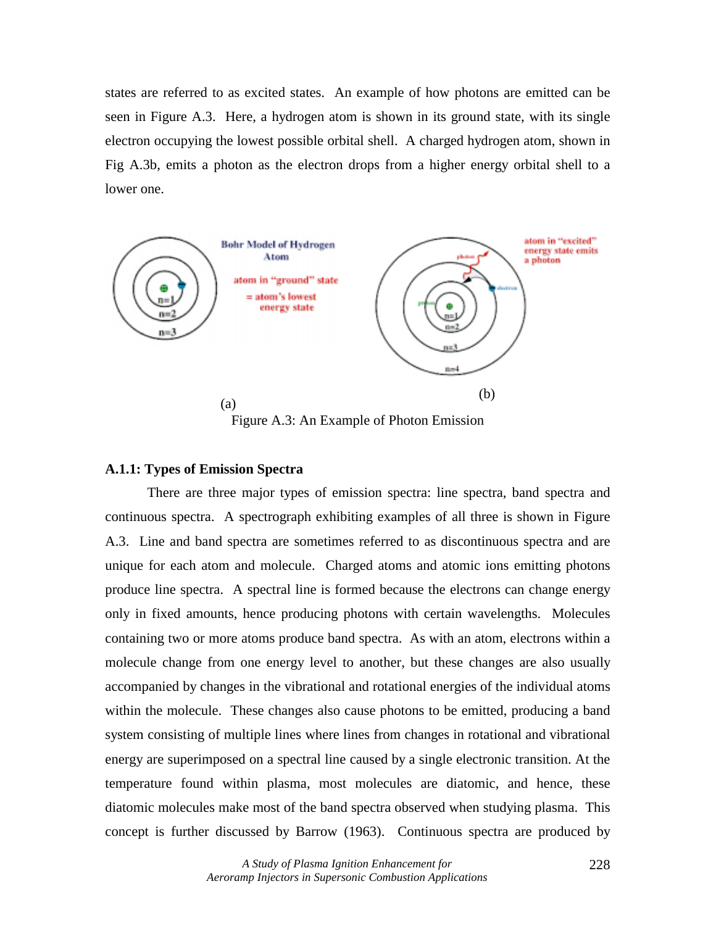states are referred to as excited states. An example of how photons are emitted can be seen in Figure A.3. Here, a hydrogen atom is shown in its ground state, with its single electron occupying the lowest possible orbital shell. A charged hydrogen atom, shown in Fig A.3b, emits a photon as the electron drops from a higher energy orbital shell to a lower one.



Figure A.3: An Example of Photon Emission

### **A.1.1: Types of Emission Spectra**

 There are three major types of emission spectra: line spectra, band spectra and continuous spectra. A spectrograph exhibiting examples of all three is shown in Figure A.3. Line and band spectra are sometimes referred to as discontinuous spectra and are unique for each atom and molecule. Charged atoms and atomic ions emitting photons produce line spectra. A spectral line is formed because the electrons can change energy only in fixed amounts, hence producing photons with certain wavelengths. Molecules containing two or more atoms produce band spectra. As with an atom, electrons within a molecule change from one energy level to another, but these changes are also usually accompanied by changes in the vibrational and rotational energies of the individual atoms within the molecule. These changes also cause photons to be emitted, producing a band system consisting of multiple lines where lines from changes in rotational and vibrational energy are superimposed on a spectral line caused by a single electronic transition. At the temperature found within plasma, most molecules are diatomic, and hence, these diatomic molecules make most of the band spectra observed when studying plasma. This concept is further discussed by Barrow (1963). Continuous spectra are produced by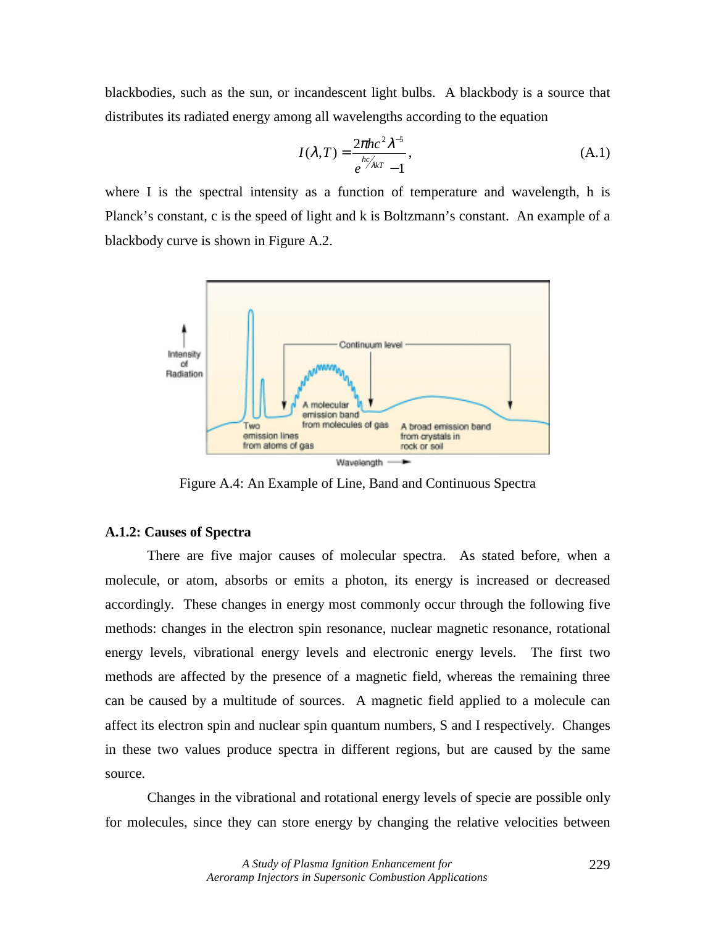blackbodies, such as the sun, or incandescent light bulbs. A blackbody is a source that distributes its radiated energy among all wavelengths according to the equation

$$
I(\lambda, T) = \frac{2\pi hc^2 \lambda^{-5}}{e^{hc/\lambda kT} - 1},
$$
\n(A.1)

where I is the spectral intensity as a function of temperature and wavelength, h is Planck's constant, c is the speed of light and k is Boltzmann's constant. An example of a blackbody curve is shown in Figure A.2.



Figure A.4: An Example of Line, Band and Continuous Spectra

### **A.1.2: Causes of Spectra**

 There are five major causes of molecular spectra. As stated before, when a molecule, or atom, absorbs or emits a photon, its energy is increased or decreased accordingly. These changes in energy most commonly occur through the following five methods: changes in the electron spin resonance, nuclear magnetic resonance, rotational energy levels, vibrational energy levels and electronic energy levels. The first two methods are affected by the presence of a magnetic field, whereas the remaining three can be caused by a multitude of sources. A magnetic field applied to a molecule can affect its electron spin and nuclear spin quantum numbers, S and I respectively. Changes in these two values produce spectra in different regions, but are caused by the same source.

Changes in the vibrational and rotational energy levels of specie are possible only for molecules, since they can store energy by changing the relative velocities between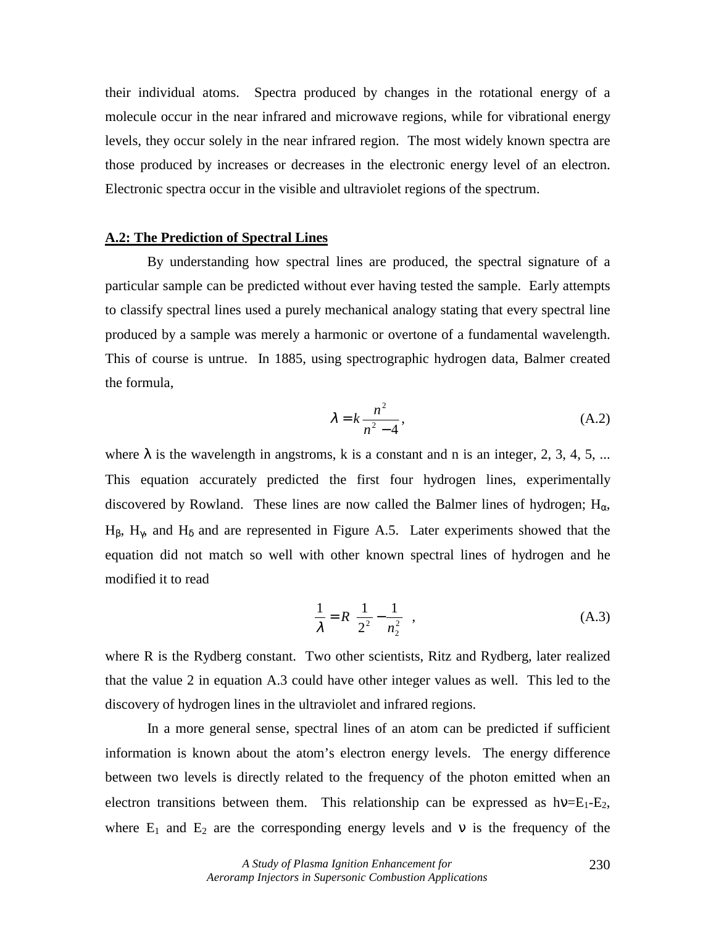their individual atoms. Spectra produced by changes in the rotational energy of a molecule occur in the near infrared and microwave regions, while for vibrational energy levels, they occur solely in the near infrared region. The most widely known spectra are those produced by increases or decreases in the electronic energy level of an electron. Electronic spectra occur in the visible and ultraviolet regions of the spectrum.

# **A.2: The Prediction of Spectral Lines**

 By understanding how spectral lines are produced, the spectral signature of a particular sample can be predicted without ever having tested the sample. Early attempts to classify spectral lines used a purely mechanical analogy stating that every spectral line produced by a sample was merely a harmonic or overtone of a fundamental wavelength. This of course is untrue. In 1885, using spectrographic hydrogen data, Balmer created the formula,

$$
\lambda = k \frac{n^2}{n^2 - 4},\tag{A.2}
$$

where  $\lambda$  is the wavelength in angstroms, k is a constant and n is an integer, 2, 3, 4, 5, ... This equation accurately predicted the first four hydrogen lines, experimentally discovered by Rowland. These lines are now called the Balmer lines of hydrogen;  $H_{\alpha}$ , H<sub>β</sub>, H<sub>γ</sub>, and H<sub>δ</sub> and are represented in Figure A.5. Later experiments showed that the equation did not match so well with other known spectral lines of hydrogen and he modified it to read

$$
\frac{1}{\lambda} = R \left( \frac{1}{2^2} - \frac{1}{n_2^2} \right),
$$
 (A.3)

where R is the Rydberg constant. Two other scientists, Ritz and Rydberg, later realized that the value 2 in equation A.3 could have other integer values as well. This led to the discovery of hydrogen lines in the ultraviolet and infrared regions.

In a more general sense, spectral lines of an atom can be predicted if sufficient information is known about the atom's electron energy levels. The energy difference between two levels is directly related to the frequency of the photon emitted when an electron transitions between them. This relationship can be expressed as  $hv=E_1-E_2$ , where  $E_1$  and  $E_2$  are the corresponding energy levels and v is the frequency of the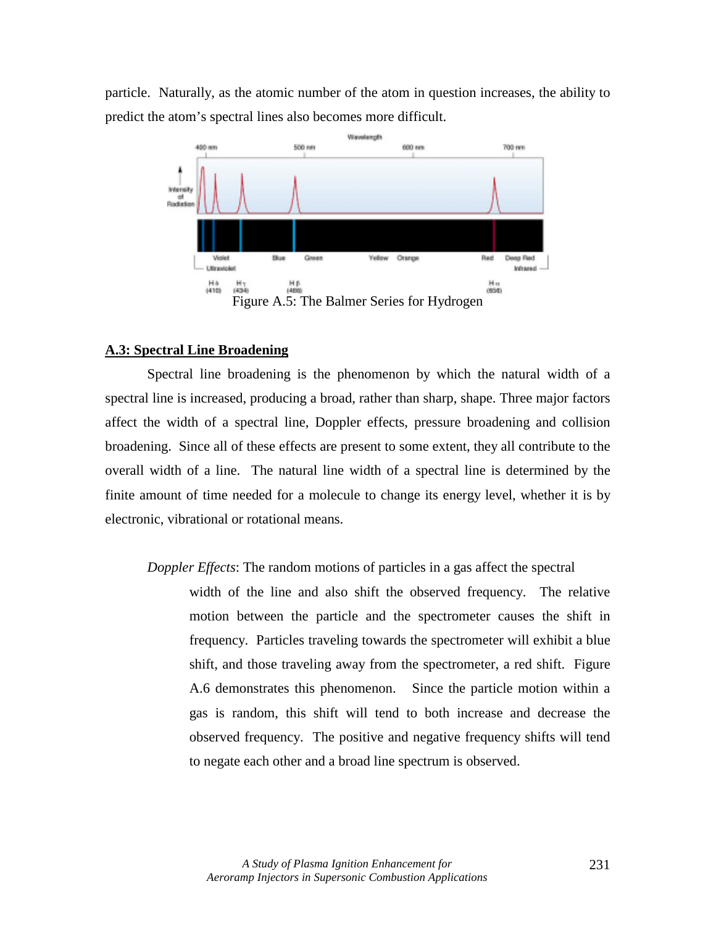particle. Naturally, as the atomic number of the atom in question increases, the ability to predict the atom's spectral lines also becomes more difficult.



# **A.3: Spectral Line Broadening**

 Spectral line broadening is the phenomenon by which the natural width of a spectral line is increased, producing a broad, rather than sharp, shape. Three major factors affect the width of a spectral line, Doppler effects, pressure broadening and collision broadening. Since all of these effects are present to some extent, they all contribute to the overall width of a line. The natural line width of a spectral line is determined by the finite amount of time needed for a molecule to change its energy level, whether it is by electronic, vibrational or rotational means.

# *Doppler Effects*: The random motions of particles in a gas affect the spectral

width of the line and also shift the observed frequency. The relative motion between the particle and the spectrometer causes the shift in frequency. Particles traveling towards the spectrometer will exhibit a blue shift, and those traveling away from the spectrometer, a red shift. Figure A.6 demonstrates this phenomenon. Since the particle motion within a gas is random, this shift will tend to both increase and decrease the observed frequency. The positive and negative frequency shifts will tend to negate each other and a broad line spectrum is observed.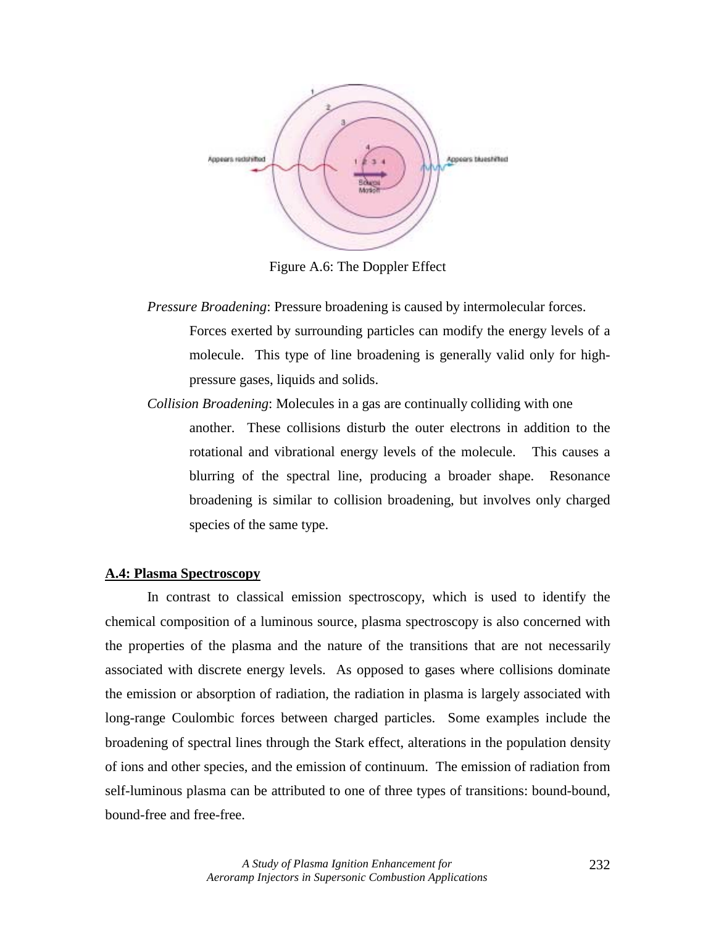

Figure A.6: The Doppler Effect

- *Pressure Broadening*: Pressure broadening is caused by intermolecular forces. Forces exerted by surrounding particles can modify the energy levels of a molecule. This type of line broadening is generally valid only for highpressure gases, liquids and solids.
- *Collision Broadening*: Molecules in a gas are continually colliding with one another. These collisions disturb the outer electrons in addition to the rotational and vibrational energy levels of the molecule. This causes a blurring of the spectral line, producing a broader shape. Resonance broadening is similar to collision broadening, but involves only charged species of the same type.

# **A.4: Plasma Spectroscopy**

 In contrast to classical emission spectroscopy, which is used to identify the chemical composition of a luminous source, plasma spectroscopy is also concerned with the properties of the plasma and the nature of the transitions that are not necessarily associated with discrete energy levels. As opposed to gases where collisions dominate the emission or absorption of radiation, the radiation in plasma is largely associated with long-range Coulombic forces between charged particles. Some examples include the broadening of spectral lines through the Stark effect, alterations in the population density of ions and other species, and the emission of continuum. The emission of radiation from self-luminous plasma can be attributed to one of three types of transitions: bound-bound, bound-free and free-free.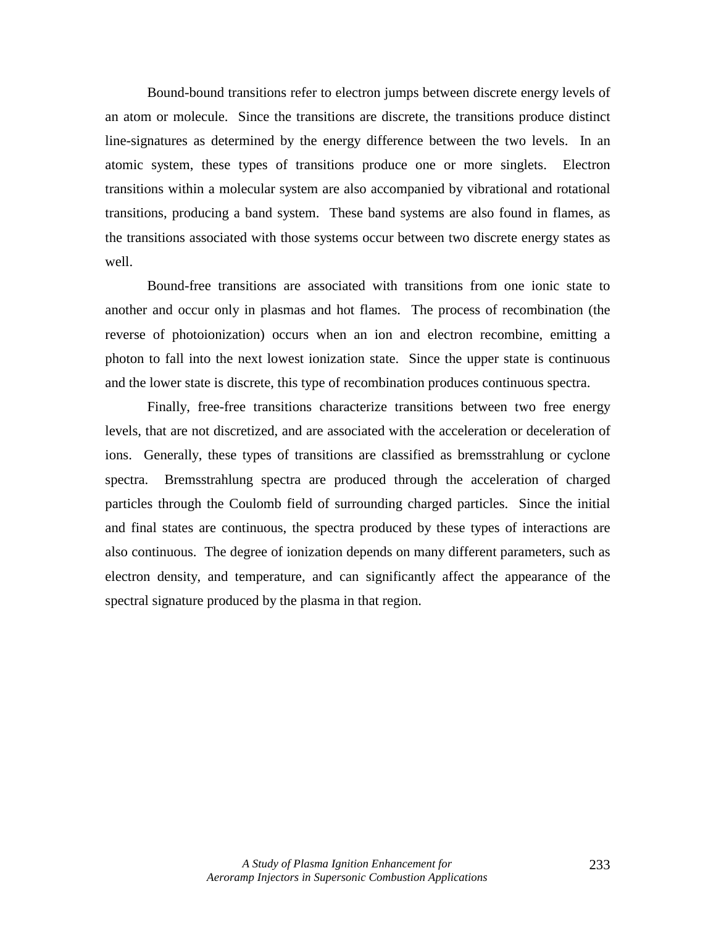Bound-bound transitions refer to electron jumps between discrete energy levels of an atom or molecule. Since the transitions are discrete, the transitions produce distinct line-signatures as determined by the energy difference between the two levels. In an atomic system, these types of transitions produce one or more singlets. Electron transitions within a molecular system are also accompanied by vibrational and rotational transitions, producing a band system. These band systems are also found in flames, as the transitions associated with those systems occur between two discrete energy states as well.

 Bound-free transitions are associated with transitions from one ionic state to another and occur only in plasmas and hot flames. The process of recombination (the reverse of photoionization) occurs when an ion and electron recombine, emitting a photon to fall into the next lowest ionization state. Since the upper state is continuous and the lower state is discrete, this type of recombination produces continuous spectra.

 Finally, free-free transitions characterize transitions between two free energy levels, that are not discretized, and are associated with the acceleration or deceleration of ions. Generally, these types of transitions are classified as bremsstrahlung or cyclone spectra. Bremsstrahlung spectra are produced through the acceleration of charged particles through the Coulomb field of surrounding charged particles. Since the initial and final states are continuous, the spectra produced by these types of interactions are also continuous. The degree of ionization depends on many different parameters, such as electron density, and temperature, and can significantly affect the appearance of the spectral signature produced by the plasma in that region.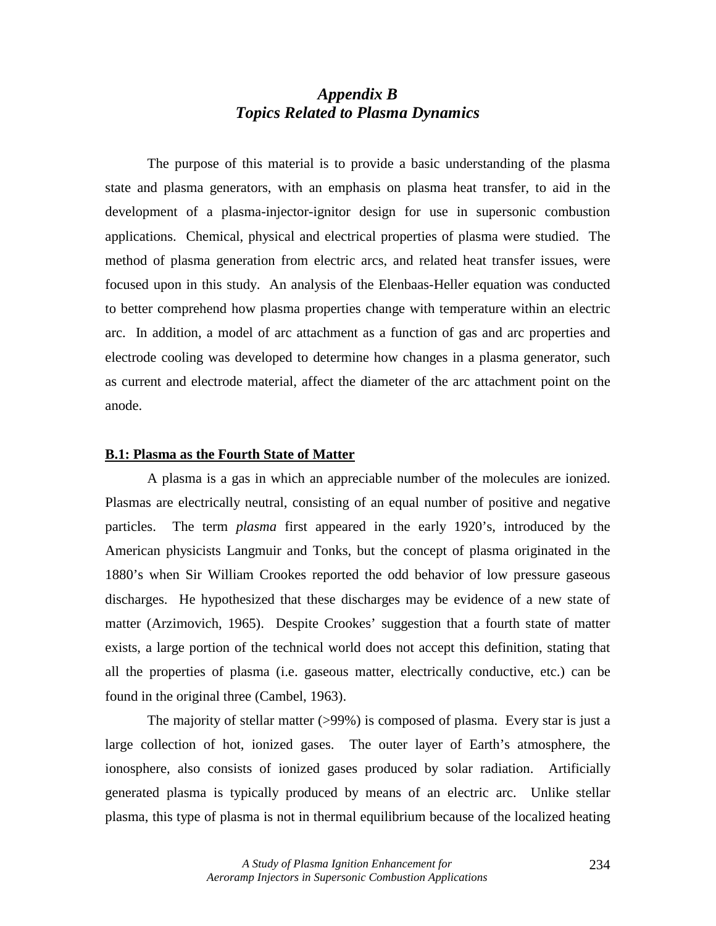# *Appendix B Topics Related to Plasma Dynamics*

 The purpose of this material is to provide a basic understanding of the plasma state and plasma generators, with an emphasis on plasma heat transfer, to aid in the development of a plasma-injector-ignitor design for use in supersonic combustion applications. Chemical, physical and electrical properties of plasma were studied. The method of plasma generation from electric arcs, and related heat transfer issues, were focused upon in this study. An analysis of the Elenbaas-Heller equation was conducted to better comprehend how plasma properties change with temperature within an electric arc. In addition, a model of arc attachment as a function of gas and arc properties and electrode cooling was developed to determine how changes in a plasma generator, such as current and electrode material, affect the diameter of the arc attachment point on the anode.

### **B.1: Plasma as the Fourth State of Matter**

 A plasma is a gas in which an appreciable number of the molecules are ionized. Plasmas are electrically neutral, consisting of an equal number of positive and negative particles. The term *plasma* first appeared in the early 1920's, introduced by the American physicists Langmuir and Tonks, but the concept of plasma originated in the 1880's when Sir William Crookes reported the odd behavior of low pressure gaseous discharges. He hypothesized that these discharges may be evidence of a new state of matter (Arzimovich, 1965). Despite Crookes' suggestion that a fourth state of matter exists, a large portion of the technical world does not accept this definition, stating that all the properties of plasma (i.e. gaseous matter, electrically conductive, etc.) can be found in the original three (Cambel, 1963).

 The majority of stellar matter (>99%) is composed of plasma. Every star is just a large collection of hot, ionized gases. The outer layer of Earth's atmosphere, the ionosphere, also consists of ionized gases produced by solar radiation. Artificially generated plasma is typically produced by means of an electric arc. Unlike stellar plasma, this type of plasma is not in thermal equilibrium because of the localized heating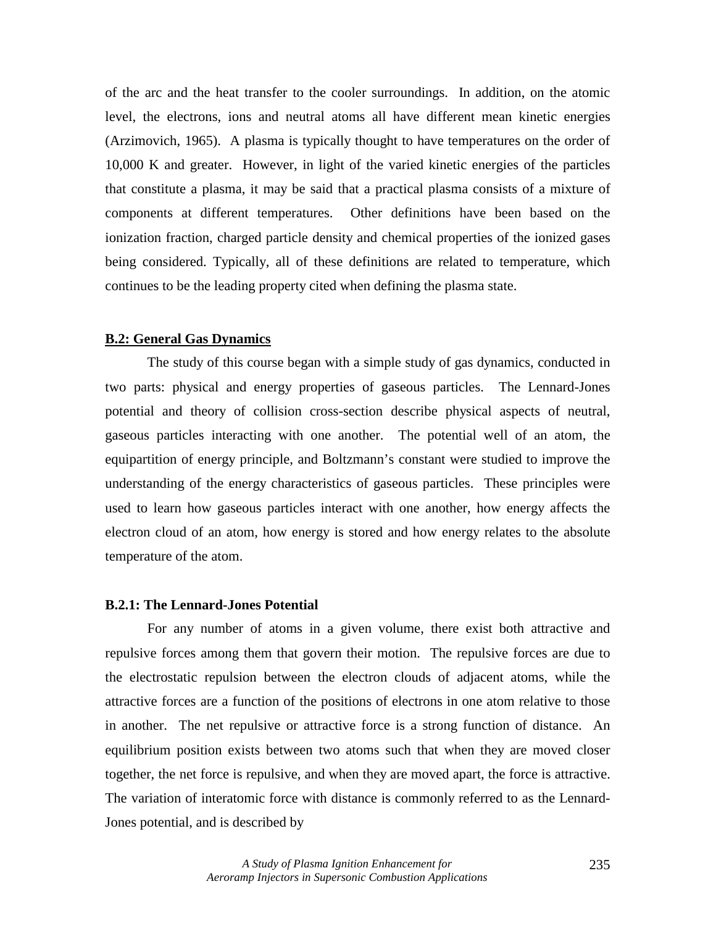of the arc and the heat transfer to the cooler surroundings. In addition, on the atomic level, the electrons, ions and neutral atoms all have different mean kinetic energies (Arzimovich, 1965). A plasma is typically thought to have temperatures on the order of 10,000 K and greater. However, in light of the varied kinetic energies of the particles that constitute a plasma, it may be said that a practical plasma consists of a mixture of components at different temperatures. Other definitions have been based on the ionization fraction, charged particle density and chemical properties of the ionized gases being considered. Typically, all of these definitions are related to temperature, which continues to be the leading property cited when defining the plasma state.

### **B.2: General Gas Dynamics**

 The study of this course began with a simple study of gas dynamics, conducted in two parts: physical and energy properties of gaseous particles. The Lennard-Jones potential and theory of collision cross-section describe physical aspects of neutral, gaseous particles interacting with one another. The potential well of an atom, the equipartition of energy principle, and Boltzmann's constant were studied to improve the understanding of the energy characteristics of gaseous particles. These principles were used to learn how gaseous particles interact with one another, how energy affects the electron cloud of an atom, how energy is stored and how energy relates to the absolute temperature of the atom.

### **B.2.1: The Lennard-Jones Potential**

 For any number of atoms in a given volume, there exist both attractive and repulsive forces among them that govern their motion. The repulsive forces are due to the electrostatic repulsion between the electron clouds of adjacent atoms, while the attractive forces are a function of the positions of electrons in one atom relative to those in another. The net repulsive or attractive force is a strong function of distance. An equilibrium position exists between two atoms such that when they are moved closer together, the net force is repulsive, and when they are moved apart, the force is attractive. The variation of interatomic force with distance is commonly referred to as the Lennard-Jones potential, and is described by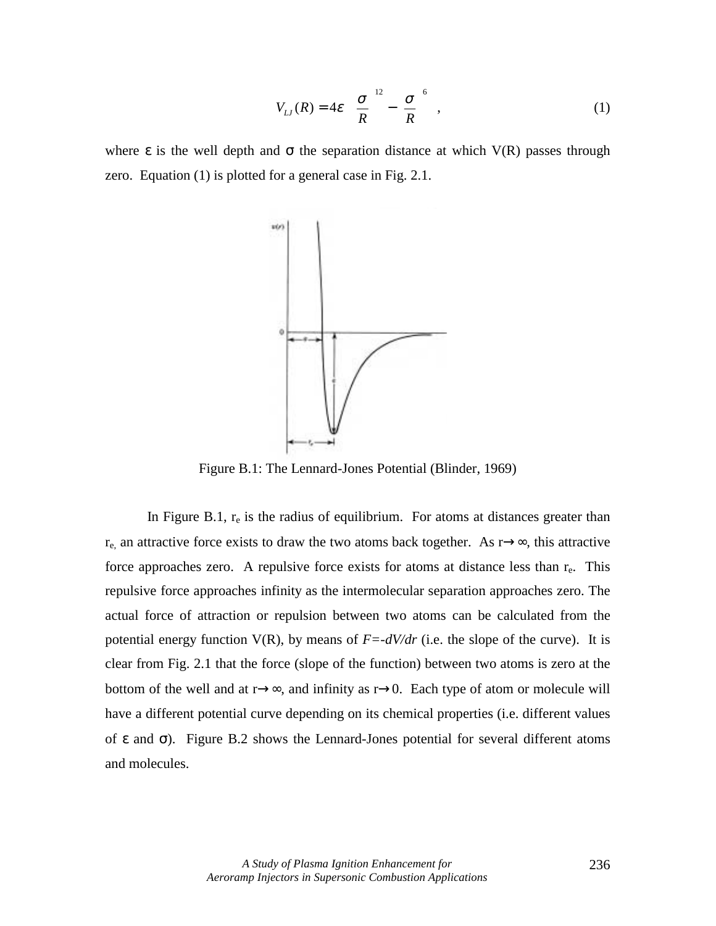$$
V_{LJ}(R) = 4\varepsilon \left[ \left( \frac{\sigma}{R} \right)^{12} - \left( \frac{\sigma}{R} \right)^{6} \right],
$$
 (1)

where  $\epsilon$  is the well depth and  $\sigma$  the separation distance at which V(R) passes through zero. Equation (1) is plotted for a general case in Fig. 2.1.



Figure B.1: The Lennard-Jones Potential (Blinder, 1969)

In Figure B.1,  $r_e$  is the radius of equilibrium. For atoms at distances greater than  $r_{e}$ , an attractive force exists to draw the two atoms back together. As r→∞, this attractive force approaches zero. A repulsive force exists for atoms at distance less than  $r_e$ . This repulsive force approaches infinity as the intermolecular separation approaches zero. The actual force of attraction or repulsion between two atoms can be calculated from the potential energy function  $V(R)$ , by means of  $F = -dV/dr$  (i.e. the slope of the curve). It is clear from Fig. 2.1 that the force (slope of the function) between two atoms is zero at the bottom of the well and at  $r \rightarrow \infty$ , and infinity as  $r \rightarrow 0$ . Each type of atom or molecule will have a different potential curve depending on its chemical properties (i.e. different values of ε and σ). Figure B.2 shows the Lennard-Jones potential for several different atoms and molecules.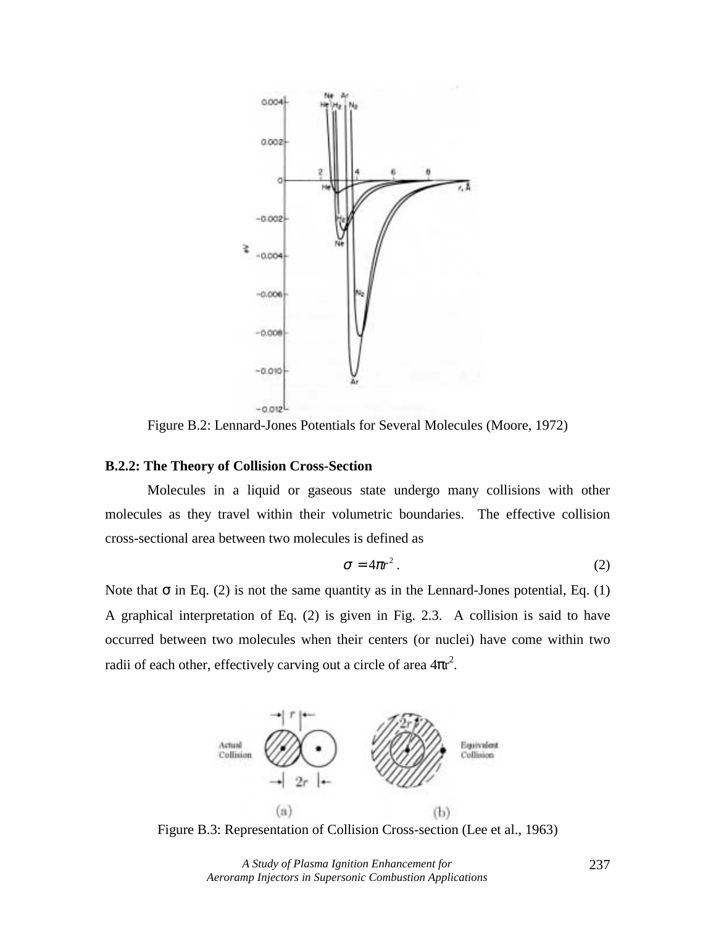

Figure B.2: Lennard-Jones Potentials for Several Molecules (Moore, 1972)

### **B.2.2: The Theory of Collision Cross-Section**

 Molecules in a liquid or gaseous state undergo many collisions with other molecules as they travel within their volumetric boundaries. The effective collision cross-sectional area between two molecules is defined as

$$
\sigma = 4\pi r^2. \tag{2}
$$

Note that  $\sigma$  in Eq. (2) is not the same quantity as in the Lennard-Jones potential, Eq. (1) A graphical interpretation of Eq. (2) is given in Fig. 2.3. A collision is said to have occurred between two molecules when their centers (or nuclei) have come within two radii of each other, effectively carving out a circle of area  $4\pi r^2$ .



Figure B.3: Representation of Collision Cross-section (Lee et al., 1963)

*A Study of Plasma Ignition Enhancement for Aeroramp Injectors in Supersonic Combustion Applications*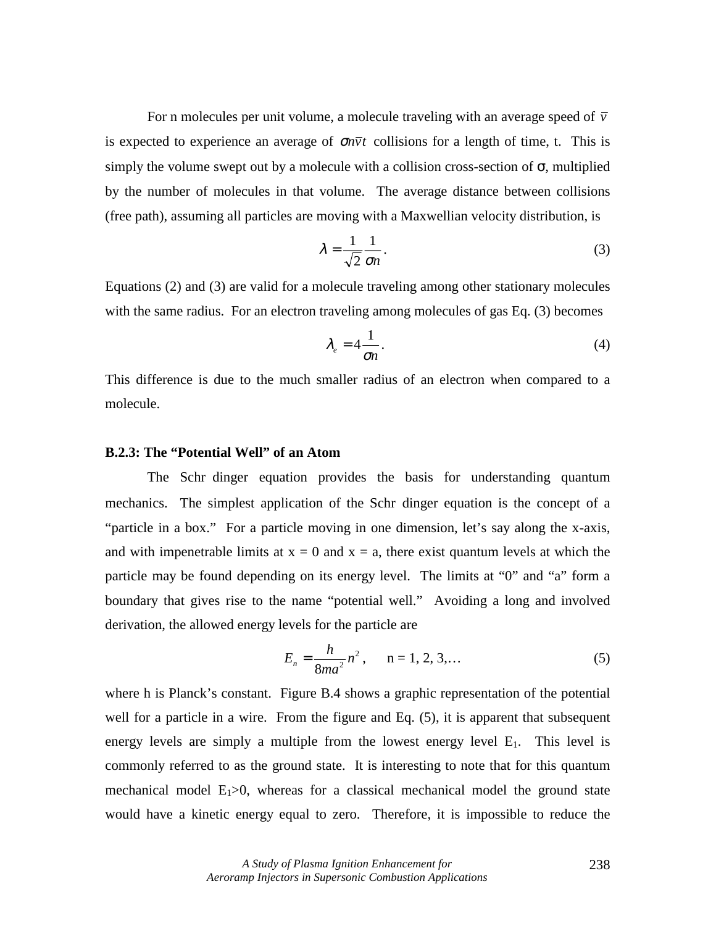For n molecules per unit volume, a molecule traveling with an average speed of  $\bar{v}$ is expected to experience an average of  $\sigma n \bar{v} t$  collisions for a length of time, t. This is simply the volume swept out by a molecule with a collision cross-section of  $\sigma$ , multiplied by the number of molecules in that volume. The average distance between collisions (free path), assuming all particles are moving with a Maxwellian velocity distribution, is

$$
\lambda = \frac{1}{\sqrt{2}} \frac{1}{\sigma n}.
$$
\n(3)

Equations (2) and (3) are valid for a molecule traveling among other stationary molecules with the same radius. For an electron traveling among molecules of gas Eq. (3) becomes

$$
\lambda_e = 4 \frac{1}{\sigma n}.
$$
\n(4)

This difference is due to the much smaller radius of an electron when compared to a molecule.

# **B.2.3: The "Potential Well" of an Atom**

The Schrdinger equation provides the basis for understanding quantum mechanics. The simplest application of the Schrdinger equation is the concept of a "particle in a box." For a particle moving in one dimension, let's say along the x-axis, and with impenetrable limits at  $x = 0$  and  $x = a$ , there exist quantum levels at which the particle may be found depending on its energy level. The limits at "0" and "a" form a boundary that gives rise to the name "potential well." Avoiding a long and involved derivation, the allowed energy levels for the particle are

$$
E_n = \frac{h}{8ma^2}n^2, \qquad n = 1, 2, 3, \dots \tag{5}
$$

where h is Planck's constant. Figure B.4 shows a graphic representation of the potential well for a particle in a wire. From the figure and Eq.  $(5)$ , it is apparent that subsequent energy levels are simply a multiple from the lowest energy level  $E_1$ . This level is commonly referred to as the ground state. It is interesting to note that for this quantum mechanical model  $E_1>0$ , whereas for a classical mechanical model the ground state would have a kinetic energy equal to zero. Therefore, it is impossible to reduce the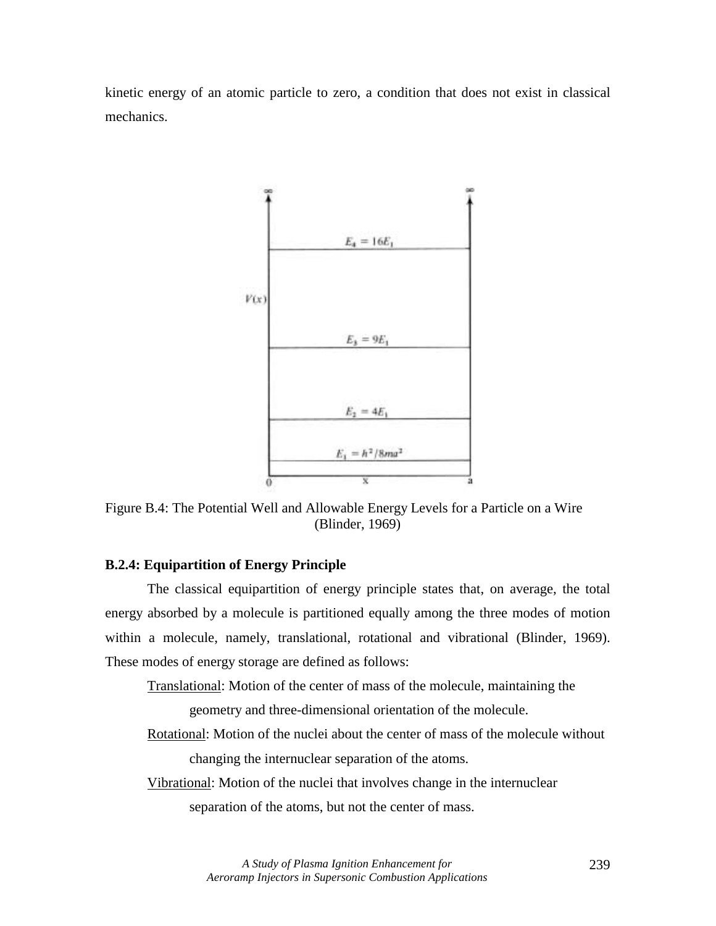kinetic energy of an atomic particle to zero, a condition that does not exist in classical mechanics.



Figure B.4: The Potential Well and Allowable Energy Levels for a Particle on a Wire (Blinder, 1969)

# **B.2.4: Equipartition of Energy Principle**

 The classical equipartition of energy principle states that, on average, the total energy absorbed by a molecule is partitioned equally among the three modes of motion within a molecule, namely, translational, rotational and vibrational (Blinder, 1969). These modes of energy storage are defined as follows:

 Translational: Motion of the center of mass of the molecule, maintaining the geometry and three-dimensional orientation of the molecule.

- Rotational: Motion of the nuclei about the center of mass of the molecule without changing the internuclear separation of the atoms.
- Vibrational: Motion of the nuclei that involves change in the internuclear separation of the atoms, but not the center of mass.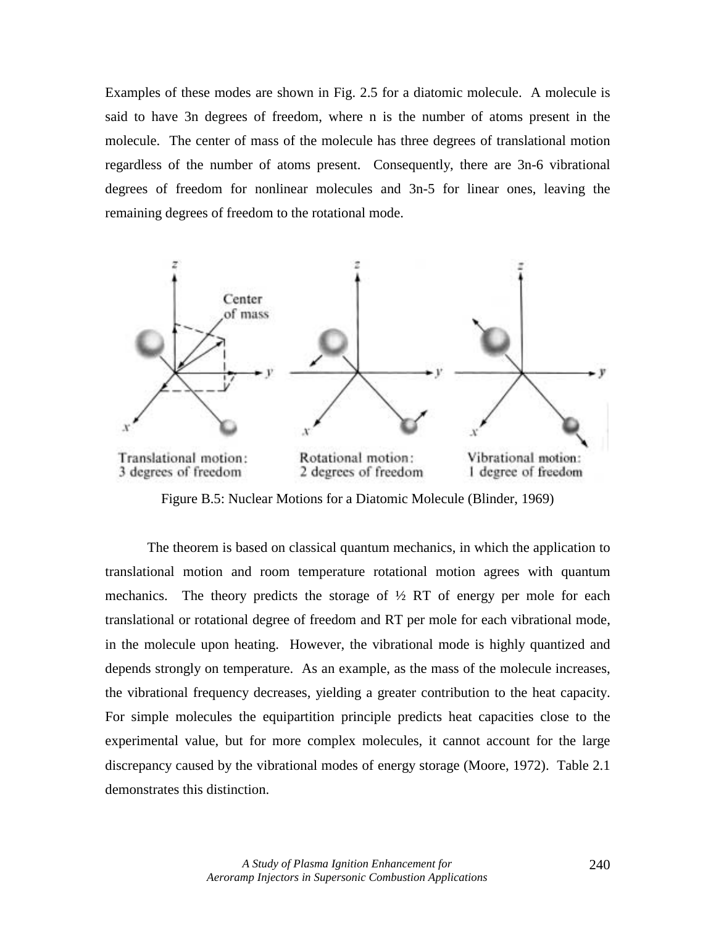Examples of these modes are shown in Fig. 2.5 for a diatomic molecule. A molecule is said to have 3n degrees of freedom, where n is the number of atoms present in the molecule. The center of mass of the molecule has three degrees of translational motion regardless of the number of atoms present. Consequently, there are 3n-6 vibrational degrees of freedom for nonlinear molecules and 3n-5 for linear ones, leaving the remaining degrees of freedom to the rotational mode.



Figure B.5: Nuclear Motions for a Diatomic Molecule (Blinder, 1969)

 The theorem is based on classical quantum mechanics, in which the application to translational motion and room temperature rotational motion agrees with quantum mechanics. The theory predicts the storage of  $\frac{1}{2}$  RT of energy per mole for each translational or rotational degree of freedom and RT per mole for each vibrational mode, in the molecule upon heating. However, the vibrational mode is highly quantized and depends strongly on temperature. As an example, as the mass of the molecule increases, the vibrational frequency decreases, yielding a greater contribution to the heat capacity. For simple molecules the equipartition principle predicts heat capacities close to the experimental value, but for more complex molecules, it cannot account for the large discrepancy caused by the vibrational modes of energy storage (Moore, 1972). Table 2.1 demonstrates this distinction.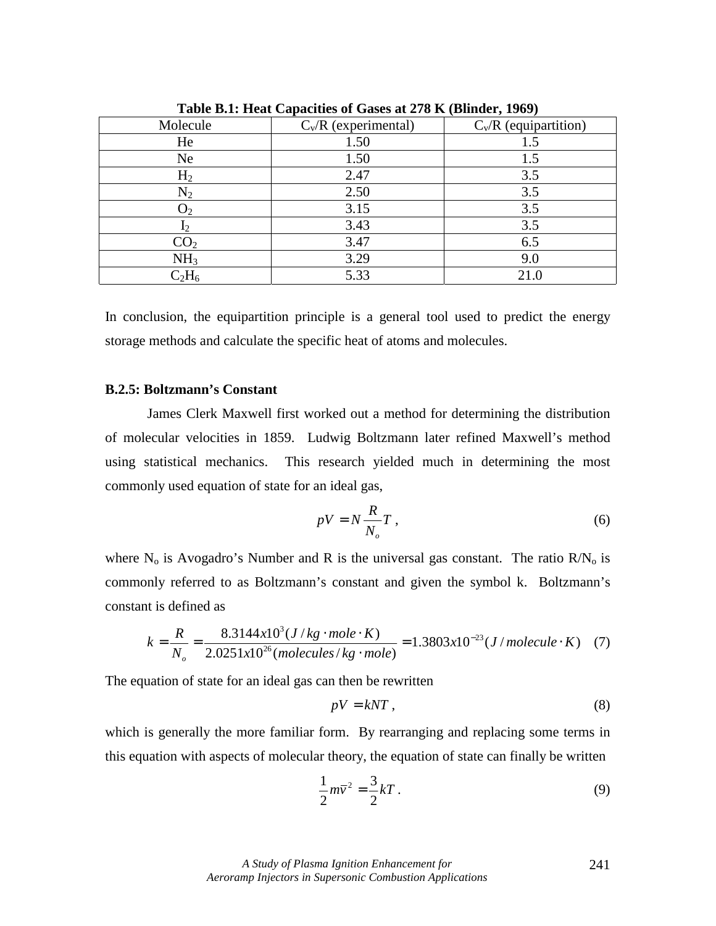|                 |                        | $\sim$ $\sim$ $\sim$ $\sim$ |
|-----------------|------------------------|-----------------------------|
| Molecule        | $C_v/R$ (experimental) | $C_v/R$ (equipartition)     |
| He              | 1.50                   | 1.5                         |
| Ne              | 1.50                   | 1.5                         |
| H <sub>2</sub>  | 2.47                   | 3.5                         |
| $N_2$           | 2.50                   | 3.5                         |
| $\cup_2$        | 3.15                   | 3.5                         |
| $I_2$           | 3.43                   | 3.5                         |
| CO <sub>2</sub> | 3.47                   | 6.5                         |
| NH <sub>3</sub> | 3.29                   | 9.0                         |
| $C_2H_6$        | 5.33                   | 21.0                        |

**Table B.1: Heat Capacities of Gases at 278 K (Blinder, 1969)** 

In conclusion, the equipartition principle is a general tool used to predict the energy storage methods and calculate the specific heat of atoms and molecules.

### **B.2.5: Boltzmann's Constant**

 James Clerk Maxwell first worked out a method for determining the distribution of molecular velocities in 1859. Ludwig Boltzmann later refined Maxwell's method using statistical mechanics. This research yielded much in determining the most commonly used equation of state for an ideal gas,

$$
pV = N\frac{R}{N_o}T\,,\tag{6}
$$

where  $N_0$  is Avogadro's Number and R is the universal gas constant. The ratio  $R/N_0$  is commonly referred to as Boltzmann's constant and given the symbol k. Boltzmann's constant is defined as

$$
k = \frac{R}{N_o} = \frac{8.3144 \times 10^3 (J/kg \cdot mole \cdot K)}{2.0251 \times 10^{26} (molecules/kg \cdot mole)} = 1.3803 \times 10^{-23} (J/molecule \cdot K) \quad (7)
$$

The equation of state for an ideal gas can then be rewritten

$$
pV = kNT, \t\t(8)
$$

which is generally the more familiar form. By rearranging and replacing some terms in this equation with aspects of molecular theory, the equation of state can finally be written

$$
\frac{1}{2}m\overline{v}^2 = \frac{3}{2}kT\,. \tag{9}
$$

241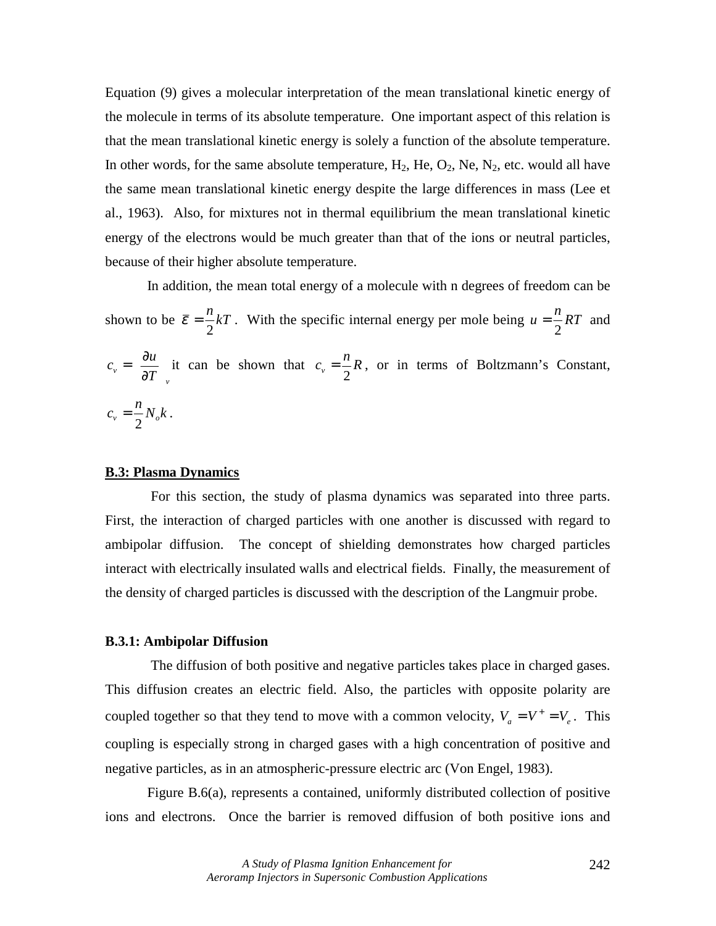Equation (9) gives a molecular interpretation of the mean translational kinetic energy of the molecule in terms of its absolute temperature. One important aspect of this relation is that the mean translational kinetic energy is solely a function of the absolute temperature. In other words, for the same absolute temperature,  $H_2$ ,  $He$ ,  $O_2$ ,  $Ne$ ,  $N_2$ , etc. would all have the same mean translational kinetic energy despite the large differences in mass (Lee et al., 1963). Also, for mixtures not in thermal equilibrium the mean translational kinetic energy of the electrons would be much greater than that of the ions or neutral particles, because of their higher absolute temperature.

 In addition, the mean total energy of a molecule with n degrees of freedom can be shown to be  $\bar{\varepsilon} = \frac{n}{2}kT$ 2  $\bar{\varepsilon} = \frac{n}{2}kT$ . With the specific internal energy per mole being  $u = \frac{n}{2}RT$  and *v*  $\left( \frac{\partial T}{\partial y} \right)$  $c_v = \left(\frac{\partial u}{\partial x}\right)^v$  $\overline{\phantom{a}}$  $\left(\frac{\partial u}{\partial x}\right)^n$ l ſ ∂  $=\left(\frac{\partial u}{\partial T}\right)_v$  it can be shown that  $c_v = \frac{n}{2}R$ , or in terms of Boltzmann's Constant,  $c_v = \frac{n}{2} N_o k$ .

# **B.3: Plasma Dynamics**

 For this section, the study of plasma dynamics was separated into three parts. First, the interaction of charged particles with one another is discussed with regard to ambipolar diffusion. The concept of shielding demonstrates how charged particles interact with electrically insulated walls and electrical fields. Finally, the measurement of the density of charged particles is discussed with the description of the Langmuir probe.

#### **B.3.1: Ambipolar Diffusion**

 The diffusion of both positive and negative particles takes place in charged gases. This diffusion creates an electric field. Also, the particles with opposite polarity are coupled together so that they tend to move with a common velocity,  $V_a = V^+ = V_e$ . This coupling is especially strong in charged gases with a high concentration of positive and negative particles, as in an atmospheric-pressure electric arc (Von Engel, 1983).

 Figure B.6(a), represents a contained, uniformly distributed collection of positive ions and electrons. Once the barrier is removed diffusion of both positive ions and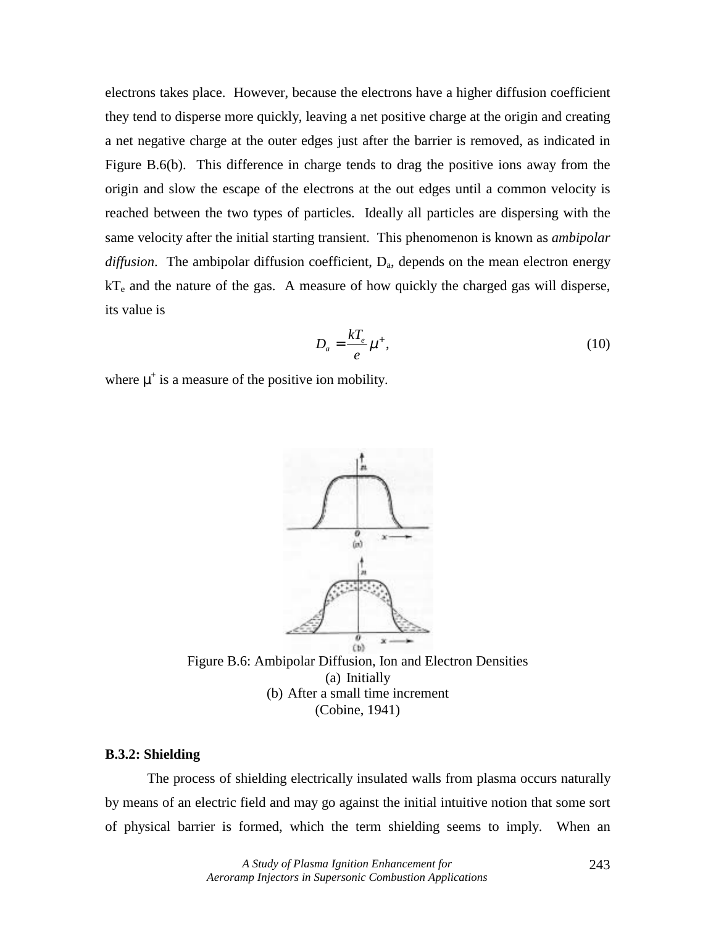electrons takes place. However, because the electrons have a higher diffusion coefficient they tend to disperse more quickly, leaving a net positive charge at the origin and creating a net negative charge at the outer edges just after the barrier is removed, as indicated in Figure B.6(b). This difference in charge tends to drag the positive ions away from the origin and slow the escape of the electrons at the out edges until a common velocity is reached between the two types of particles. Ideally all particles are dispersing with the same velocity after the initial starting transient. This phenomenon is known as *ambipolar*   $diffusion$ . The ambipolar diffusion coefficient,  $D_a$ , depends on the mean electron energy  $kT_e$  and the nature of the gas. A measure of how quickly the charged gas will disperse, its value is

$$
D_a = \frac{kT_e}{e} \mu^+, \tag{10}
$$

where  $\mu^+$  is a measure of the positive ion mobility.



Figure B.6: Ambipolar Diffusion, Ion and Electron Densities (a) Initially (b) After a small time increment (Cobine, 1941)

# **B.3.2: Shielding**

 The process of shielding electrically insulated walls from plasma occurs naturally by means of an electric field and may go against the initial intuitive notion that some sort of physical barrier is formed, which the term shielding seems to imply. When an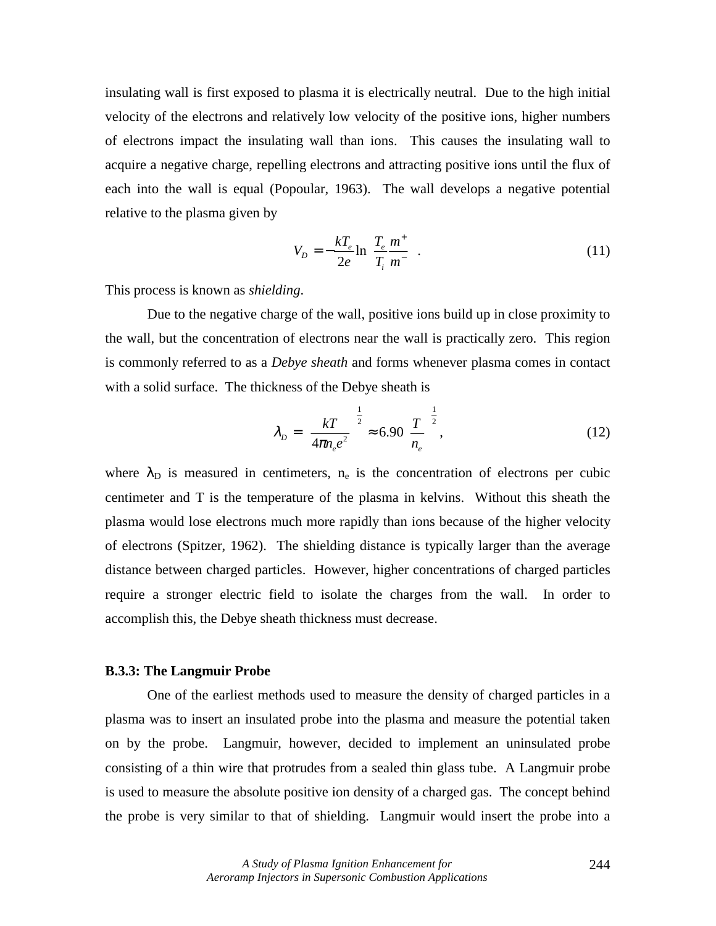insulating wall is first exposed to plasma it is electrically neutral. Due to the high initial velocity of the electrons and relatively low velocity of the positive ions, higher numbers of electrons impact the insulating wall than ions. This causes the insulating wall to acquire a negative charge, repelling electrons and attracting positive ions until the flux of each into the wall is equal (Popoular, 1963). The wall develops a negative potential relative to the plasma given by

$$
V_D = -\frac{kT_e}{2e} \ln\left(\frac{T_e}{T_i}\frac{m^+}{m^-}\right).
$$
\n(11)

This process is known as *shielding*.

 Due to the negative charge of the wall, positive ions build up in close proximity to the wall, but the concentration of electrons near the wall is practically zero. This region is commonly referred to as a *Debye sheath* and forms whenever plasma comes in contact with a solid surface. The thickness of the Debye sheath is

$$
\lambda_D = \left(\frac{kT}{4\pi n_e e^2}\right)^{\frac{1}{2}} \approx 6.90 \left(\frac{T}{n_e}\right)^{\frac{1}{2}},\tag{12}
$$

where  $\lambda_{D}$  is measured in centimeters, n<sub>e</sub> is the concentration of electrons per cubic centimeter and T is the temperature of the plasma in kelvins. Without this sheath the plasma would lose electrons much more rapidly than ions because of the higher velocity of electrons (Spitzer, 1962). The shielding distance is typically larger than the average distance between charged particles. However, higher concentrations of charged particles require a stronger electric field to isolate the charges from the wall. In order to accomplish this, the Debye sheath thickness must decrease.

# **B.3.3: The Langmuir Probe**

 One of the earliest methods used to measure the density of charged particles in a plasma was to insert an insulated probe into the plasma and measure the potential taken on by the probe. Langmuir, however, decided to implement an uninsulated probe consisting of a thin wire that protrudes from a sealed thin glass tube. A Langmuir probe is used to measure the absolute positive ion density of a charged gas. The concept behind the probe is very similar to that of shielding. Langmuir would insert the probe into a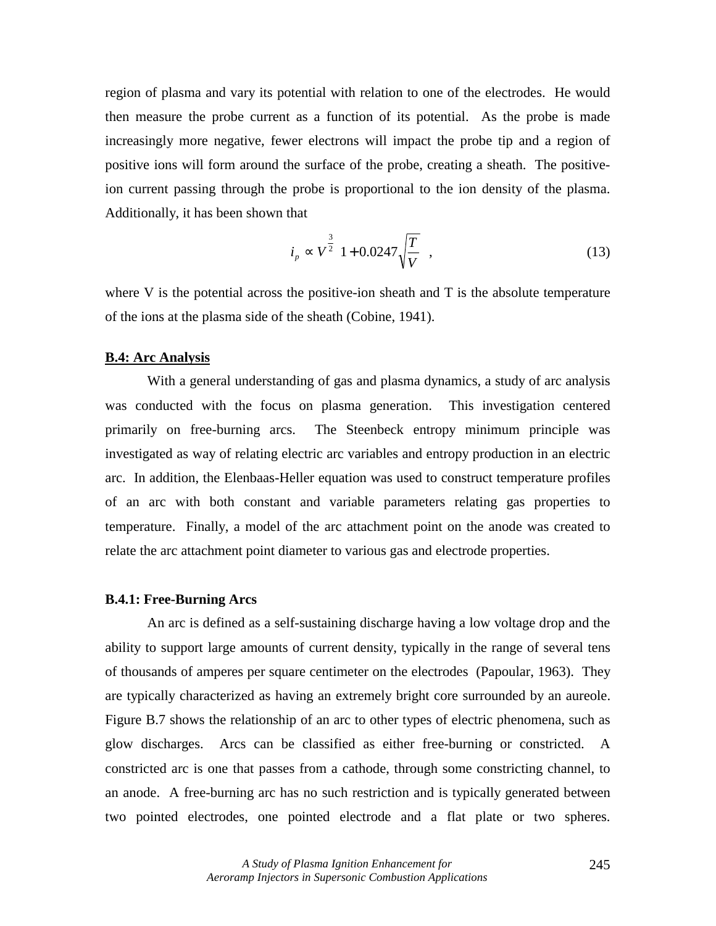region of plasma and vary its potential with relation to one of the electrodes. He would then measure the probe current as a function of its potential. As the probe is made increasingly more negative, fewer electrons will impact the probe tip and a region of positive ions will form around the surface of the probe, creating a sheath. The positiveion current passing through the probe is proportional to the ion density of the plasma. Additionally, it has been shown that

$$
i_p \propto V^{\frac{3}{2}} \left( 1 + 0.0247 \sqrt{\frac{T}{V}} \right),
$$
 (13)

where V is the potential across the positive-ion sheath and T is the absolute temperature of the ions at the plasma side of the sheath (Cobine, 1941).

#### **B.4: Arc Analysis**

 With a general understanding of gas and plasma dynamics, a study of arc analysis was conducted with the focus on plasma generation. This investigation centered primarily on free-burning arcs. The Steenbeck entropy minimum principle was investigated as way of relating electric arc variables and entropy production in an electric arc. In addition, the Elenbaas-Heller equation was used to construct temperature profiles of an arc with both constant and variable parameters relating gas properties to temperature. Finally, a model of the arc attachment point on the anode was created to relate the arc attachment point diameter to various gas and electrode properties.

### **B.4.1: Free-Burning Arcs**

 An arc is defined as a self-sustaining discharge having a low voltage drop and the ability to support large amounts of current density, typically in the range of several tens of thousands of amperes per square centimeter on the electrodes (Papoular, 1963). They are typically characterized as having an extremely bright core surrounded by an aureole. Figure B.7 shows the relationship of an arc to other types of electric phenomena, such as glow discharges. Arcs can be classified as either free-burning or constricted. A constricted arc is one that passes from a cathode, through some constricting channel, to an anode. A free-burning arc has no such restriction and is typically generated between two pointed electrodes, one pointed electrode and a flat plate or two spheres.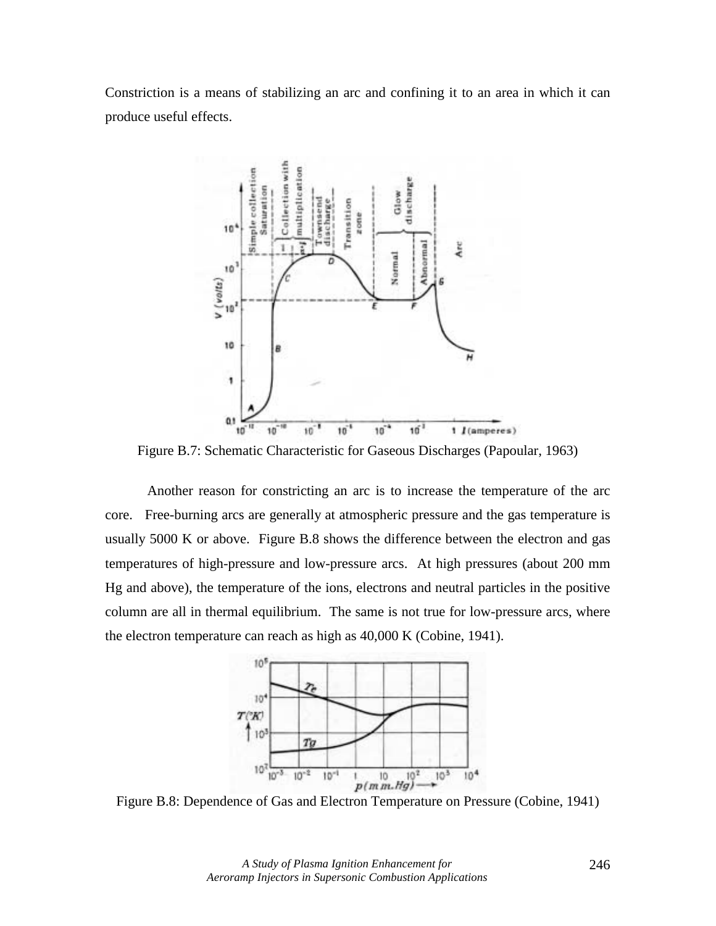Constriction is a means of stabilizing an arc and confining it to an area in which it can produce useful effects.



Figure B.7: Schematic Characteristic for Gaseous Discharges (Papoular, 1963)

 Another reason for constricting an arc is to increase the temperature of the arc core. Free-burning arcs are generally at atmospheric pressure and the gas temperature is usually 5000 K or above. Figure B.8 shows the difference between the electron and gas temperatures of high-pressure and low-pressure arcs. At high pressures (about 200 mm Hg and above), the temperature of the ions, electrons and neutral particles in the positive column are all in thermal equilibrium. The same is not true for low-pressure arcs, where the electron temperature can reach as high as 40,000 K (Cobine, 1941).

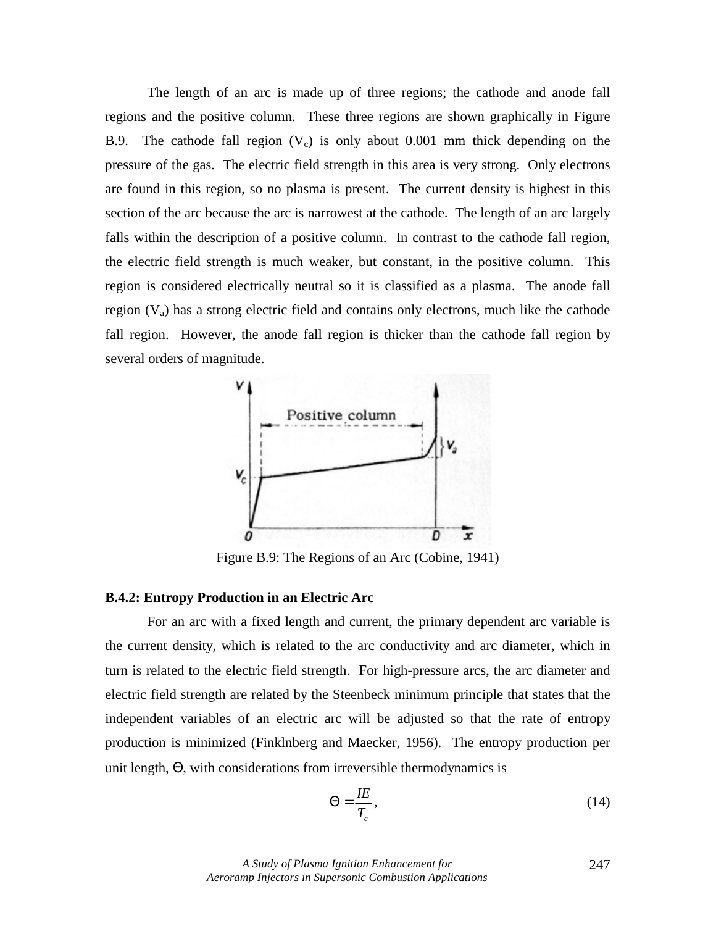The length of an arc is made up of three regions; the cathode and anode fall regions and the positive column. These three regions are shown graphically in Figure B.9. The cathode fall region  $(V_c)$  is only about 0.001 mm thick depending on the pressure of the gas. The electric field strength in this area is very strong. Only electrons are found in this region, so no plasma is present. The current density is highest in this section of the arc because the arc is narrowest at the cathode. The length of an arc largely falls within the description of a positive column. In contrast to the cathode fall region, the electric field strength is much weaker, but constant, in the positive column. This region is considered electrically neutral so it is classified as a plasma. The anode fall region  $(V_a)$  has a strong electric field and contains only electrons, much like the cathode fall region. However, the anode fall region is thicker than the cathode fall region by several orders of magnitude.



Figure B.9: The Regions of an Arc (Cobine, 1941)

# **B.4.2: Entropy Production in an Electric Arc**

 For an arc with a fixed length and current, the primary dependent arc variable is the current density, which is related to the arc conductivity and arc diameter, which in turn is related to the electric field strength. For high-pressure arcs, the arc diameter and electric field strength are related by the Steenbeck minimum principle that states that the independent variables of an electric arc will be adjusted so that the rate of entropy production is minimized (Finklnberg and Maecker, 1956). The entropy production per unit length, Θ, with considerations from irreversible thermodynamics is

$$
\Theta = \frac{I E}{T_c},\tag{14}
$$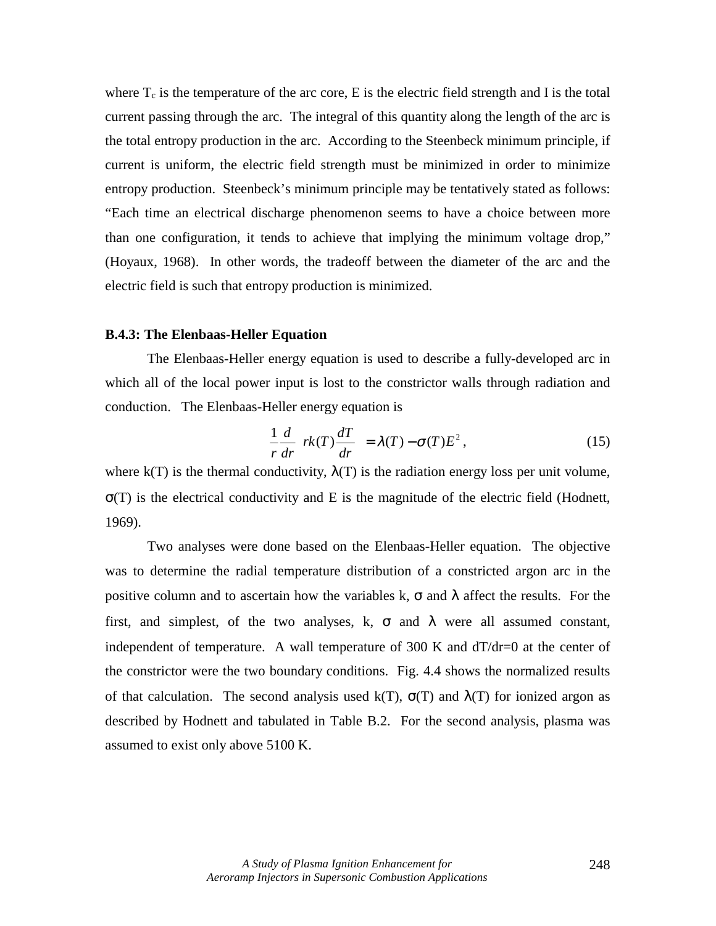where  $T_c$  is the temperature of the arc core, E is the electric field strength and I is the total current passing through the arc. The integral of this quantity along the length of the arc is the total entropy production in the arc. According to the Steenbeck minimum principle, if current is uniform, the electric field strength must be minimized in order to minimize entropy production. Steenbeck's minimum principle may be tentatively stated as follows: "Each time an electrical discharge phenomenon seems to have a choice between more than one configuration, it tends to achieve that implying the minimum voltage drop," (Hoyaux, 1968). In other words, the tradeoff between the diameter of the arc and the electric field is such that entropy production is minimized.

### **B.4.3: The Elenbaas-Heller Equation**

The Elenbaas-Heller energy equation is used to describe a fully-developed arc in which all of the local power input is lost to the constrictor walls through radiation and conduction. The Elenbaas-Heller energy equation is

$$
\frac{1}{r}\frac{d}{dr}\left[rk(T)\frac{dT}{dr}\right] = \lambda(T) - \sigma(T)E^{2},\qquad(15)
$$

where  $k(T)$  is the thermal conductivity,  $\lambda(T)$  is the radiation energy loss per unit volume,  $\sigma(T)$  is the electrical conductivity and E is the magnitude of the electric field (Hodnett, 1969).

 Two analyses were done based on the Elenbaas-Heller equation. The objective was to determine the radial temperature distribution of a constricted argon arc in the positive column and to ascertain how the variables k,  $\sigma$  and  $\lambda$  affect the results. For the first, and simplest, of the two analyses, k,  $\sigma$  and  $\lambda$  were all assumed constant, independent of temperature. A wall temperature of 300 K and  $dT/dr = 0$  at the center of the constrictor were the two boundary conditions. Fig. 4.4 shows the normalized results of that calculation. The second analysis used k(T),  $\sigma(T)$  and  $\lambda(T)$  for ionized argon as described by Hodnett and tabulated in Table B.2. For the second analysis, plasma was assumed to exist only above 5100 K.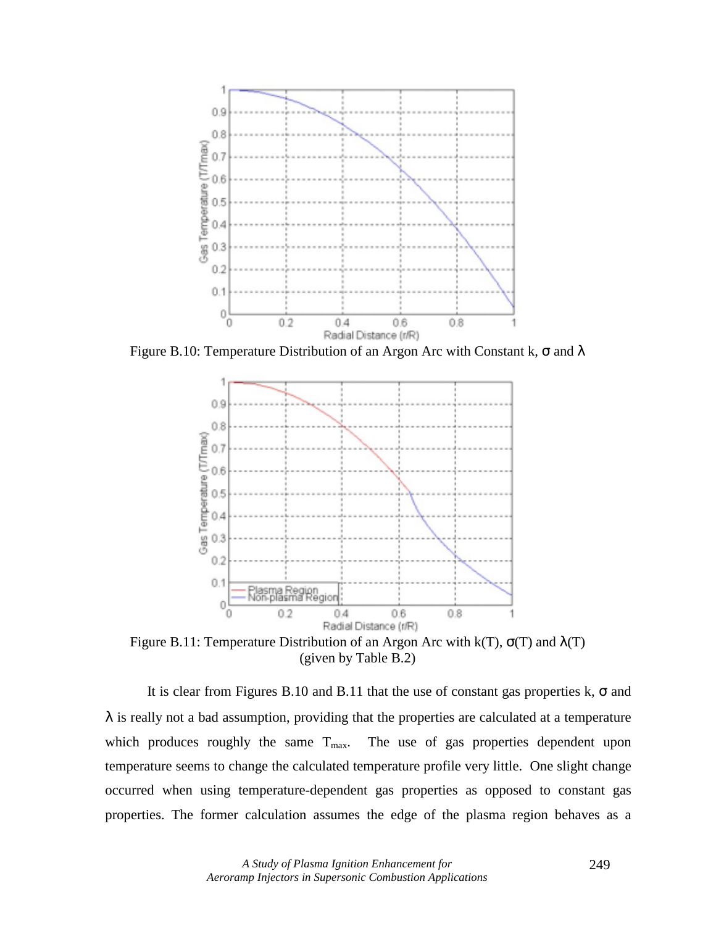

Figure B.10: Temperature Distribution of an Argon Arc with Constant k,  $\sigma$  and  $\lambda$ 



Figure B.11: Temperature Distribution of an Argon Arc with k(T),  $\sigma(T)$  and  $\lambda(T)$ (given by Table B.2)

It is clear from Figures B.10 and B.11 that the use of constant gas properties k,  $\sigma$  and  $\lambda$  is really not a bad assumption, providing that the properties are calculated at a temperature which produces roughly the same  $T_{\text{max}}$ . The use of gas properties dependent upon temperature seems to change the calculated temperature profile very little. One slight change occurred when using temperature-dependent gas properties as opposed to constant gas properties. The former calculation assumes the edge of the plasma region behaves as a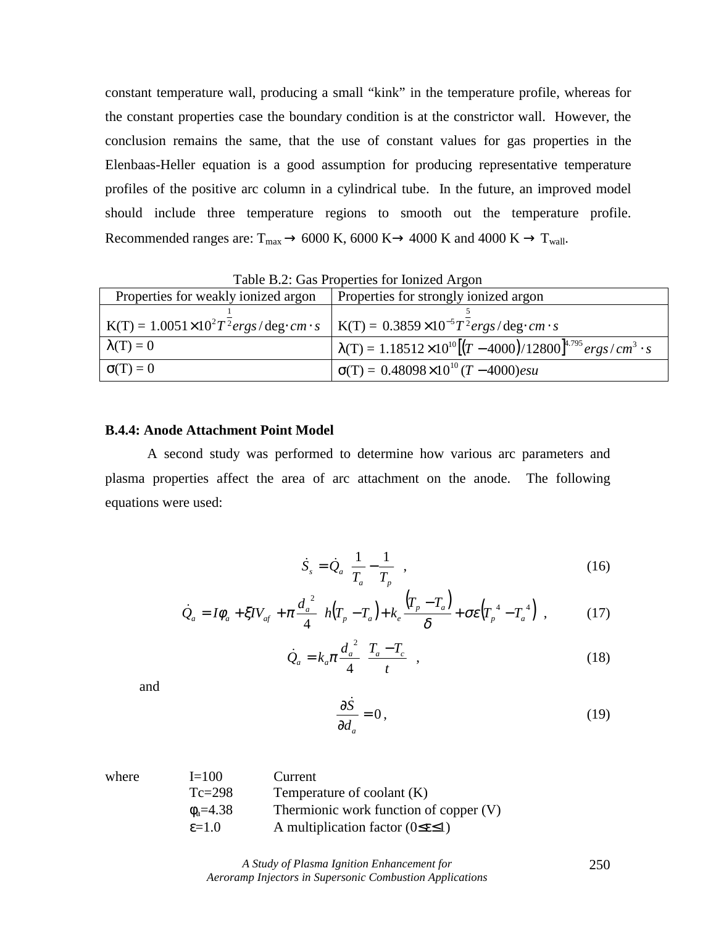constant temperature wall, producing a small "kink" in the temperature profile, whereas for the constant properties case the boundary condition is at the constrictor wall. However, the conclusion remains the same, that the use of constant values for gas properties in the Elenbaas-Heller equation is a good assumption for producing representative temperature profiles of the positive arc column in a cylindrical tube. In the future, an improved model should include three temperature regions to smooth out the temperature profile. Recommended ranges are:  $T_{max}$   $\rightarrow$  6000 K, 6000 K $\rightarrow$  4000 K and 4000 K  $\rightarrow$  T<sub>wall</sub>.

| Table D.2. Oas I Topernes for follized Argon |                                                                                                                                  |  |
|----------------------------------------------|----------------------------------------------------------------------------------------------------------------------------------|--|
| Properties for weakly ionized argon          | Properties for strongly ionized argon                                                                                            |  |
|                                              |                                                                                                                                  |  |
|                                              | $K(T) = 1.0051 \times 10^{2} T^{2} ergs / deg \cdot cm \cdot s$ $K(T) = 0.3859 \times 10^{-5} T^{2} ergs / deg \cdot cm \cdot s$ |  |
| $\lambda(T) = 0$                             | $\lambda(T) = 1.18512 \times 10^{10} [(T - 4000)/12800]^{4.795} ergs/cm^3 \cdot s$                                               |  |
| $\sigma(T) = 0$                              | $\sigma(T) = 0.48098 \times 10^{10} (T - 4000) \text{esu}$                                                                       |  |

Table B.2: Gas Properties for Ionized Argon

# **B.4.4: Anode Attachment Point Model**

 A second study was performed to determine how various arc parameters and plasma properties affect the area of arc attachment on the anode. The following equations were used:

$$
\dot{S}_s = \dot{Q}_a \left( \frac{1}{T_a} - \frac{1}{T_p} \right),\tag{16}
$$

$$
\dot{Q}_a = I\phi_a + \xi IV_{af} + \pi \frac{d_a^2}{4} \bigg[ h(T_p - T_a) + k_e \frac{(T_p - T_a)}{\delta} + \sigma \varepsilon \bigg( T_p^4 - T_a^4 \bigg) \bigg],\tag{17}
$$

$$
\dot{Q}_a = k_a \pi \frac{d_a^2}{4} \left( \frac{T_a - T_c}{t} \right),\tag{18}
$$

and

$$
\frac{\partial \dot{S}}{\partial d_a} = 0, \tag{19}
$$

| $I = 100$         | Current                                          |
|-------------------|--------------------------------------------------|
| $Tc=298$          | Temperature of coolant $(K)$                     |
| $\phi_{a} = 4.38$ | Thermionic work function of copper $(V)$         |
| $\varepsilon=1.0$ | A multiplication factor $(0 \le \epsilon \le 1)$ |
|                   |                                                  |

*A Study of Plasma Ignition Enhancement for Aeroramp Injectors in Supersonic Combustion Applications*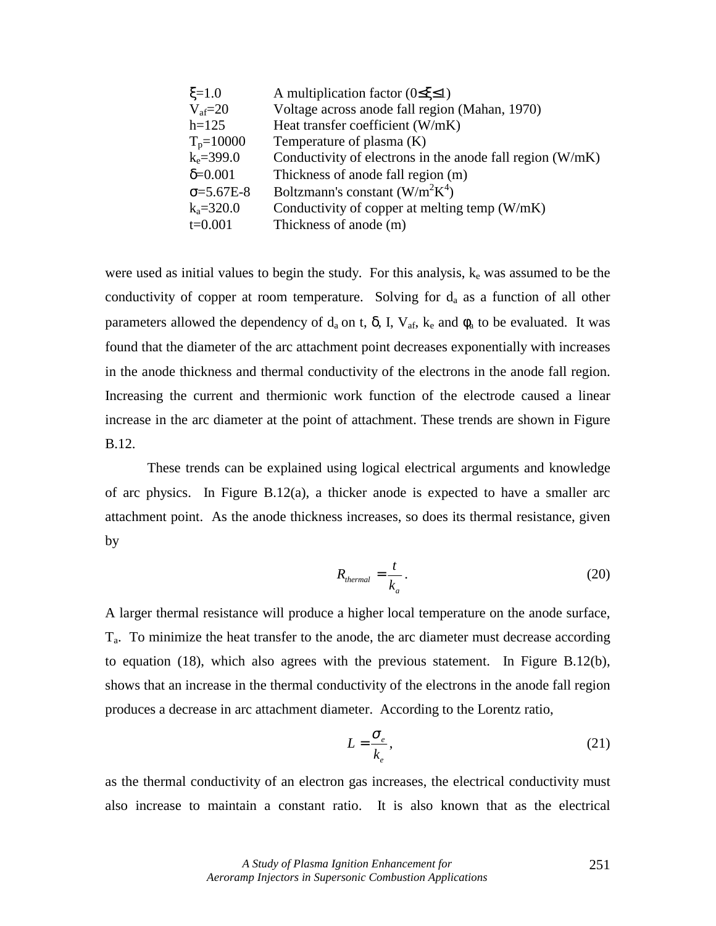| $\xi = 1.0$          | A multiplication factor ( $0 \le \xi \le 1$ )               |
|----------------------|-------------------------------------------------------------|
| $V_{\text{af}}=20$   | Voltage across anode fall region (Mahan, 1970)              |
| $h=125$              | Heat transfer coefficient (W/mK)                            |
| $T_p = 10000$        | Temperature of plasma (K)                                   |
| $k_e = 399.0$        | Conductivity of electrons in the anode fall region $(W/mK)$ |
| $\delta = 0.001$     | Thickness of anode fall region (m)                          |
| $\sigma = 5.67E - 8$ | Boltzmann's constant $(W/m^2K^4)$                           |
| $k_a = 320.0$        | Conductivity of copper at melting temp (W/mK)               |
| $t=0.001$            | Thickness of anode (m)                                      |

were used as initial values to begin the study. For this analysis, ke was assumed to be the conductivity of copper at room temperature. Solving for  $d_a$  as a function of all other parameters allowed the dependency of  $d_a$  on t,  $\delta$ , I,  $V_{af}$ ,  $k_e$  and  $\phi_a$  to be evaluated. It was found that the diameter of the arc attachment point decreases exponentially with increases in the anode thickness and thermal conductivity of the electrons in the anode fall region. Increasing the current and thermionic work function of the electrode caused a linear increase in the arc diameter at the point of attachment. These trends are shown in Figure B.12.

These trends can be explained using logical electrical arguments and knowledge of arc physics. In Figure B.12(a), a thicker anode is expected to have a smaller arc attachment point. As the anode thickness increases, so does its thermal resistance, given by

$$
R_{thermal} = \frac{t}{k_a}.
$$
 (20)

A larger thermal resistance will produce a higher local temperature on the anode surface,  $T_a$ . To minimize the heat transfer to the anode, the arc diameter must decrease according to equation (18), which also agrees with the previous statement. In Figure B.12(b), shows that an increase in the thermal conductivity of the electrons in the anode fall region produces a decrease in arc attachment diameter. According to the Lorentz ratio,

$$
L = \frac{\sigma_e}{k_e},\tag{21}
$$

as the thermal conductivity of an electron gas increases, the electrical conductivity must also increase to maintain a constant ratio. It is also known that as the electrical

> *A Study of Plasma Ignition Enhancement for Aeroramp Injectors in Supersonic Combustion Applications*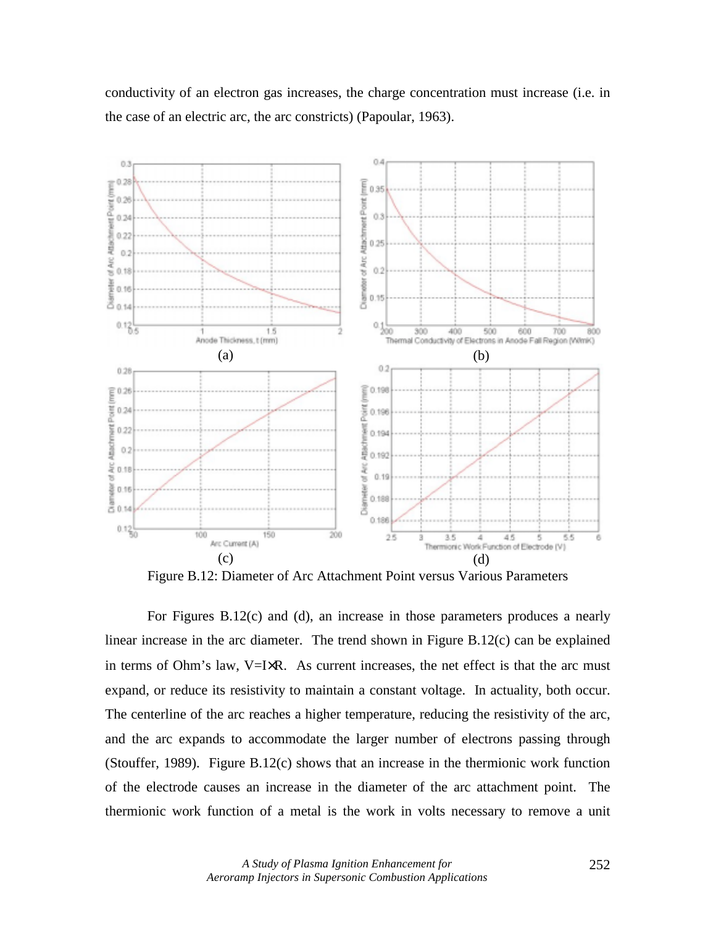conductivity of an electron gas increases, the charge concentration must increase (i.e. in the case of an electric arc, the arc constricts) (Papoular, 1963).



Figure B.12: Diameter of Arc Attachment Point versus Various Parameters

 For Figures B.12(c) and (d), an increase in those parameters produces a nearly linear increase in the arc diameter. The trend shown in Figure B.12(c) can be explained in terms of Ohm's law,  $V=IXR$ . As current increases, the net effect is that the arc must expand, or reduce its resistivity to maintain a constant voltage. In actuality, both occur. The centerline of the arc reaches a higher temperature, reducing the resistivity of the arc, and the arc expands to accommodate the larger number of electrons passing through (Stouffer, 1989). Figure B.12(c) shows that an increase in the thermionic work function of the electrode causes an increase in the diameter of the arc attachment point. The thermionic work function of a metal is the work in volts necessary to remove a unit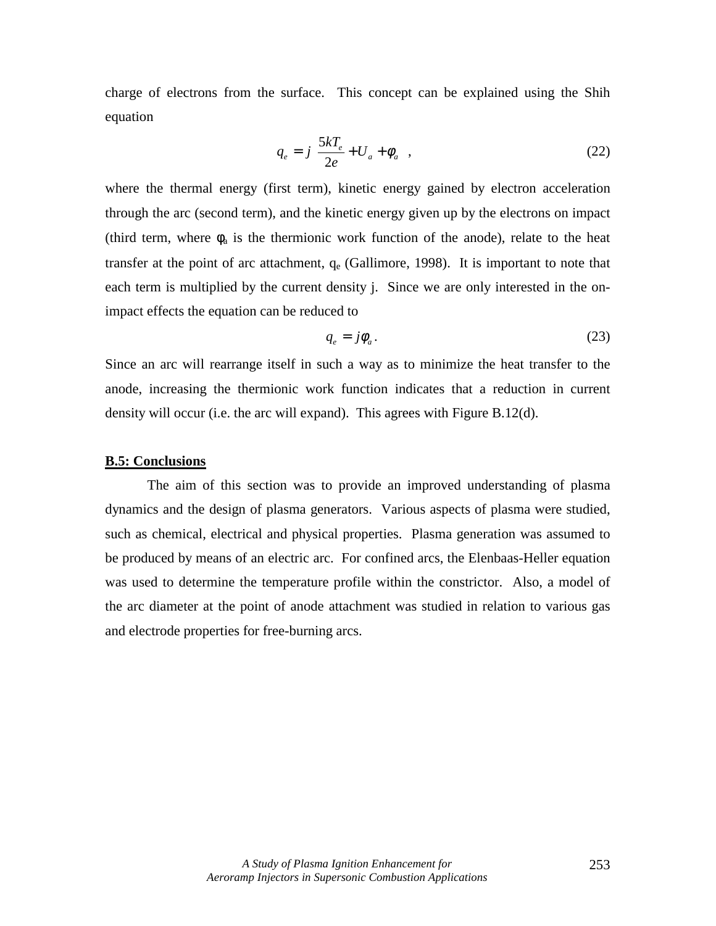charge of electrons from the surface. This concept can be explained using the Shih equation

$$
q_e = j \left[ \frac{5kT_e}{2e} + U_a + \phi_a \right],
$$
\n(22)

where the thermal energy (first term), kinetic energy gained by electron acceleration through the arc (second term), and the kinetic energy given up by the electrons on impact (third term, where  $\phi_a$  is the thermionic work function of the anode), relate to the heat transfer at the point of arc attachment,  $q_e$  (Gallimore, 1998). It is important to note that each term is multiplied by the current density j. Since we are only interested in the onimpact effects the equation can be reduced to

$$
q_e = j\phi_a. \tag{23}
$$

Since an arc will rearrange itself in such a way as to minimize the heat transfer to the anode, increasing the thermionic work function indicates that a reduction in current density will occur (i.e. the arc will expand). This agrees with Figure B.12(d).

# **B.5: Conclusions**

The aim of this section was to provide an improved understanding of plasma dynamics and the design of plasma generators. Various aspects of plasma were studied, such as chemical, electrical and physical properties. Plasma generation was assumed to be produced by means of an electric arc. For confined arcs, the Elenbaas-Heller equation was used to determine the temperature profile within the constrictor. Also, a model of the arc diameter at the point of anode attachment was studied in relation to various gas and electrode properties for free-burning arcs.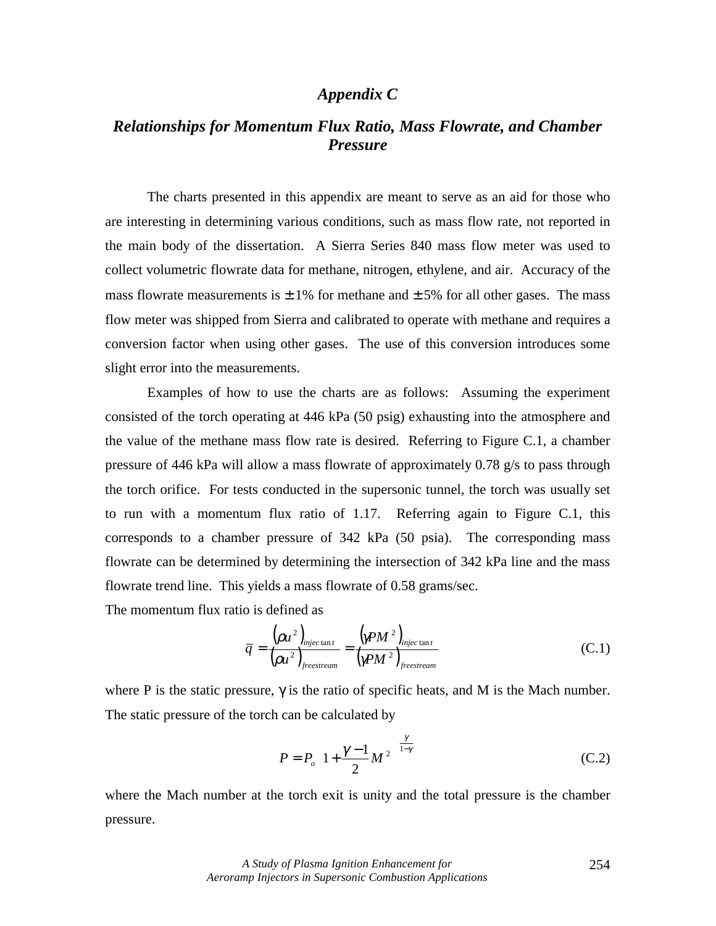# *Appendix C*

# *Relationships for Momentum Flux Ratio, Mass Flowrate, and Chamber Pressure*

The charts presented in this appendix are meant to serve as an aid for those who are interesting in determining various conditions, such as mass flow rate, not reported in the main body of the dissertation. A Sierra Series 840 mass flow meter was used to collect volumetric flowrate data for methane, nitrogen, ethylene, and air. Accuracy of the mass flowrate measurements is  $\pm$  1% for methane and  $\pm$  5% for all other gases. The mass flow meter was shipped from Sierra and calibrated to operate with methane and requires a conversion factor when using other gases. The use of this conversion introduces some slight error into the measurements.

Examples of how to use the charts are as follows: Assuming the experiment consisted of the torch operating at 446 kPa (50 psig) exhausting into the atmosphere and the value of the methane mass flow rate is desired. Referring to Figure C.1, a chamber pressure of 446 kPa will allow a mass flowrate of approximately 0.78 g/s to pass through the torch orifice. For tests conducted in the supersonic tunnel, the torch was usually set to run with a momentum flux ratio of 1.17. Referring again to Figure C.1, this corresponds to a chamber pressure of 342 kPa (50 psia). The corresponding mass flowrate can be determined by determining the intersection of 342 kPa line and the mass flowrate trend line. This yields a mass flowrate of 0.58 grams/sec.

The momentum flux ratio is defined as

$$
\overline{q} = \frac{(\rho u^2)_{\text{injectant}}}{{(\rho u^2)_{\text{free stream}}} = \frac{{(\gamma P M^2)_{\text{injectant}}}{{(\gamma P M^2)_{\text{free stream}}}}
$$
\n(C.1)

where P is the static pressure,  $\gamma$  is the ratio of specific heats, and M is the Mach number. The static pressure of the torch can be calculated by

$$
P = P_o \left( 1 + \frac{\gamma - 1}{2} M^2 \right)^{\frac{\gamma}{1 - \gamma}}
$$
 (C.2)

where the Mach number at the torch exit is unity and the total pressure is the chamber pressure.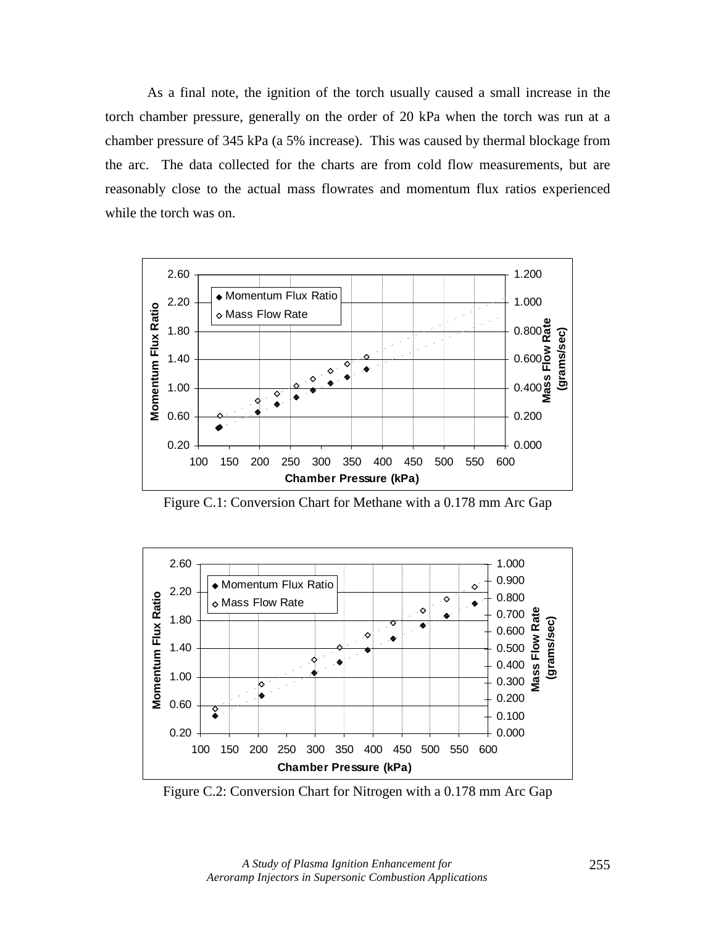As a final note, the ignition of the torch usually caused a small increase in the torch chamber pressure, generally on the order of 20 kPa when the torch was run at a chamber pressure of 345 kPa (a 5% increase). This was caused by thermal blockage from the arc. The data collected for the charts are from cold flow measurements, but are reasonably close to the actual mass flowrates and momentum flux ratios experienced while the torch was on.



Figure C.1: Conversion Chart for Methane with a 0.178 mm Arc Gap



Figure C.2: Conversion Chart for Nitrogen with a 0.178 mm Arc Gap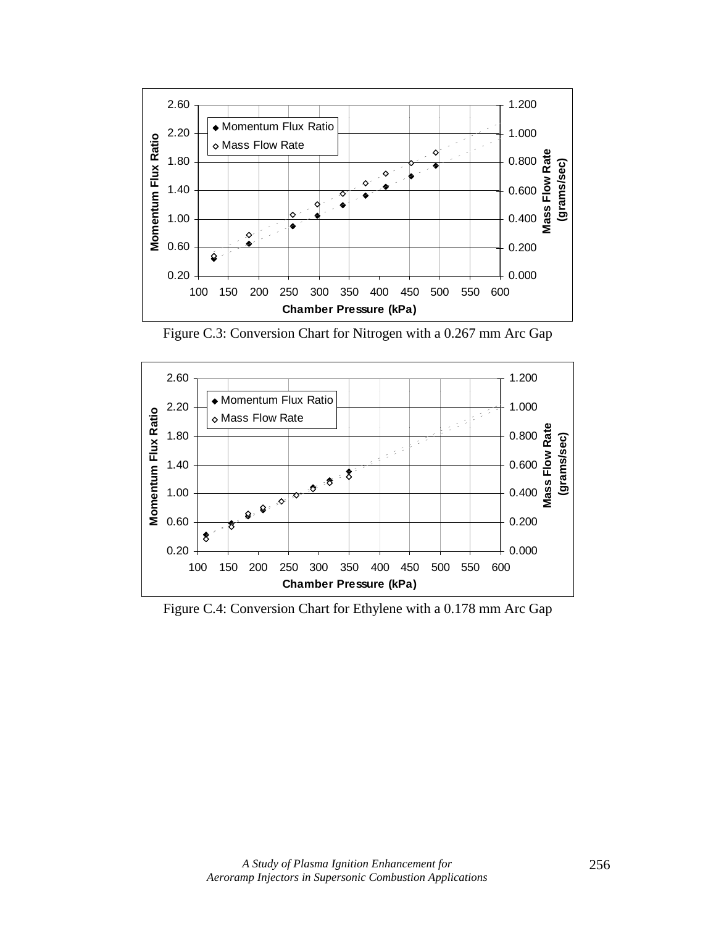

Figure C.3: Conversion Chart for Nitrogen with a 0.267 mm Arc Gap



Figure C.4: Conversion Chart for Ethylene with a 0.178 mm Arc Gap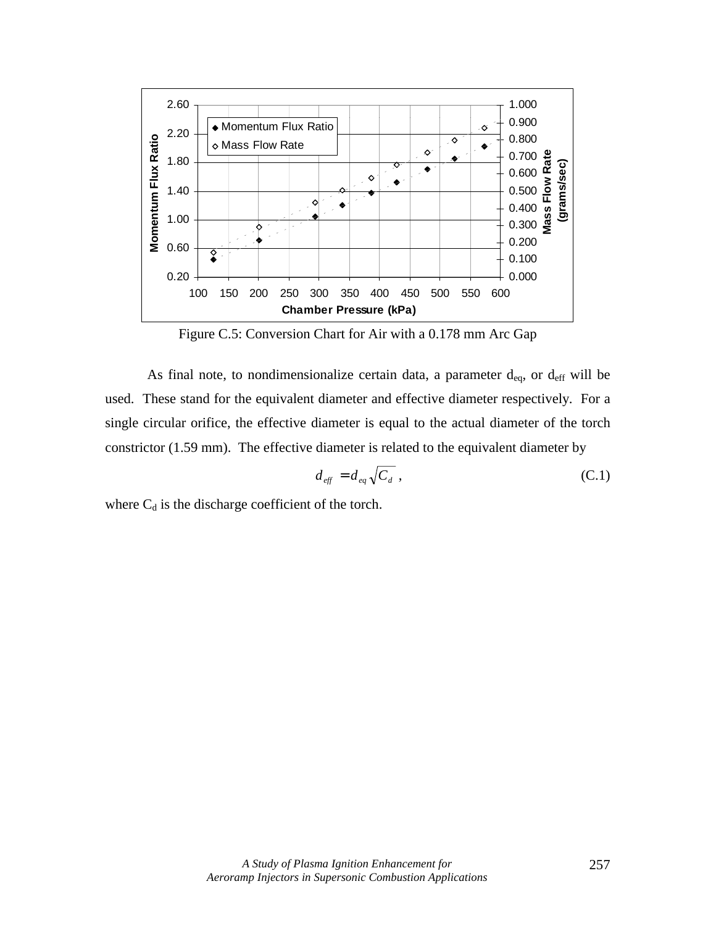

Figure C.5: Conversion Chart for Air with a 0.178 mm Arc Gap

As final note, to nondimensionalize certain data, a parameter  $d_{eq}$ , or  $d_{eff}$  will be used. These stand for the equivalent diameter and effective diameter respectively. For a single circular orifice, the effective diameter is equal to the actual diameter of the torch constrictor (1.59 mm). The effective diameter is related to the equivalent diameter by

$$
d_{\text{eff}} = d_{\text{eq}} \sqrt{C_d} \tag{C.1}
$$

where  $C_d$  is the discharge coefficient of the torch.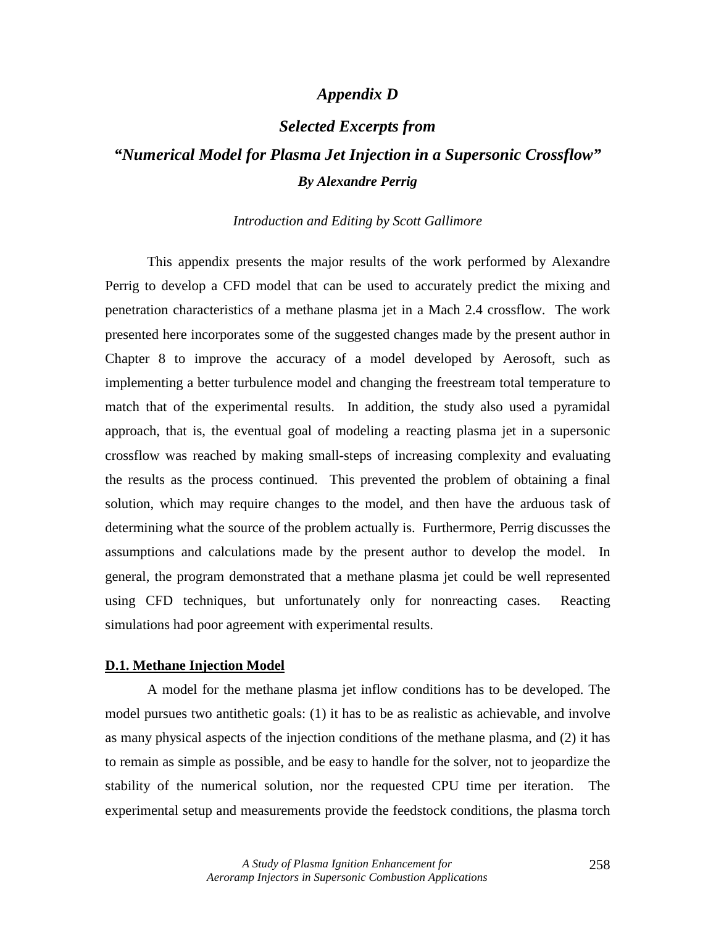# *Appendix D*

# *Selected Excerpts from*

# *"Numerical Model for Plasma Jet Injection in a Supersonic Crossflow" By Alexandre Perrig*

#### *Introduction and Editing by Scott Gallimore*

 This appendix presents the major results of the work performed by Alexandre Perrig to develop a CFD model that can be used to accurately predict the mixing and penetration characteristics of a methane plasma jet in a Mach 2.4 crossflow. The work presented here incorporates some of the suggested changes made by the present author in Chapter 8 to improve the accuracy of a model developed by Aerosoft, such as implementing a better turbulence model and changing the freestream total temperature to match that of the experimental results. In addition, the study also used a pyramidal approach, that is, the eventual goal of modeling a reacting plasma jet in a supersonic crossflow was reached by making small-steps of increasing complexity and evaluating the results as the process continued. This prevented the problem of obtaining a final solution, which may require changes to the model, and then have the arduous task of determining what the source of the problem actually is. Furthermore, Perrig discusses the assumptions and calculations made by the present author to develop the model. In general, the program demonstrated that a methane plasma jet could be well represented using CFD techniques, but unfortunately only for nonreacting cases. Reacting simulations had poor agreement with experimental results.

#### **D.1. Methane Injection Model**

A model for the methane plasma jet inflow conditions has to be developed. The model pursues two antithetic goals: (1) it has to be as realistic as achievable, and involve as many physical aspects of the injection conditions of the methane plasma, and (2) it has to remain as simple as possible, and be easy to handle for the solver, not to jeopardize the stability of the numerical solution, nor the requested CPU time per iteration. The experimental setup and measurements provide the feedstock conditions, the plasma torch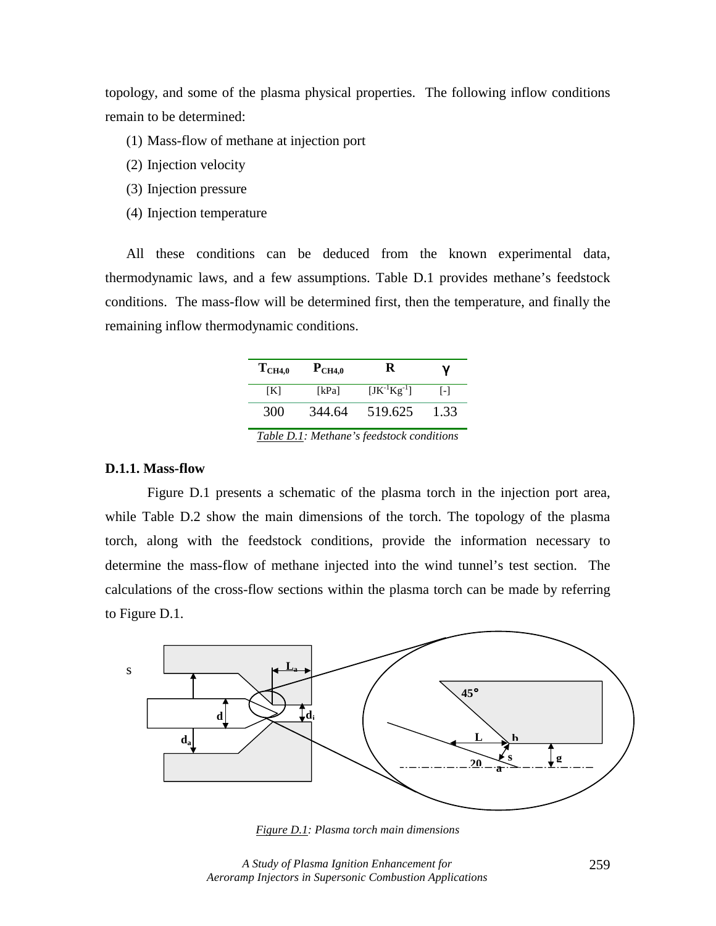topology, and some of the plasma physical properties. The following inflow conditions remain to be determined:

- (1) Mass-flow of methane at injection port
- (2) Injection velocity
- (3) Injection pressure
- (4) Injection temperature

All these conditions can be deduced from the known experimental data, thermodynamic laws, and a few assumptions. Table D.1 provides methane's feedstock conditions. The mass-flow will be determined first, then the temperature, and finally the remaining inflow thermodynamic conditions.

| $T_{CH4,0}$ | $P_{CH4,0}$ | ĸ                  | γ    |
|-------------|-------------|--------------------|------|
| IKI         | [kPa]       | $[JK^{-1}Kg^{-1}]$ | [-]  |
| 300         | 344.64      | 519.625            | 1.33 |

*Table D.1: Methane's feedstock conditions* 

## **D.1.1. Mass-flow**

Figure D.1 presents a schematic of the plasma torch in the injection port area, while Table D.2 show the main dimensions of the torch. The topology of the plasma torch, along with the feedstock conditions, provide the information necessary to determine the mass-flow of methane injected into the wind tunnel's test section. The calculations of the cross-flow sections within the plasma torch can be made by referring to Figure D.1.



*Figure D.1: Plasma torch main dimensions* 

*A Study of Plasma Ignition Enhancement for Aeroramp Injectors in Supersonic Combustion Applications*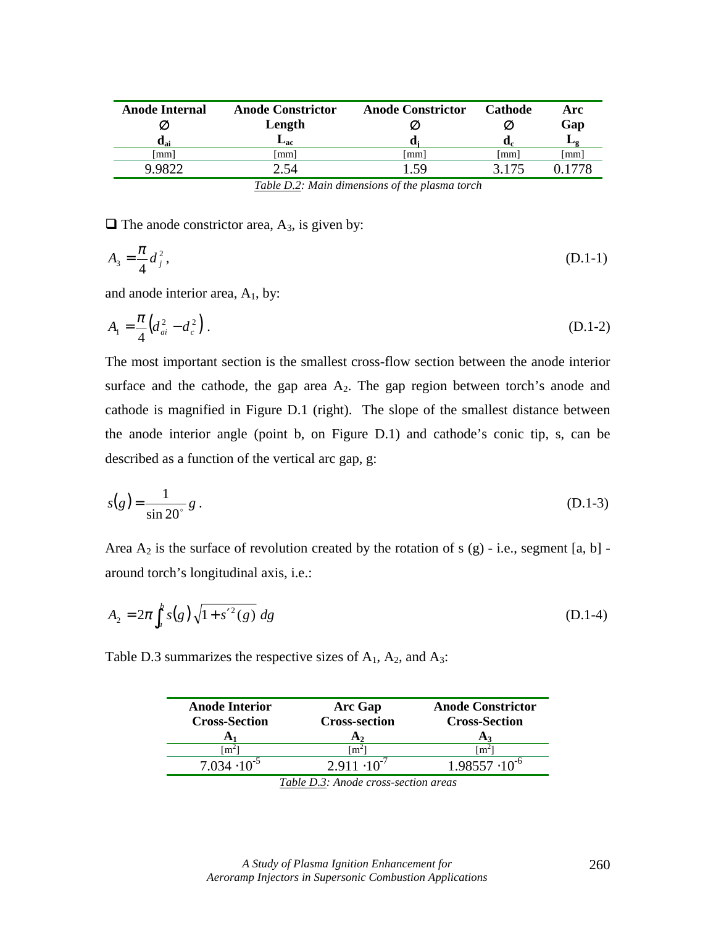| <b>Anode Internal</b><br>$\mathbf{d}_{\mathbf{ai}}$ | <b>Anode Constrictor</b><br>Length<br>$\mathbf{L}_{\mathbf{ac}}$ | <b>Anode Constrictor</b><br>K<br>u: | <b>Cathode</b><br>d. | Arc<br>Gap<br>ப      |
|-----------------------------------------------------|------------------------------------------------------------------|-------------------------------------|----------------------|----------------------|
| $\lceil$ mm $\rceil$                                | $\lceil$ mm $\rceil$                                             | $\lceil$ mm $\rceil$                | [mm]                 | $\lceil$ mm $\rceil$ |
| 9.9822                                              | 2.54                                                             | .59                                 | 3.175                | i 1778               |

*Table D.2: Main dimensions of the plasma torch* 

 $\Box$  The anode constrictor area, A<sub>3</sub>, is given by:

$$
A_3 = \frac{\pi}{4} d_j^2, \tag{D.1-1}
$$

and anode interior area,  $A_1$ , by:

$$
A_1 = \frac{\pi}{4} \left( d_{ai}^2 - d_c^2 \right). \tag{D.1-2}
$$

The most important section is the smallest cross-flow section between the anode interior surface and the cathode, the gap area  $A_2$ . The gap region between torch's anode and cathode is magnified in Figure D.1 (right). The slope of the smallest distance between the anode interior angle (point b, on Figure D.1) and cathode's conic tip, s, can be described as a function of the vertical arc gap, g:

$$
s(g) = \frac{1}{\sin 20^{\circ}} g .
$$
 (D.1-3)

Area  $A_2$  is the surface of revolution created by the rotation of s (g) - i.e., segment [a, b] around torch's longitudinal axis, i.e.:

$$
A_2 = 2\pi \int_a^b s(g) \sqrt{1 + s'^2(g)} \, dg \tag{D.1-4}
$$

Table D.3 summarizes the respective sizes of  $A_1$ ,  $A_2$ , and  $A_3$ :

| <b>Anode Interior</b><br><b>Cross-Section</b> | <b>Arc Gap</b><br><b>Cross-section</b><br>A <sub>2</sub> | <b>Anode Constrictor</b><br><b>Cross-Section</b><br>$A_3$ |
|-----------------------------------------------|----------------------------------------------------------|-----------------------------------------------------------|
| $\lceil m^2 \rceil$                           | $\mathsf{Im}^{\mathscr{L}}$                              | $\text{Im}^2$                                             |
| $7.034 \cdot 10^{-5}$                         | $2.911 \cdot 10^{-7}$                                    | $1.98557 \cdot 10^{-6}$                                   |

*Table D.3: Anode cross-section areas*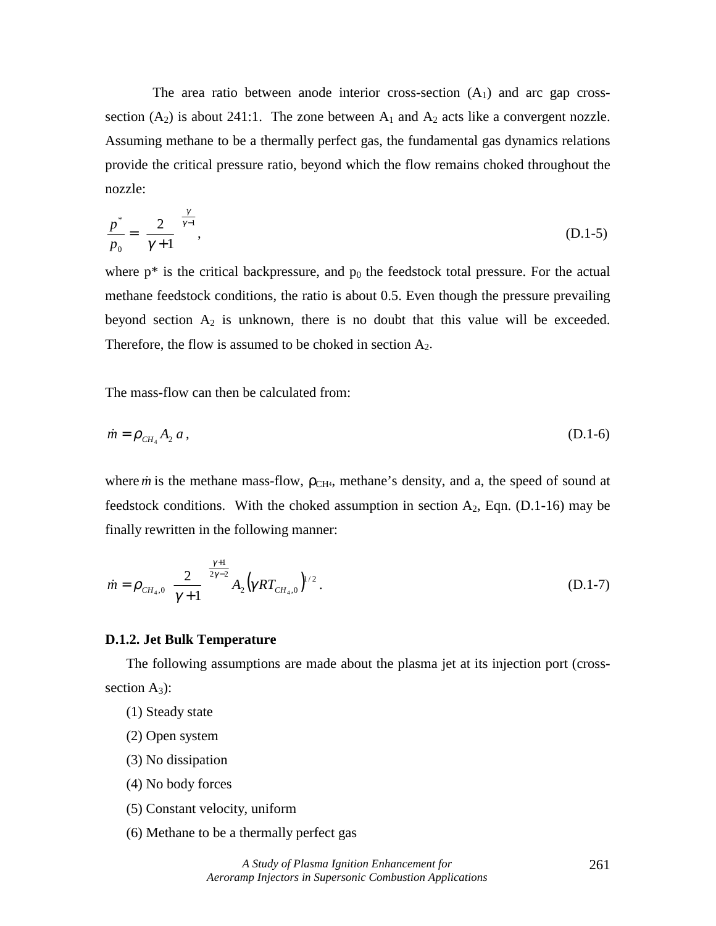The area ratio between anode interior cross-section  $(A<sub>1</sub>)$  and arc gap crosssection  $(A_2)$  is about 241:1. The zone between  $A_1$  and  $A_2$  acts like a convergent nozzle. Assuming methane to be a thermally perfect gas, the fundamental gas dynamics relations provide the critical pressure ratio, beyond which the flow remains choked throughout the nozzle:

$$
\frac{p^*}{p_0} = \left(\frac{2}{\gamma + 1}\right)^{\frac{\gamma}{\gamma - 1}},\tag{D.1-5}
$$

where  $p^*$  is the critical backpressure, and  $p_0$  the feedstock total pressure. For the actual methane feedstock conditions, the ratio is about 0.5. Even though the pressure prevailing beyond section  $A_2$  is unknown, there is no doubt that this value will be exceeded. Therefore, the flow is assumed to be choked in section  $A_2$ .

The mass-flow can then be calculated from:

$$
\dot{m} = \rho_{\text{CH}_4} A_2 a \,, \tag{D.1-6}
$$

where  $\dot{m}$  is the methane mass-flow,  $\rho_{\text{CH}_4}$ , methane's density, and a, the speed of sound at feedstock conditions. With the choked assumption in section  $A_2$ , Eqn. (D.1-16) may be finally rewritten in the following manner:

$$
\dot{m} = \rho_{\scriptscriptstyle CH_4,0} \left( \frac{2}{\gamma+1} \right)^{\frac{\gamma+1}{2\gamma-2}} A_2 \left( \gamma RT_{\scriptscriptstyle CH_4,0} \right)^{\gamma/2} . \tag{D.1-7}
$$

#### **D.1.2. Jet Bulk Temperature**

The following assumptions are made about the plasma jet at its injection port (crosssection  $A_3$ :

- (1) Steady state
- (2) Open system
- (3) No dissipation
- (4) No body forces
- (5) Constant velocity, uniform
- (6) Methane to be a thermally perfect gas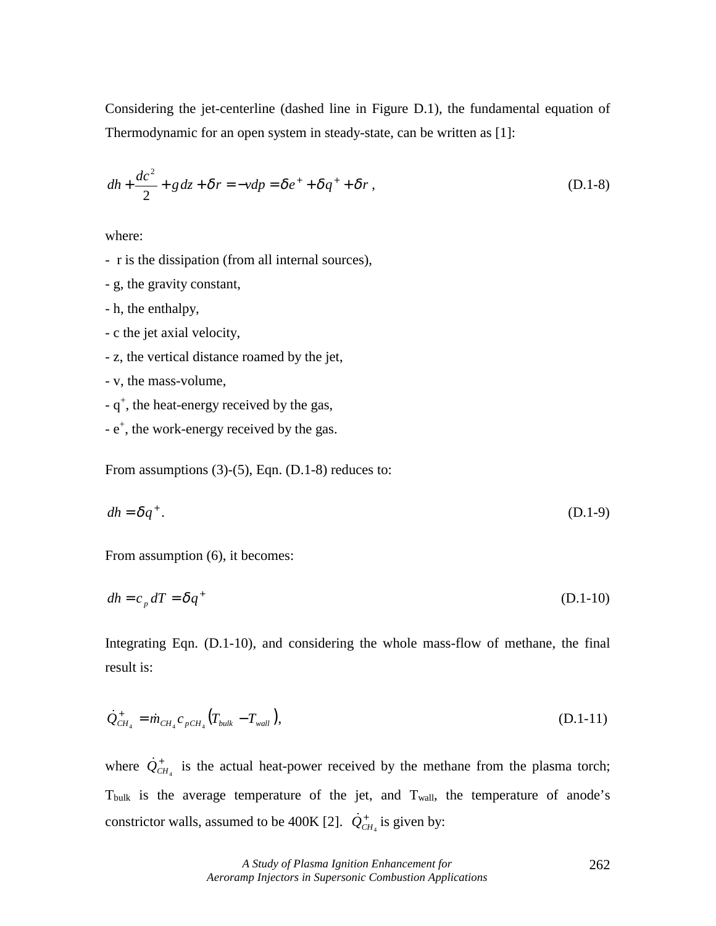Considering the jet-centerline (dashed line in Figure D.1), the fundamental equation of Thermodynamic for an open system in steady-state, can be written as [1]:

$$
dh + \frac{dc^2}{2} + g dz + \delta r = -vdp = \delta e^+ + \delta q^+ + \delta r,
$$
 (D.1-8)

where:

- r is the dissipation (from all internal sources),

- g, the gravity constant,
- h, the enthalpy,
- c the jet axial velocity,
- z, the vertical distance roamed by the jet,
- v, the mass-volume,
- $-q^+$ , the heat-energy received by the gas,
- $-e^{+}$ , the work-energy received by the gas.

From assumptions  $(3)-(5)$ , Eqn.  $(D.1-8)$  reduces to:

$$
dh = \delta q^+ \tag{D.1-9}
$$

From assumption (6), it becomes:

$$
dh = c_p dT = \delta q^+ \tag{D.1-10}
$$

Integrating Eqn. (D.1-10), and considering the whole mass-flow of methane, the final result is:

$$
\dot{Q}_{CH_4}^+ = \dot{m}_{CH_4} c_{pCH_4} (T_{bulk} - T_{wall}), \qquad (D.1-11)
$$

where  $\dot{Q}_{CH_4}^+$  is the actual heat-power received by the methane from the plasma torch;  $T_{\text{bulk}}$  is the average temperature of the jet, and  $T_{\text{wall}}$ , the temperature of anode's constrictor walls, assumed to be 400K [2].  $\dot{Q}_{CH_4}^+$  is given by: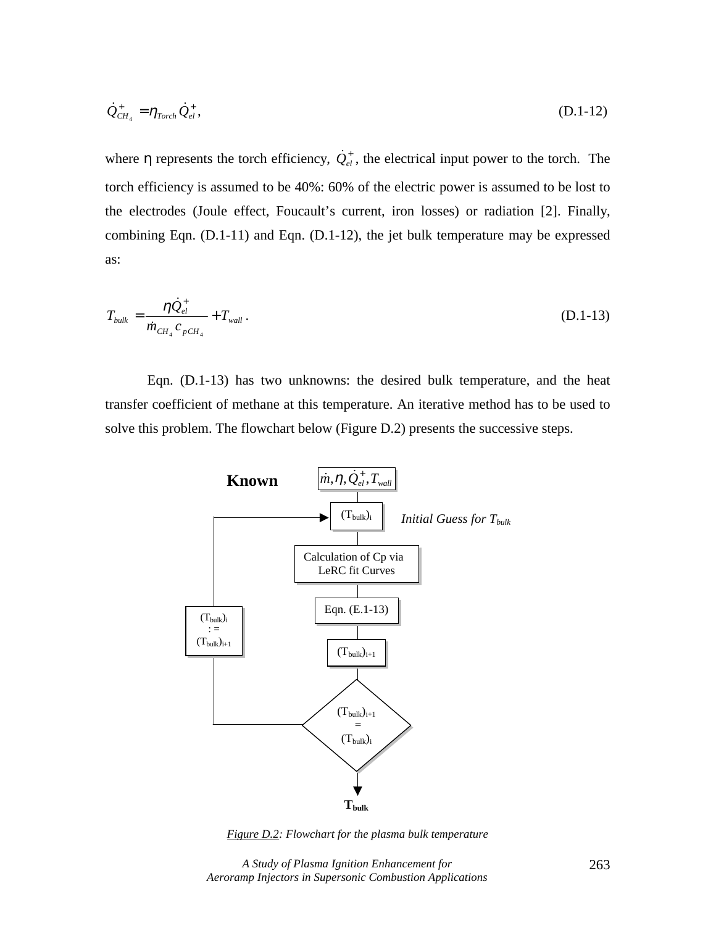$$
\dot{Q}_{CH_4}^+ = \eta_{Torch} \dot{Q}_{el}^+, \tag{D.1-12}
$$

where  $\eta$  represents the torch efficiency,  $\dot{Q}_{el}^+$ , the electrical input power to the torch. The torch efficiency is assumed to be 40%: 60% of the electric power is assumed to be lost to the electrodes (Joule effect, Foucault's current, iron losses) or radiation [2]. Finally, combining Eqn. (D.1-11) and Eqn. (D.1-12), the jet bulk temperature may be expressed as:

$$
T_{bulk} = \frac{\eta \dot{Q}_{el}^+}{\dot{m}_{CH_4} c_{pCH_4}} + T_{wall} \,. \tag{D.1-13}
$$

Eqn. (D.1-13) has two unknowns: the desired bulk temperature, and the heat transfer coefficient of methane at this temperature. An iterative method has to be used to solve this problem. The flowchart below (Figure D.2) presents the successive steps.



*Figure D.2: Flowchart for the plasma bulk temperature* 

*A Study of Plasma Ignition Enhancement for Aeroramp Injectors in Supersonic Combustion Applications*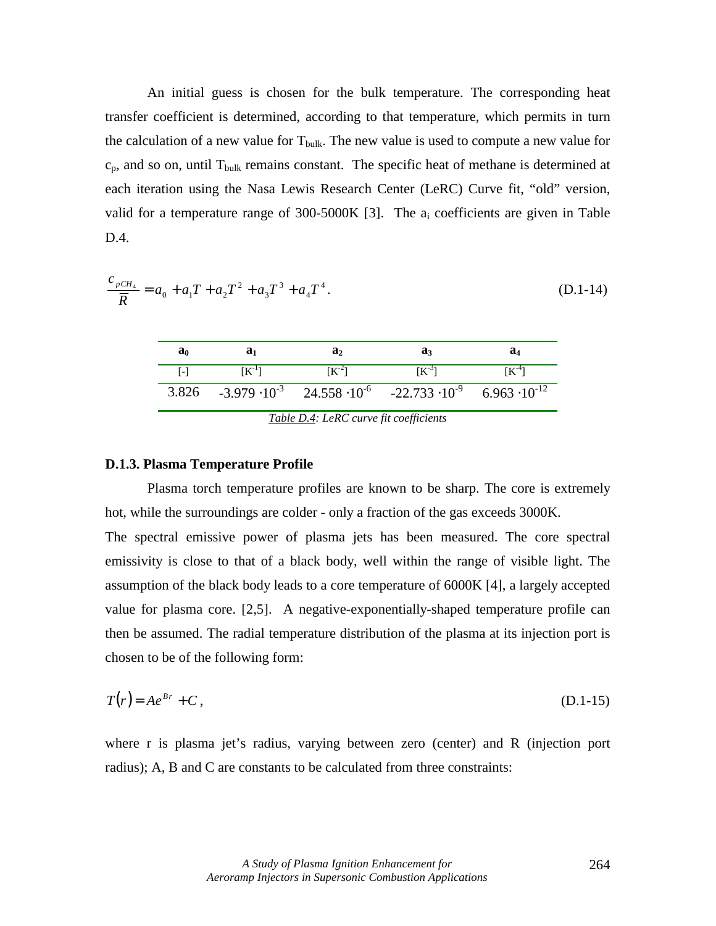An initial guess is chosen for the bulk temperature. The corresponding heat transfer coefficient is determined, according to that temperature, which permits in turn the calculation of a new value for  $T_{bulk}$ . The new value is used to compute a new value for  $c_p$ , and so on, until  $T_{bulk}$  remains constant. The specific heat of methane is determined at each iteration using the Nasa Lewis Research Center (LeRC) Curve fit, "old" version, valid for a temperature range of  $300-5000K$  [3]. The  $a_i$  coefficients are given in Table D.4.

$$
\frac{c_{pCH_4}}{\overline{R}} = a_0 + a_1 T + a_2 T^2 + a_3 T^3 + a_4 T^4.
$$
 (D.1-14)

| $[K^{-3}]$<br>$[K^{-2}]$<br>$\lceil - \rceil$<br>$[K^{-1}]$                                        |  |
|----------------------------------------------------------------------------------------------------|--|
|                                                                                                    |  |
| 3.826 $-3.979 \cdot 10^{-3}$ 24.558 $\cdot 10^{-6}$ $-22.733 \cdot 10^{-9}$ 6.963 $\cdot 10^{-12}$ |  |

*Table D.4: LeRC curve fit coefficients* 

#### **D.1.3. Plasma Temperature Profile**

Plasma torch temperature profiles are known to be sharp. The core is extremely hot, while the surroundings are colder - only a fraction of the gas exceeds 3000K. The spectral emissive power of plasma jets has been measured. The core spectral emissivity is close to that of a black body, well within the range of visible light. The assumption of the black body leads to a core temperature of 6000K [4], a largely accepted value for plasma core. [2,5]. A negative-exponentially-shaped temperature profile can then be assumed. The radial temperature distribution of the plasma at its injection port is chosen to be of the following form:

$$
T(r) = Ae^{Br} + C,
$$
 (D.1-15)

where r is plasma jet's radius, varying between zero (center) and R (injection port radius); A, B and C are constants to be calculated from three constraints: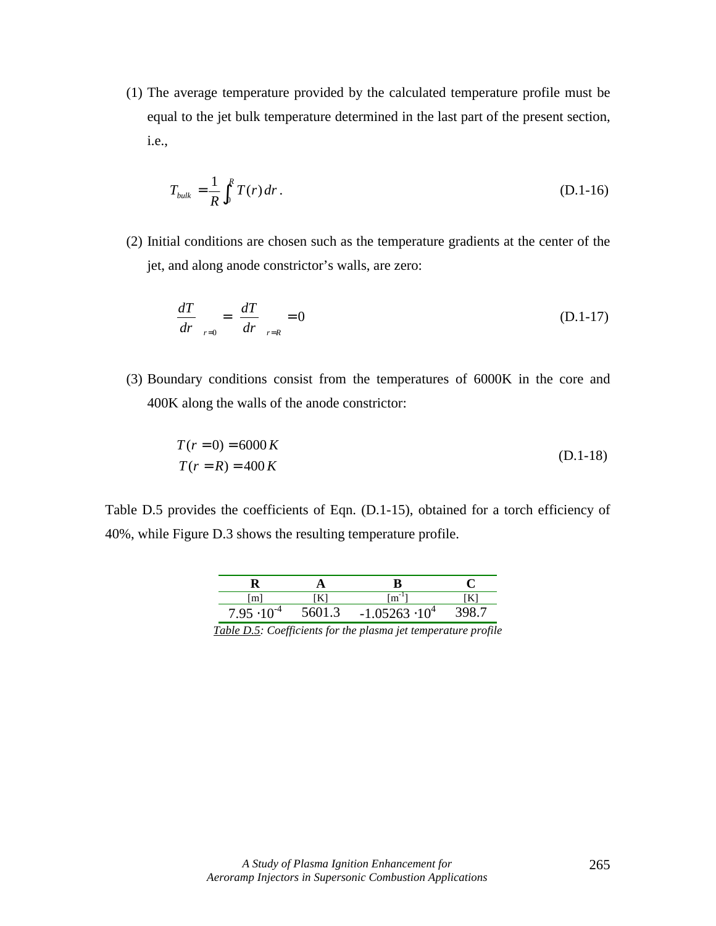(1) The average temperature provided by the calculated temperature profile must be equal to the jet bulk temperature determined in the last part of the present section, i.e.,

$$
T_{bulk} = \frac{1}{R} \int_0^R T(r) \, dr \,. \tag{D.1-16}
$$

(2) Initial conditions are chosen such as the temperature gradients at the center of the jet, and along anode constrictor's walls, are zero:

$$
\left(\frac{dT}{dr}\right)_{r=0} = \left(\frac{dT}{dr}\right)_{r=R} = 0\tag{D.1-17}
$$

(3) Boundary conditions consist from the temperatures of 6000K in the core and 400K along the walls of the anode constrictor:

$$
\begin{cases}\nT(r=0) = 6000 K \\
T(r=R) = 400 K\n\end{cases}
$$
\n(D.1-18)

Table D.5 provides the coefficients of Eqn. (D.1-15), obtained for a torch efficiency of 40%, while Figure D.3 shows the resulting temperature profile.

| [m]                  |        | $m^{-1}$                |  |
|----------------------|--------|-------------------------|--|
| $7.95 \cdot 10^{-4}$ | 5601.3 | $-1.05263 \cdot 10^{4}$ |  |

*Table D.5: Coefficients for the plasma jet temperature profile*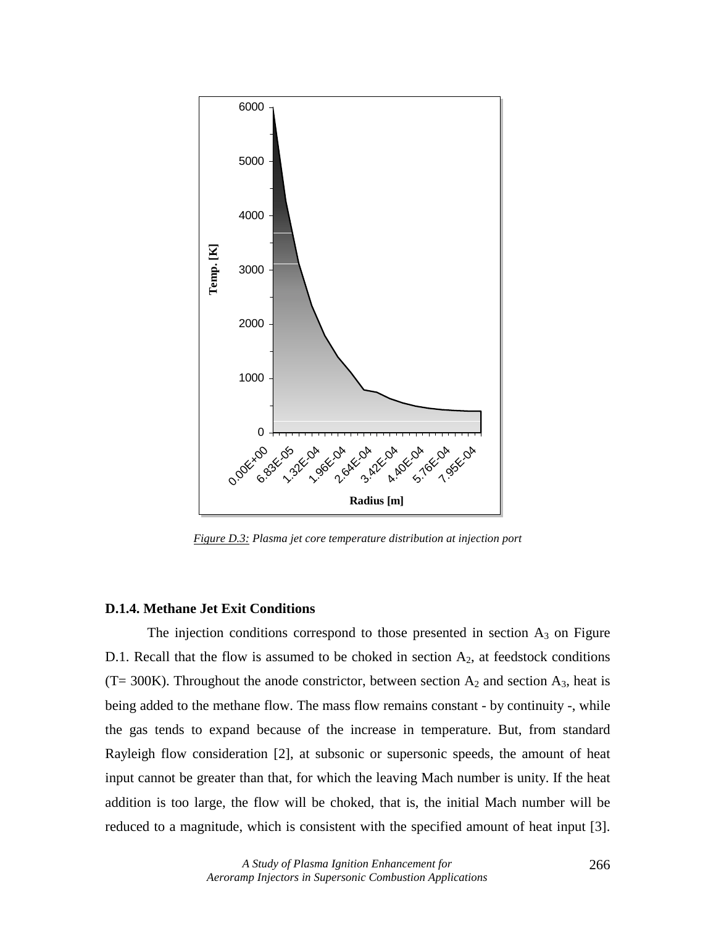

*Figure D.3: Plasma jet core temperature distribution at injection port* 

## **D.1.4. Methane Jet Exit Conditions**

The injection conditions correspond to those presented in section  $A_3$  on Figure D.1. Recall that the flow is assumed to be choked in section  $A_2$ , at feedstock conditions (T= 300K). Throughout the anode constrictor, between section  $A_2$  and section  $A_3$ , heat is being added to the methane flow. The mass flow remains constant - by continuity -, while the gas tends to expand because of the increase in temperature. But, from standard Rayleigh flow consideration [2], at subsonic or supersonic speeds, the amount of heat input cannot be greater than that, for which the leaving Mach number is unity. If the heat addition is too large, the flow will be choked, that is, the initial Mach number will be reduced to a magnitude, which is consistent with the specified amount of heat input [3].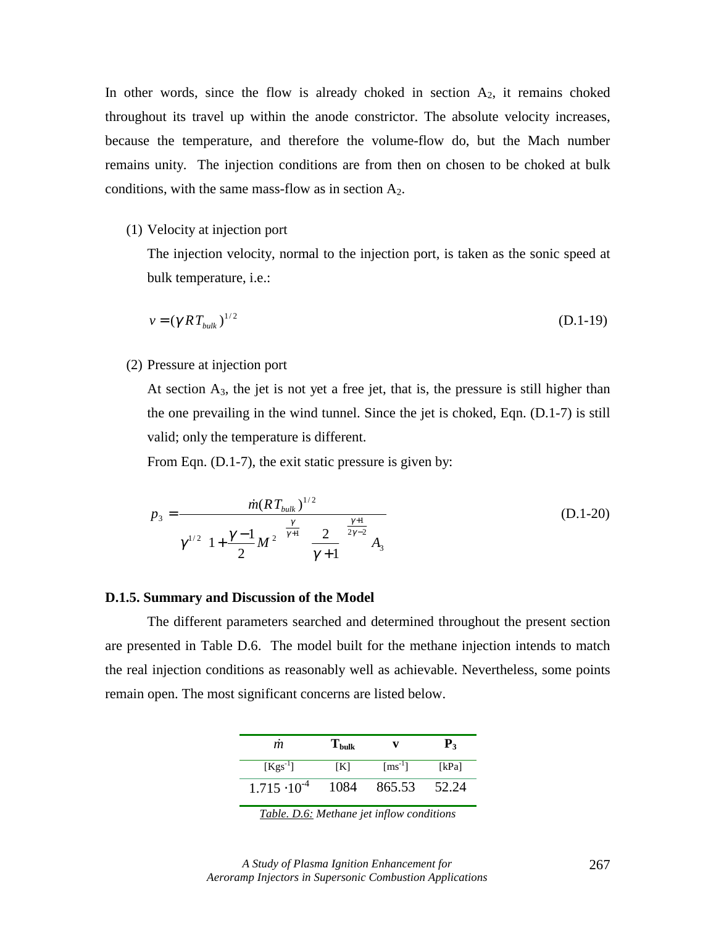In other words, since the flow is already choked in section  $A_2$ , it remains choked throughout its travel up within the anode constrictor. The absolute velocity increases, because the temperature, and therefore the volume-flow do, but the Mach number remains unity. The injection conditions are from then on chosen to be choked at bulk conditions, with the same mass-flow as in section  $A_2$ .

(1) Velocity at injection port

The injection velocity, normal to the injection port, is taken as the sonic speed at bulk temperature, i.e.:

$$
v = (\gamma RT_{bulk})^{1/2} \tag{D.1-19}
$$

(2) Pressure at injection port

At section  $A_3$ , the jet is not yet a free jet, that is, the pressure is still higher than the one prevailing in the wind tunnel. Since the jet is choked, Eqn. (D.1-7) is still valid; only the temperature is different.

From Eqn. (D.1-7), the exit static pressure is given by:

$$
p_3 = \frac{\dot{m}(RT_{bulk})^{1/2}}{\gamma^{1/2} \left(1 + \frac{\gamma - 1}{2} M^2\right)^{\frac{\gamma}{\gamma + 1}} \left(\frac{2}{\gamma + 1}\right)^{\frac{\gamma + 1}{2\gamma - 2}} A_3}
$$
(D.1-20)

#### **D.1.5. Summary and Discussion of the Model**

The different parameters searched and determined throughout the present section are presented in Table D.6. The model built for the methane injection intends to match the real injection conditions as reasonably well as achievable. Nevertheless, some points remain open. The most significant concerns are listed below.

| m                     | $\mathbf{T}_{\text{bulk}}$ |                                | $P_{3}$ |
|-----------------------|----------------------------|--------------------------------|---------|
| $[Kgs^{-1}]$          | [K]                        | $\lceil \text{ms}^{-1} \rceil$ | [kPa]   |
| $1.715 \cdot 10^{-4}$ | 1084                       | 865.53                         | 52.24   |

*Table. D.6: Methane jet inflow conditions*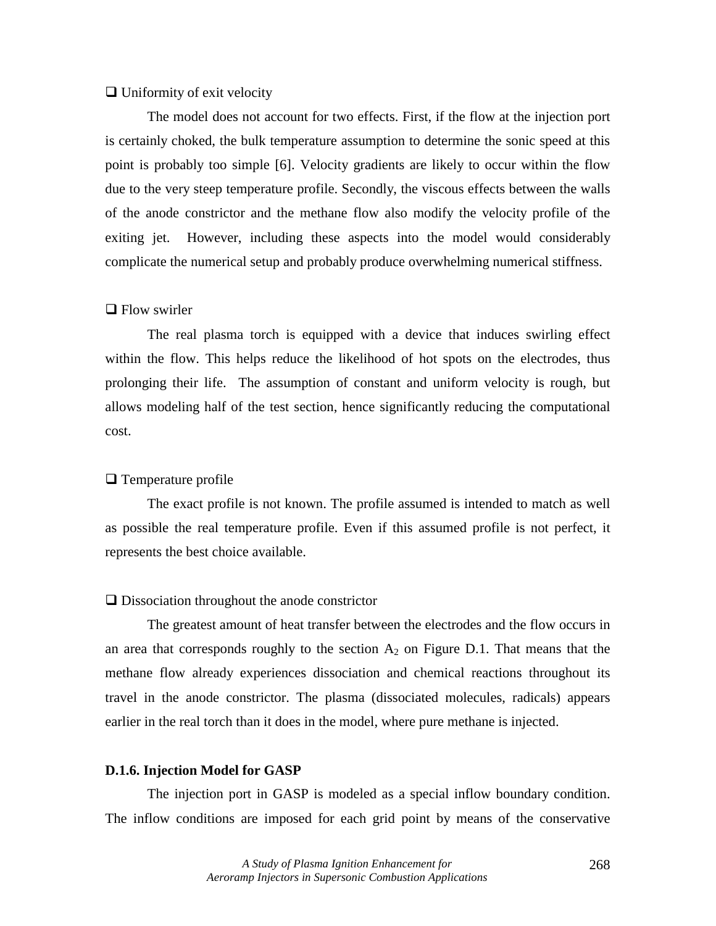# $\Box$  Uniformity of exit velocity

The model does not account for two effects. First, if the flow at the injection port is certainly choked, the bulk temperature assumption to determine the sonic speed at this point is probably too simple [6]. Velocity gradients are likely to occur within the flow due to the very steep temperature profile. Secondly, the viscous effects between the walls of the anode constrictor and the methane flow also modify the velocity profile of the exiting jet. However, including these aspects into the model would considerably complicate the numerical setup and probably produce overwhelming numerical stiffness.

## $\Box$  Flow swirler

The real plasma torch is equipped with a device that induces swirling effect within the flow. This helps reduce the likelihood of hot spots on the electrodes, thus prolonging their life. The assumption of constant and uniform velocity is rough, but allows modeling half of the test section, hence significantly reducing the computational cost.

#### $\Box$  Temperature profile

The exact profile is not known. The profile assumed is intended to match as well as possible the real temperature profile. Even if this assumed profile is not perfect, it represents the best choice available.

## $\Box$  Dissociation throughout the anode constrictor

The greatest amount of heat transfer between the electrodes and the flow occurs in an area that corresponds roughly to the section  $A_2$  on Figure D.1. That means that the methane flow already experiences dissociation and chemical reactions throughout its travel in the anode constrictor. The plasma (dissociated molecules, radicals) appears earlier in the real torch than it does in the model, where pure methane is injected.

#### **D.1.6. Injection Model for GASP**

The injection port in GASP is modeled as a special inflow boundary condition. The inflow conditions are imposed for each grid point by means of the conservative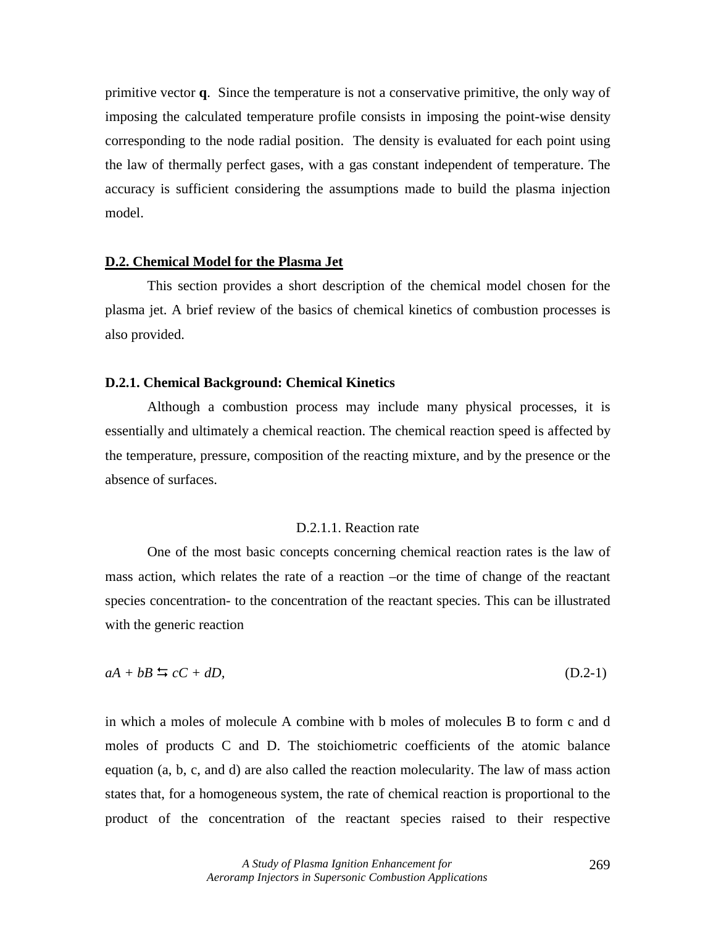primitive vector **q**. Since the temperature is not a conservative primitive, the only way of imposing the calculated temperature profile consists in imposing the point-wise density corresponding to the node radial position. The density is evaluated for each point using the law of thermally perfect gases, with a gas constant independent of temperature. The accuracy is sufficient considering the assumptions made to build the plasma injection model.

#### **D.2. Chemical Model for the Plasma Jet**

This section provides a short description of the chemical model chosen for the plasma jet. A brief review of the basics of chemical kinetics of combustion processes is also provided.

#### **D.2.1. Chemical Background: Chemical Kinetics**

Although a combustion process may include many physical processes, it is essentially and ultimately a chemical reaction. The chemical reaction speed is affected by the temperature, pressure, composition of the reacting mixture, and by the presence or the absence of surfaces.

## D.2.1.1. Reaction rate

One of the most basic concepts concerning chemical reaction rates is the law of mass action, which relates the rate of a reaction –or the time of change of the reactant species concentration- to the concentration of the reactant species. This can be illustrated with the generic reaction

$$
aA + bB \leq cC + dD,\tag{D.2-1}
$$

in which a moles of molecule A combine with b moles of molecules B to form c and d moles of products C and D. The stoichiometric coefficients of the atomic balance equation (a, b, c, and d) are also called the reaction molecularity. The law of mass action states that, for a homogeneous system, the rate of chemical reaction is proportional to the product of the concentration of the reactant species raised to their respective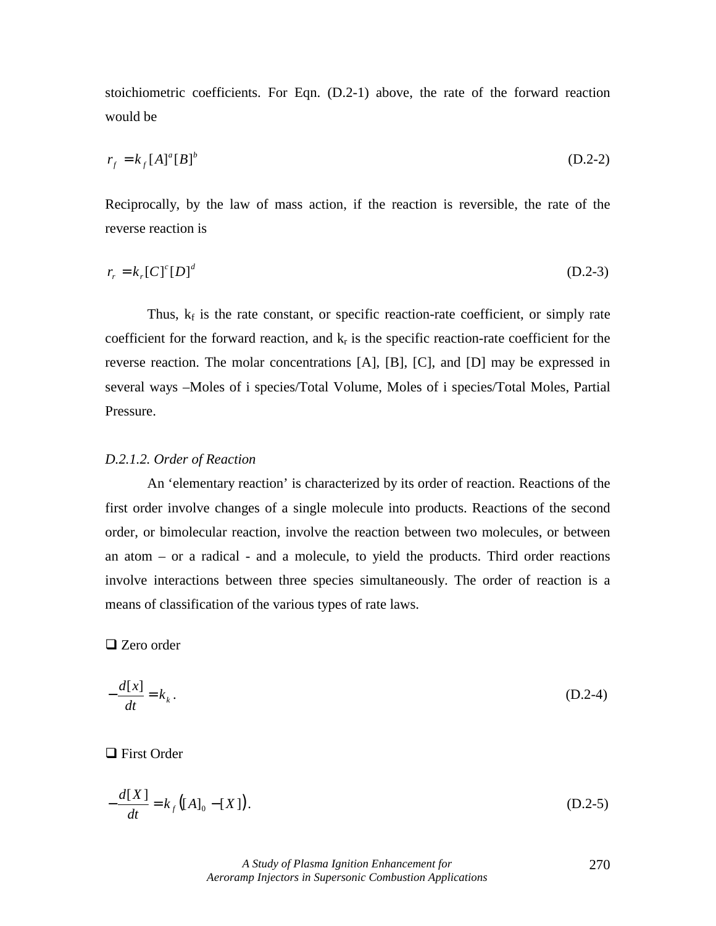stoichiometric coefficients. For Eqn. (D.2-1) above, the rate of the forward reaction would be

$$
r_f = k_f [A]^a [B]^b \tag{D.2-2}
$$

Reciprocally, by the law of mass action, if the reaction is reversible, the rate of the reverse reaction is

$$
r_r = k_r [C]^c [D]^d \tag{D.2-3}
$$

Thus,  $k_f$  is the rate constant, or specific reaction-rate coefficient, or simply rate coefficient for the forward reaction, and  $k_r$  is the specific reaction-rate coefficient for the reverse reaction. The molar concentrations [A], [B], [C], and [D] may be expressed in several ways –Moles of i species/Total Volume, Moles of i species/Total Moles, Partial Pressure.

#### *D.2.1.2. Order of Reaction*

An 'elementary reaction' is characterized by its order of reaction. Reactions of the first order involve changes of a single molecule into products. Reactions of the second order, or bimolecular reaction, involve the reaction between two molecules, or between an atom – or a radical - and a molecule, to yield the products. Third order reactions involve interactions between three species simultaneously. The order of reaction is a means of classification of the various types of rate laws.

 $\Box$  Zero order

$$
-\frac{d[x]}{dt} = k_k.
$$
 (D.2-4)

 $\Box$  First Order

$$
-\frac{d[X]}{dt} = k_f ([A]_0 - [X]).
$$
 (D.2-5)

*A Study of Plasma Ignition Enhancement for Aeroramp Injectors in Supersonic Combustion Applications* 

270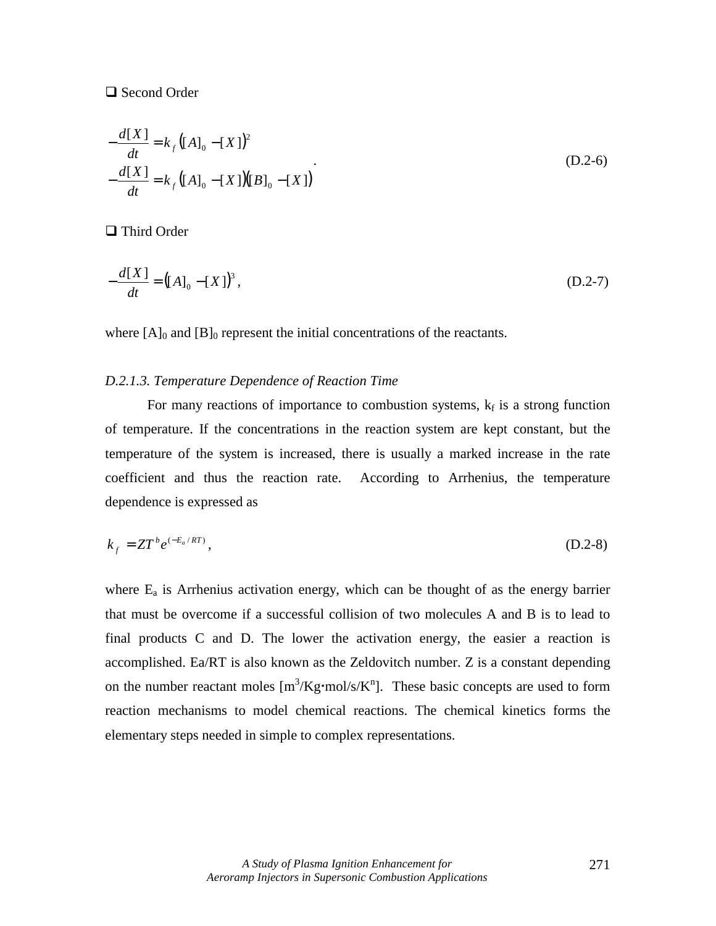# □ Second Order

$$
-\frac{d[X]}{dt} = k_f ([A]_0 - [X])^2
$$
  

$$
-\frac{d[X]}{dt} = k_f ([A]_0 - [X])[B]_0 - [X])
$$
 (D.2-6)

 $\Box$  Third Order

$$
-\frac{d[X]}{dt} = ([A]_0 - [X])^3,
$$
 (D.2-7)

where  $[A]_0$  and  $[B]_0$  represent the initial concentrations of the reactants.

# *D.2.1.3. Temperature Dependence of Reaction Time*

For many reactions of importance to combustion systems,  $k_f$  is a strong function of temperature. If the concentrations in the reaction system are kept constant, but the temperature of the system is increased, there is usually a marked increase in the rate coefficient and thus the reaction rate. According to Arrhenius, the temperature dependence is expressed as

$$
k_f = ZT^b e^{(-E_a/RT)}, \tag{D.2-8}
$$

where  $E_a$  is Arrhenius activation energy, which can be thought of as the energy barrier that must be overcome if a successful collision of two molecules A and B is to lead to final products C and D. The lower the activation energy, the easier a reaction is accomplished. Ea/RT is also known as the Zeldovitch number. Z is a constant depending on the number reactant moles  $[m^3/Kg \cdot mol/s/K^n]$ . These basic concepts are used to form reaction mechanisms to model chemical reactions. The chemical kinetics forms the elementary steps needed in simple to complex representations.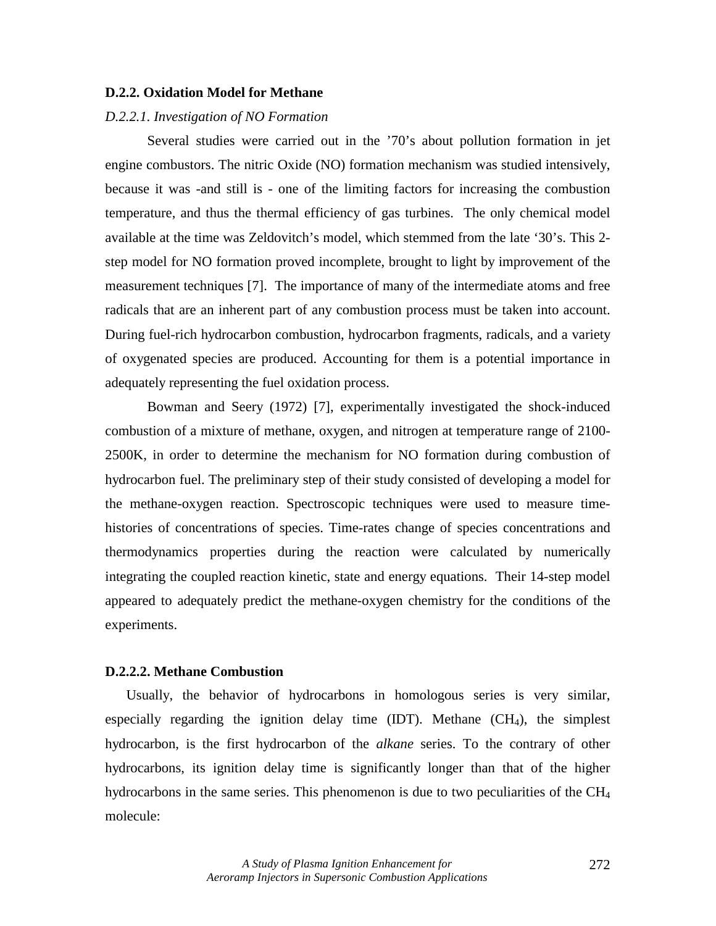#### **D.2.2. Oxidation Model for Methane**

## *D.2.2.1. Investigation of NO Formation*

Several studies were carried out in the '70's about pollution formation in jet engine combustors. The nitric Oxide (NO) formation mechanism was studied intensively, because it was -and still is - one of the limiting factors for increasing the combustion temperature, and thus the thermal efficiency of gas turbines. The only chemical model available at the time was Zeldovitch's model, which stemmed from the late '30's. This 2 step model for NO formation proved incomplete, brought to light by improvement of the measurement techniques [7]. The importance of many of the intermediate atoms and free radicals that are an inherent part of any combustion process must be taken into account. During fuel-rich hydrocarbon combustion, hydrocarbon fragments, radicals, and a variety of oxygenated species are produced. Accounting for them is a potential importance in adequately representing the fuel oxidation process.

Bowman and Seery (1972) [7], experimentally investigated the shock-induced combustion of a mixture of methane, oxygen, and nitrogen at temperature range of 2100- 2500K, in order to determine the mechanism for NO formation during combustion of hydrocarbon fuel. The preliminary step of their study consisted of developing a model for the methane-oxygen reaction. Spectroscopic techniques were used to measure timehistories of concentrations of species. Time-rates change of species concentrations and thermodynamics properties during the reaction were calculated by numerically integrating the coupled reaction kinetic, state and energy equations. Their 14-step model appeared to adequately predict the methane-oxygen chemistry for the conditions of the experiments.

## **D.2.2.2. Methane Combustion**

Usually, the behavior of hydrocarbons in homologous series is very similar, especially regarding the ignition delay time  $(IDT)$ . Methane  $(CH<sub>4</sub>)$ , the simplest hydrocarbon, is the first hydrocarbon of the *alkane* series. To the contrary of other hydrocarbons, its ignition delay time is significantly longer than that of the higher hydrocarbons in the same series. This phenomenon is due to two peculiarities of the  $CH_4$ molecule: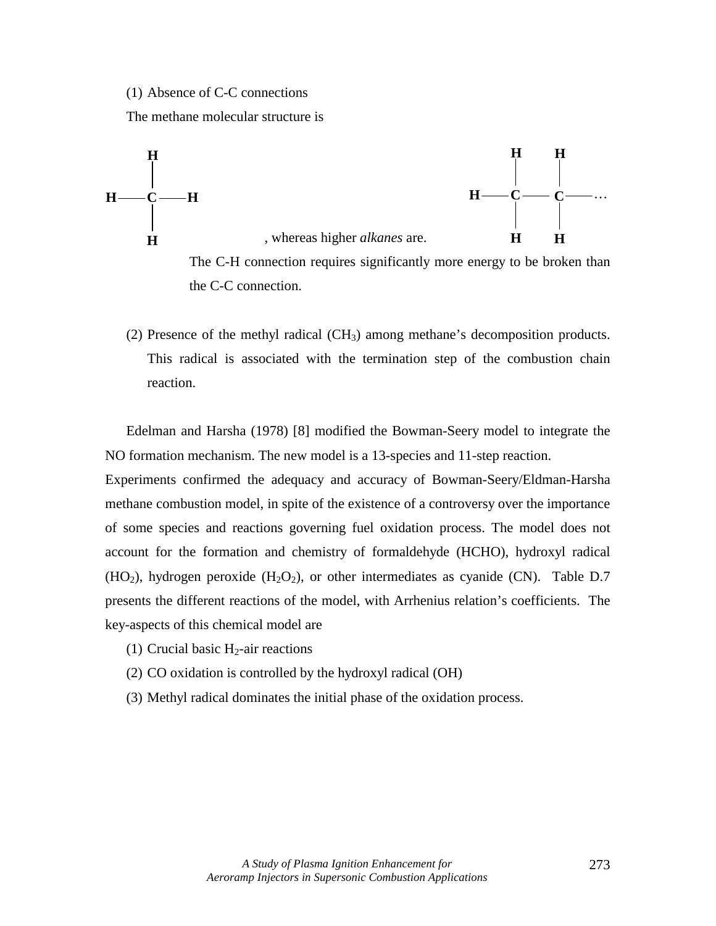(1) Absence of C-C connections

The methane molecular structure is



The C-H connection requires significantly more energy to be broken than the C-C connection.

(2) Presence of the methyl radical  $(CH_3)$  among methane's decomposition products. This radical is associated with the termination step of the combustion chain reaction.

Edelman and Harsha (1978) [8] modified the Bowman-Seery model to integrate the NO formation mechanism. The new model is a 13-species and 11-step reaction.

Experiments confirmed the adequacy and accuracy of Bowman-Seery/Eldman-Harsha methane combustion model, in spite of the existence of a controversy over the importance of some species and reactions governing fuel oxidation process. The model does not account for the formation and chemistry of formaldehyde (HCHO), hydroxyl radical (HO<sub>2</sub>), hydrogen peroxide (H<sub>2</sub>O<sub>2</sub>), or other intermediates as cyanide (CN). Table D.7 presents the different reactions of the model, with Arrhenius relation's coefficients. The key-aspects of this chemical model are

- (1) Crucial basic  $H_2$ -air reactions
- (2) CO oxidation is controlled by the hydroxyl radical (OH)
- (3) Methyl radical dominates the initial phase of the oxidation process.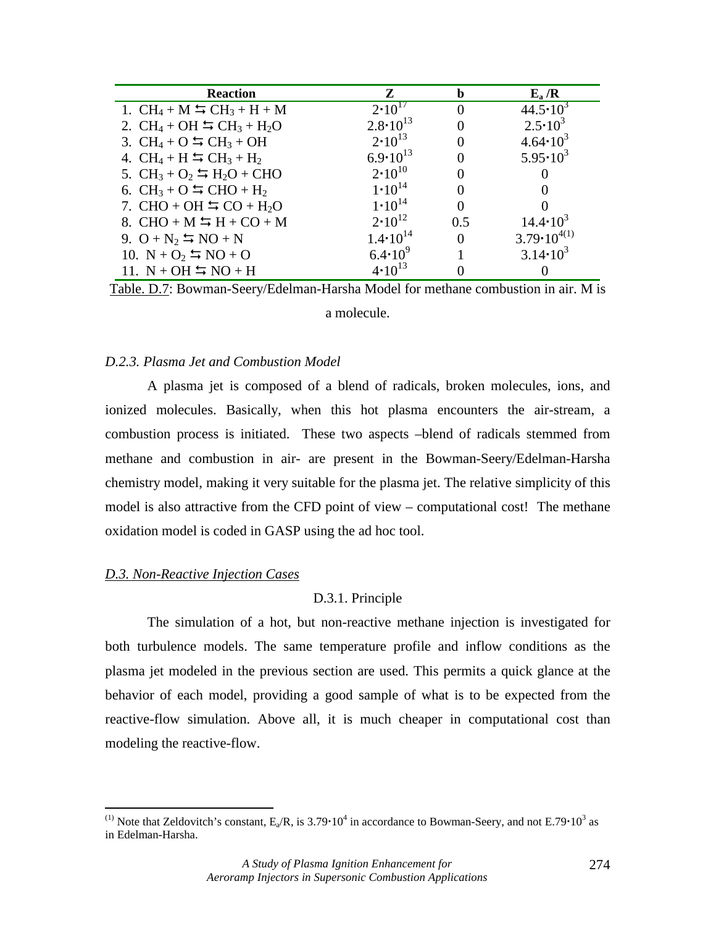| <b>Reaction</b>                                           | Z                   |     | $E_a/R$                |
|-----------------------------------------------------------|---------------------|-----|------------------------|
| 1. $CH_4 + M \leftrightarrows CH_3 + H + M$               | $2 \cdot 10^{17}$   |     | $44.5 \cdot 10^3$      |
| 2. $CH_4 + OH \equiv CH_3 + H_2O$                         | $2.8 \cdot 10^{13}$ |     | $2.5 \cdot 10^3$       |
| 3. $CH_4 + O \cong CH_3 + OH$                             | $2 \cdot 10^{13}$   |     | $4.64 \cdot 10^{3}$    |
| 4. $CH_4 + H \equiv CH_3 + H_2$                           | $6.9 \cdot 10^{13}$ |     | $5.95 \cdot 10^3$      |
| 5. $CH_3 + O_2 \rightharpoonup H_2O + CHO$                | $2 \cdot 10^{10}$   |     |                        |
| 6. CH <sub>3</sub> + O $\frac{1}{2}$ CHO + H <sub>2</sub> | $1 \cdot 10^{14}$   |     |                        |
| 7. CHO + OH $\leftrightarrows$ CO + H <sub>2</sub> O      | $1 \cdot 10^{14}$   |     |                        |
| 8. CHO + M $\leftrightarrows$ H + CO + M                  | $2 \cdot 10^{12}$   | 0.5 | $14.4 \cdot 10^3$      |
| 9. $O + N_2 = NO + N$                                     | $1.4 \cdot 10^{14}$ |     | $3.79 \cdot 10^{4(1)}$ |
| 10. $N + O_2 = NO + O$                                    | $6.4 \cdot 10^{9}$  |     | $3.14 \cdot 10^{3}$    |
| 11. $N + OH \equiv NO + H$                                | $4 \cdot 10^{13}$   |     |                        |

Table. D.7: Bowman-Seery/Edelman-Harsha Model for methane combustion in air. M is a molecule.

## *D.2.3. Plasma Jet and Combustion Model*

A plasma jet is composed of a blend of radicals, broken molecules, ions, and ionized molecules. Basically, when this hot plasma encounters the air-stream, a combustion process is initiated. These two aspects –blend of radicals stemmed from methane and combustion in air- are present in the Bowman-Seery/Edelman-Harsha chemistry model, making it very suitable for the plasma jet. The relative simplicity of this model is also attractive from the CFD point of view – computational cost! The methane oxidation model is coded in GASP using the ad hoc tool.

## *D.3. Non-Reactive Injection Cases*

 $\overline{a}$ 

#### D.3.1. Principle

The simulation of a hot, but non-reactive methane injection is investigated for both turbulence models. The same temperature profile and inflow conditions as the plasma jet modeled in the previous section are used. This permits a quick glance at the behavior of each model, providing a good sample of what is to be expected from the reactive-flow simulation. Above all, it is much cheaper in computational cost than modeling the reactive-flow.

<sup>&</sup>lt;sup>(1)</sup> Note that Zeldovitch's constant,  $E_a/R$ , is 3.79 $\cdot 10^4$  in accordance to Bowman-Seery, and not E.79 $\cdot 10^3$  as in Edelman-Harsha.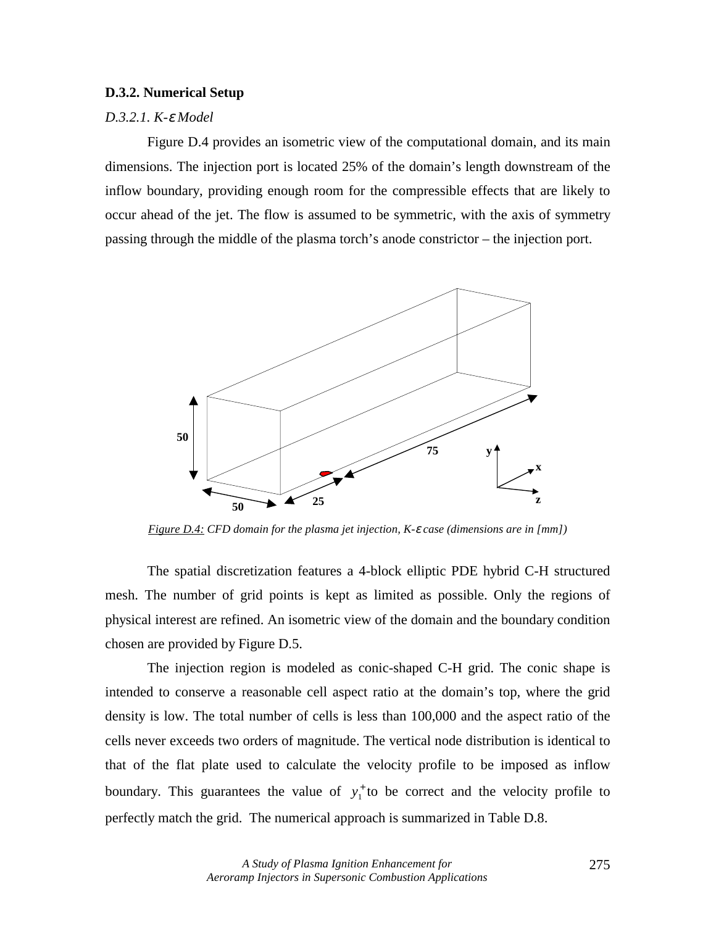#### **D.3.2. Numerical Setup**

## *D.3.2.1. K-*ε *Model*

Figure D.4 provides an isometric view of the computational domain, and its main dimensions. The injection port is located 25% of the domain's length downstream of the inflow boundary, providing enough room for the compressible effects that are likely to occur ahead of the jet. The flow is assumed to be symmetric, with the axis of symmetry passing through the middle of the plasma torch's anode constrictor – the injection port.



*Figure D.4: CFD domain for the plasma jet injection, K-*ε *case (dimensions are in [mm])* 

The spatial discretization features a 4-block elliptic PDE hybrid C-H structured mesh. The number of grid points is kept as limited as possible. Only the regions of physical interest are refined. An isometric view of the domain and the boundary condition chosen are provided by Figure D.5.

The injection region is modeled as conic-shaped C-H grid. The conic shape is intended to conserve a reasonable cell aspect ratio at the domain's top, where the grid density is low. The total number of cells is less than 100,000 and the aspect ratio of the cells never exceeds two orders of magnitude. The vertical node distribution is identical to that of the flat plate used to calculate the velocity profile to be imposed as inflow boundary. This guarantees the value of  $y_1^+$  to be correct and the velocity profile to perfectly match the grid. The numerical approach is summarized in Table D.8.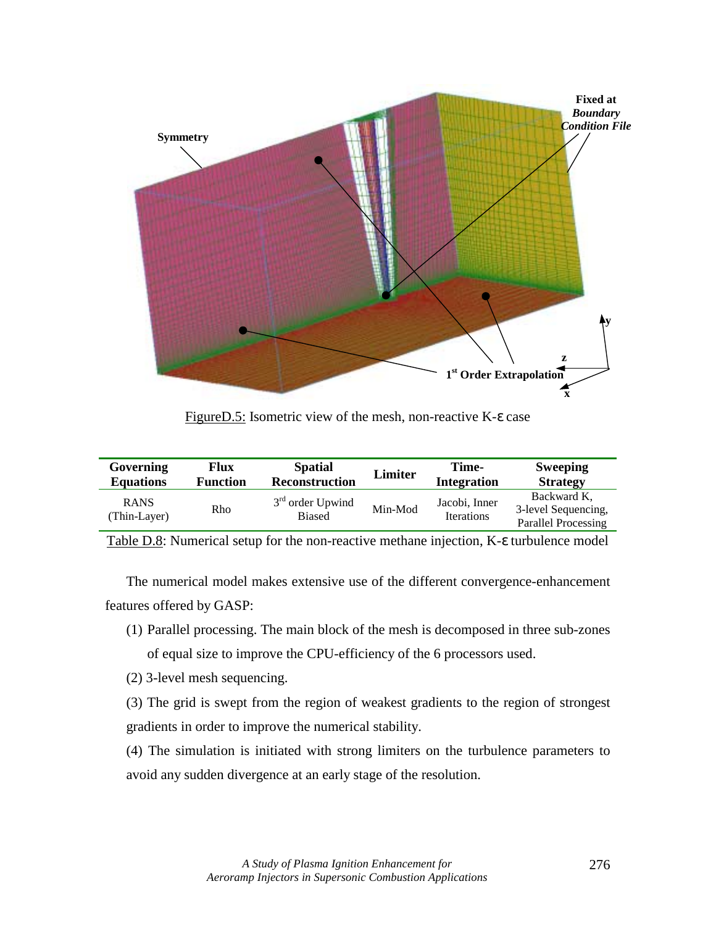

FigureD.5: Isometric view of the mesh, non-reactive K-ε case

| Governing                   | Flux            | <b>Spatial</b>                      | <b>Limiter</b> | Time-                              | <b>Sweeping</b>                                                  |
|-----------------------------|-----------------|-------------------------------------|----------------|------------------------------------|------------------------------------------------------------------|
| <b>Equations</b>            | <b>Function</b> | <b>Reconstruction</b>               |                | <b>Integration</b>                 | <b>Strategy</b>                                                  |
| <b>RANS</b><br>(Thin-Layer) | Rho             | $3rd$ order Upwind<br><b>Biased</b> | Min-Mod        | Jacobi, Inner<br><b>Iterations</b> | Backward K.<br>3-level Sequencing,<br><b>Parallel Processing</b> |

Table D.8: Numerical setup for the non-reactive methane injection, K-ε turbulence model

The numerical model makes extensive use of the different convergence-enhancement features offered by GASP:

- (1) Parallel processing. The main block of the mesh is decomposed in three sub-zones of equal size to improve the CPU-efficiency of the 6 processors used.
- (2) 3-level mesh sequencing.

(3) The grid is swept from the region of weakest gradients to the region of strongest gradients in order to improve the numerical stability.

(4) The simulation is initiated with strong limiters on the turbulence parameters to avoid any sudden divergence at an early stage of the resolution.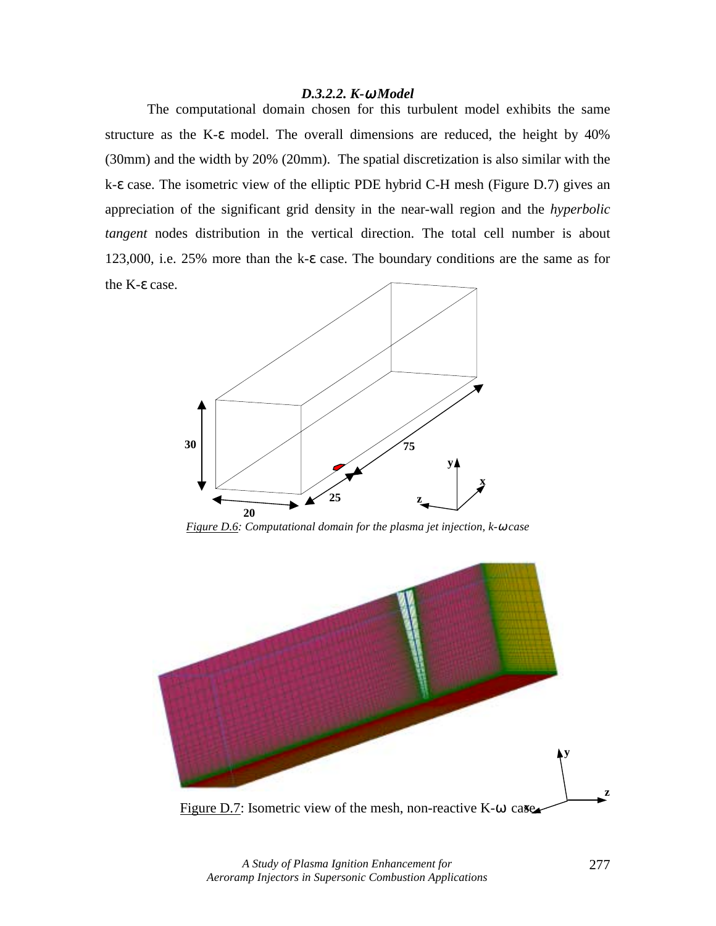#### *D.3.2.2. K-*ω *Model*

The computational domain chosen for this turbulent model exhibits the same structure as the K-ε model. The overall dimensions are reduced, the height by 40% (30mm) and the width by 20% (20mm). The spatial discretization is also similar with the k-ε case. The isometric view of the elliptic PDE hybrid C-H mesh (Figure D.7) gives an appreciation of the significant grid density in the near-wall region and the *hyperbolic tangent* nodes distribution in the vertical direction. The total cell number is about 123,000, i.e. 25% more than the k-ε case. The boundary conditions are the same as for the K-ε case.



*Figure D.6: Computational domain for the plasma jet injection, k-*ω *case* 



Figure D.7: Isometric view of the mesh, non-reactive K-ω case

*A Study of Plasma Ignition Enhancement for Aeroramp Injectors in Supersonic Combustion Applications*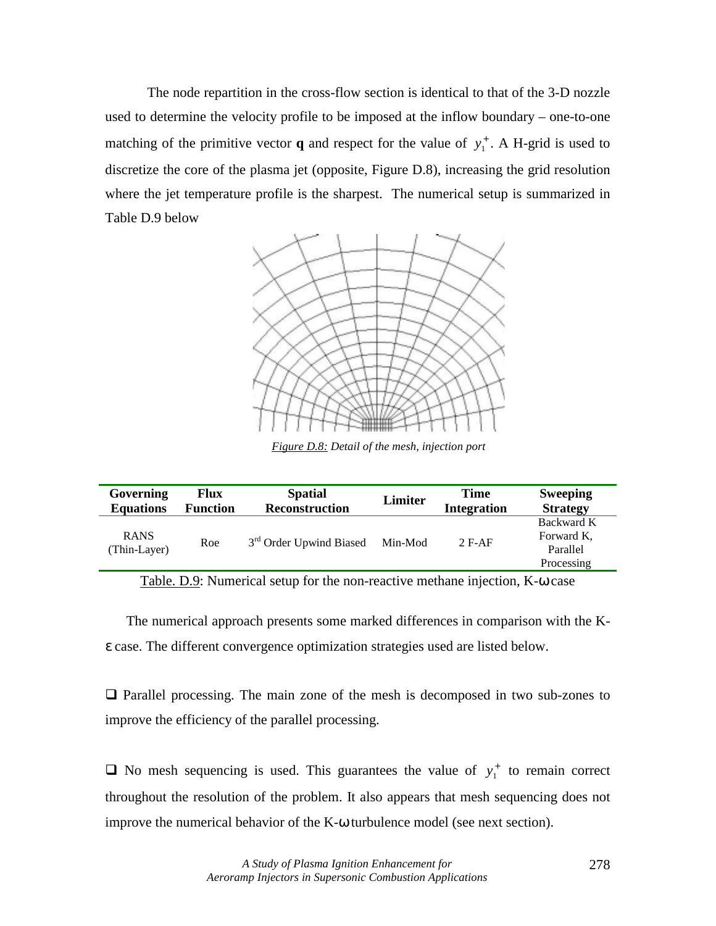The node repartition in the cross-flow section is identical to that of the 3-D nozzle used to determine the velocity profile to be imposed at the inflow boundary – one-to-one matching of the primitive vector **q** and respect for the value of  $y_1^+$ . A H-grid is used to discretize the core of the plasma jet (opposite, Figure D.8), increasing the grid resolution where the jet temperature profile is the sharpest. The numerical setup is summarized in Table D.9 below



*Figure D.8: Detail of the mesh, injection port*

| Governing                   | Flux            | <b>Spatial</b>                      | Limiter | <b>Time</b>        | <b>Sweeping</b>                                    |
|-----------------------------|-----------------|-------------------------------------|---------|--------------------|----------------------------------------------------|
| <b>Equations</b>            | <b>Function</b> | <b>Reconstruction</b>               |         | <b>Integration</b> | <b>Strategy</b>                                    |
| <b>RANS</b><br>(Thin-Layer) | Roe             | 3 <sup>rd</sup> Order Upwind Biased | Min-Mod | $2$ F-AF           | Backward K<br>Forward K,<br>Parallel<br>Processing |

Table. D.9: Numerical setup for the non-reactive methane injection, K-ω case

The numerical approach presents some marked differences in comparison with the Kε case. The different convergence optimization strategies used are listed below.

 $\Box$  Parallel processing. The main zone of the mesh is decomposed in two sub-zones to improve the efficiency of the parallel processing.

 $\Box$  No mesh sequencing is used. This guarantees the value of  $y_1^+$  to remain correct throughout the resolution of the problem. It also appears that mesh sequencing does not improve the numerical behavior of the K-ω turbulence model (see next section).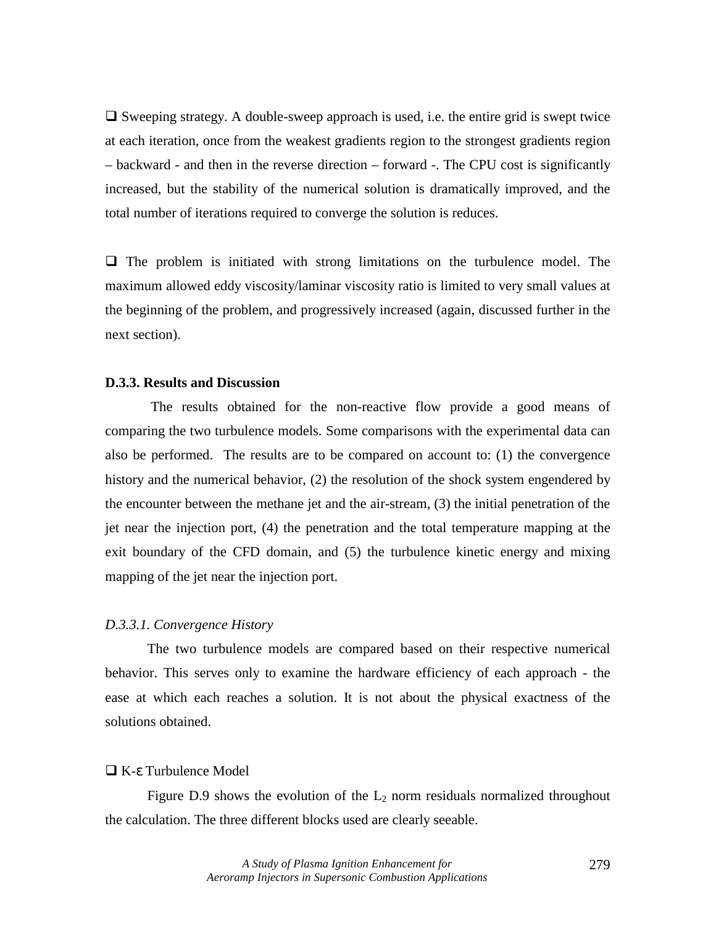$\Box$  Sweeping strategy. A double-sweep approach is used, i.e. the entire grid is swept twice at each iteration, once from the weakest gradients region to the strongest gradients region – backward - and then in the reverse direction – forward -. The CPU cost is significantly increased, but the stability of the numerical solution is dramatically improved, and the total number of iterations required to converge the solution is reduces.

 $\Box$  The problem is initiated with strong limitations on the turbulence model. The maximum allowed eddy viscosity/laminar viscosity ratio is limited to very small values at the beginning of the problem, and progressively increased (again, discussed further in the next section).

# **D.3.3. Results and Discussion**

 The results obtained for the non-reactive flow provide a good means of comparing the two turbulence models. Some comparisons with the experimental data can also be performed. The results are to be compared on account to: (1) the convergence history and the numerical behavior, (2) the resolution of the shock system engendered by the encounter between the methane jet and the air-stream, (3) the initial penetration of the jet near the injection port, (4) the penetration and the total temperature mapping at the exit boundary of the CFD domain, and (5) the turbulence kinetic energy and mixing mapping of the jet near the injection port.

## *D.3.3.1. Convergence History*

The two turbulence models are compared based on their respective numerical behavior. This serves only to examine the hardware efficiency of each approach - the ease at which each reaches a solution. It is not about the physical exactness of the solutions obtained.

#### $\Box$  K-ε Turbulence Model

Figure D.9 shows the evolution of the  $L_2$  norm residuals normalized throughout the calculation. The three different blocks used are clearly seeable.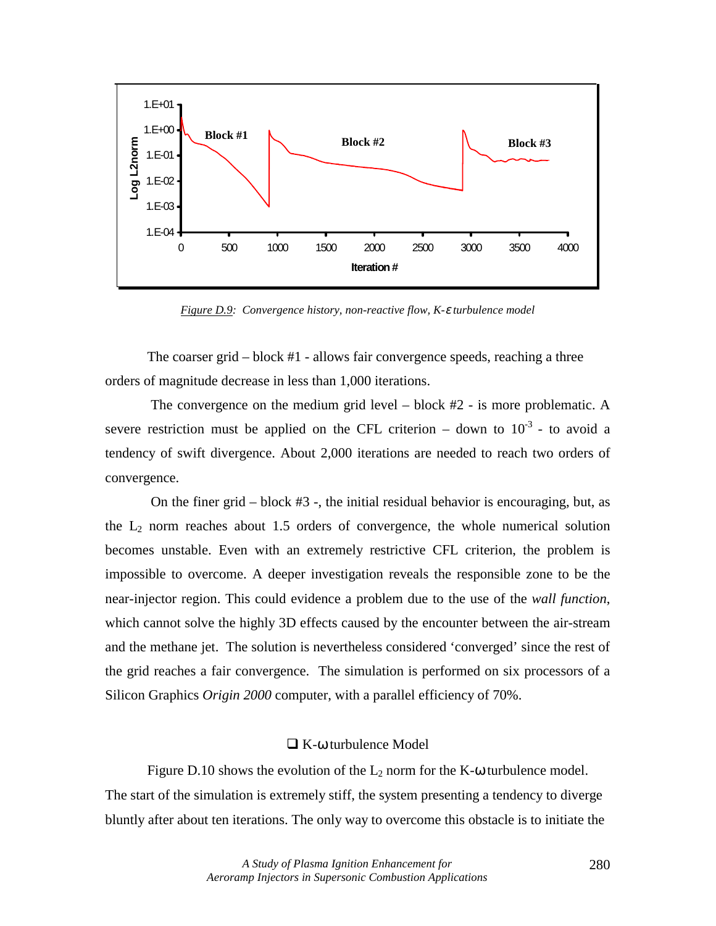

*Figure D.9: Convergence history, non-reactive flow, K-*ε *turbulence model* 

The coarser grid – block #1 - allows fair convergence speeds, reaching a three orders of magnitude decrease in less than 1,000 iterations.

 The convergence on the medium grid level – block #2 - is more problematic. A severe restriction must be applied on the CFL criterion – down to  $10^{-3}$  - to avoid a tendency of swift divergence. About 2,000 iterations are needed to reach two orders of convergence.

 On the finer grid – block #3 -, the initial residual behavior is encouraging, but, as the  $L_2$  norm reaches about 1.5 orders of convergence, the whole numerical solution becomes unstable. Even with an extremely restrictive CFL criterion, the problem is impossible to overcome. A deeper investigation reveals the responsible zone to be the near-injector region. This could evidence a problem due to the use of the *wall function*, which cannot solve the highly 3D effects caused by the encounter between the air-stream and the methane jet. The solution is nevertheless considered 'converged' since the rest of the grid reaches a fair convergence. The simulation is performed on six processors of a Silicon Graphics *Origin 2000* computer, with a parallel efficiency of 70%.

# $\Box$  K- $\omega$  turbulence Model

Figure D.10 shows the evolution of the  $L_2$  norm for the K- $\omega$  turbulence model. The start of the simulation is extremely stiff, the system presenting a tendency to diverge bluntly after about ten iterations. The only way to overcome this obstacle is to initiate the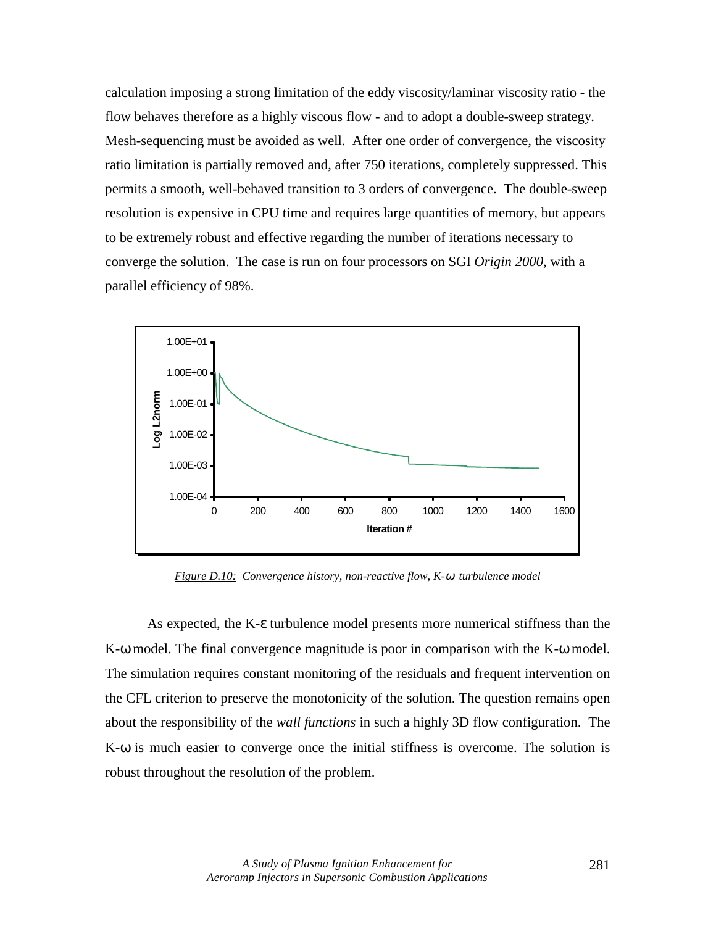calculation imposing a strong limitation of the eddy viscosity/laminar viscosity ratio - the flow behaves therefore as a highly viscous flow - and to adopt a double-sweep strategy. Mesh-sequencing must be avoided as well. After one order of convergence, the viscosity ratio limitation is partially removed and, after 750 iterations, completely suppressed. This permits a smooth, well-behaved transition to 3 orders of convergence. The double-sweep resolution is expensive in CPU time and requires large quantities of memory, but appears to be extremely robust and effective regarding the number of iterations necessary to converge the solution. The case is run on four processors on SGI *Origin 2000*, with a parallel efficiency of 98%.



*Figure D.10: Convergence history, non-reactive flow, K-*ω *turbulence model*

As expected, the K-ε turbulence model presents more numerical stiffness than the K-ω model. The final convergence magnitude is poor in comparison with the K-ω model. The simulation requires constant monitoring of the residuals and frequent intervention on the CFL criterion to preserve the monotonicity of the solution. The question remains open about the responsibility of the *wall functions* in such a highly 3D flow configuration. The K-ω is much easier to converge once the initial stiffness is overcome. The solution is robust throughout the resolution of the problem.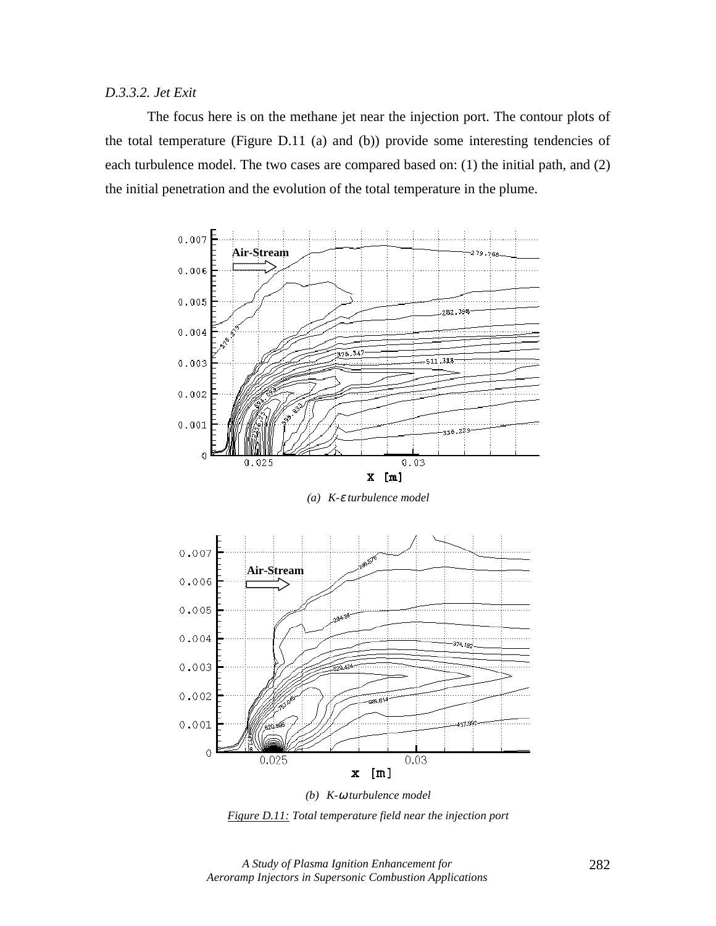# *D.3.3.2. Jet Exit*

The focus here is on the methane jet near the injection port. The contour plots of the total temperature (Figure D.11 (a) and (b)) provide some interesting tendencies of each turbulence model. The two cases are compared based on: (1) the initial path, and (2) the initial penetration and the evolution of the total temperature in the plume.



*(a) K-*ε *turbulence model* 



*(b) K-*ω *turbulence model Figure D.11: Total temperature field near the injection port*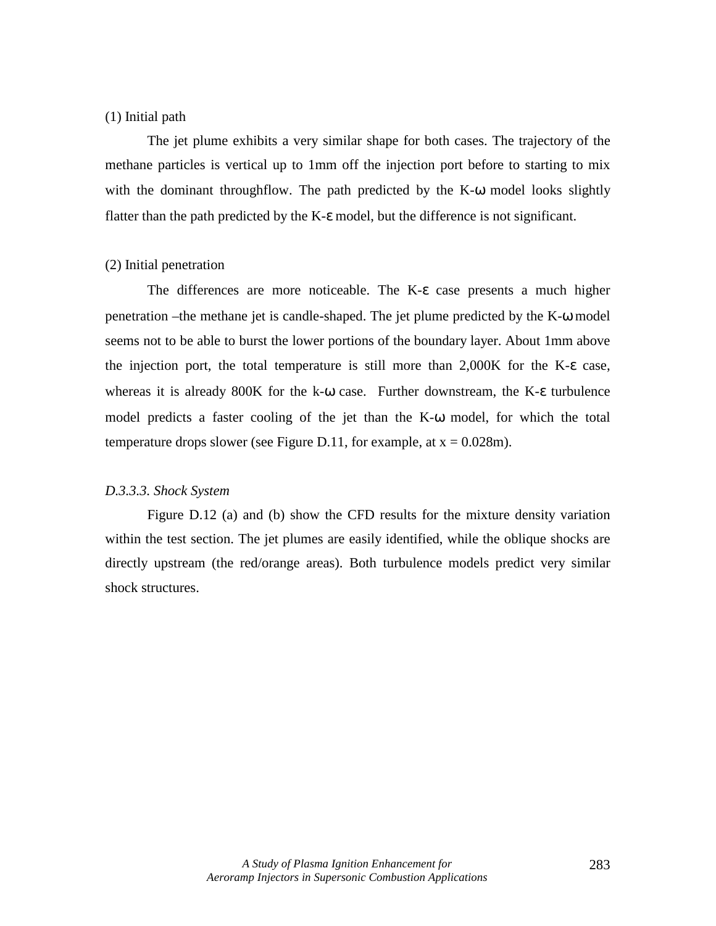# (1) Initial path

The jet plume exhibits a very similar shape for both cases. The trajectory of the methane particles is vertical up to 1mm off the injection port before to starting to mix with the dominant throughflow. The path predicted by the K- $\omega$  model looks slightly flatter than the path predicted by the K-ε model, but the difference is not significant.

# (2) Initial penetration

The differences are more noticeable. The K-ε case presents a much higher penetration –the methane jet is candle-shaped. The jet plume predicted by the K-ω model seems not to be able to burst the lower portions of the boundary layer. About 1mm above the injection port, the total temperature is still more than 2,000K for the K-ε case, whereas it is already 800K for the k-ω case. Further downstream, the K-ε turbulence model predicts a faster cooling of the jet than the K-ω model, for which the total temperature drops slower (see Figure D.11, for example, at  $x = 0.028$ m).

## *D.3.3.3. Shock System*

Figure D.12 (a) and (b) show the CFD results for the mixture density variation within the test section. The jet plumes are easily identified, while the oblique shocks are directly upstream (the red/orange areas). Both turbulence models predict very similar shock structures.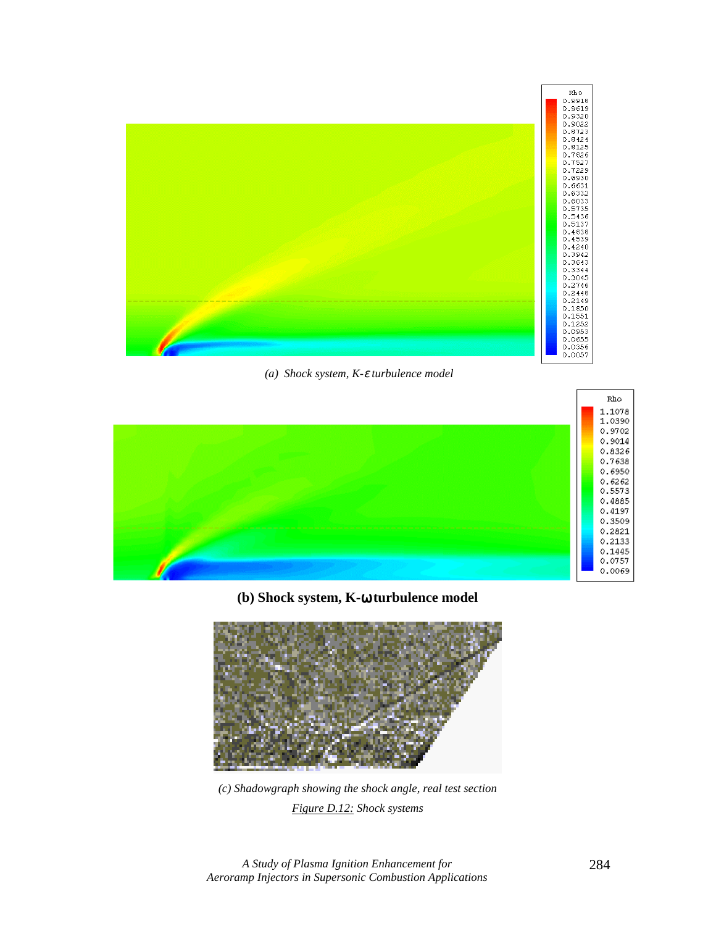

 *(a) Shock system, K-*ε *turbulence model* 



**(b) Shock system, K-**ω **turbulence model** 



*(c) Shadowgraph showing the shock angle, real test section Figure D.12: Shock systems*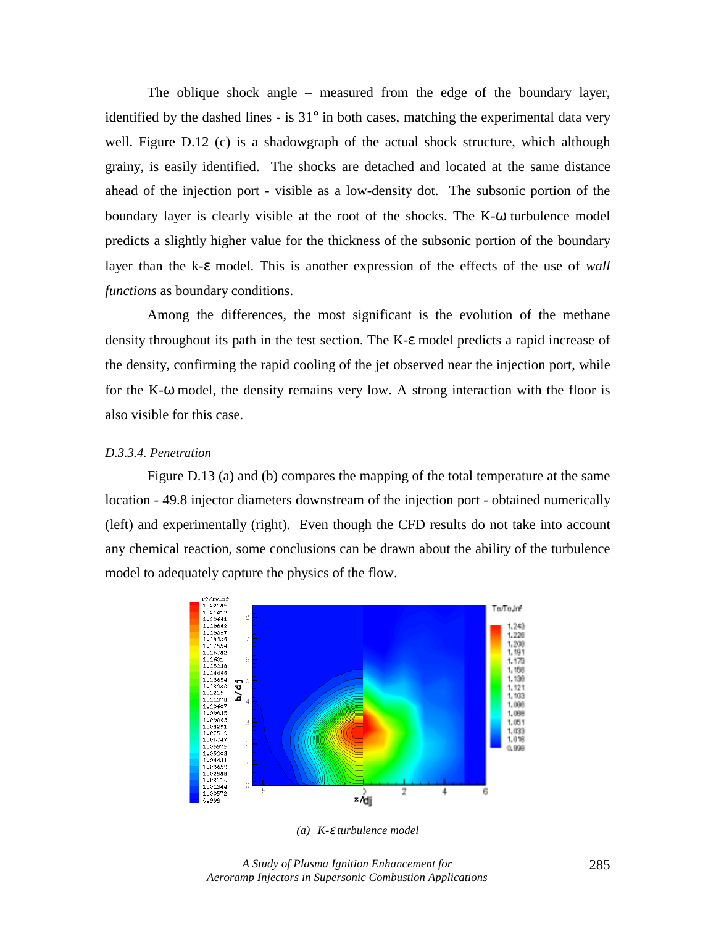The oblique shock angle – measured from the edge of the boundary layer, identified by the dashed lines - is  $31^\circ$  in both cases, matching the experimental data very well. Figure D.12 (c) is a shadowgraph of the actual shock structure, which although grainy, is easily identified. The shocks are detached and located at the same distance ahead of the injection port - visible as a low-density dot. The subsonic portion of the boundary layer is clearly visible at the root of the shocks. The K-ω turbulence model predicts a slightly higher value for the thickness of the subsonic portion of the boundary layer than the k-ε model. This is another expression of the effects of the use of *wall functions* as boundary conditions.

Among the differences, the most significant is the evolution of the methane density throughout its path in the test section. The K-ε model predicts a rapid increase of the density, confirming the rapid cooling of the jet observed near the injection port, while for the K-ω model, the density remains very low. A strong interaction with the floor is also visible for this case.

## *D.3.3.4. Penetration*

Figure D.13 (a) and (b) compares the mapping of the total temperature at the same location - 49.8 injector diameters downstream of the injection port - obtained numerically (left) and experimentally (right). Even though the CFD results do not take into account any chemical reaction, some conclusions can be drawn about the ability of the turbulence model to adequately capture the physics of the flow.



*(a) K-*ε *turbulence model* 

*A Study of Plasma Ignition Enhancement for Aeroramp Injectors in Supersonic Combustion Applications*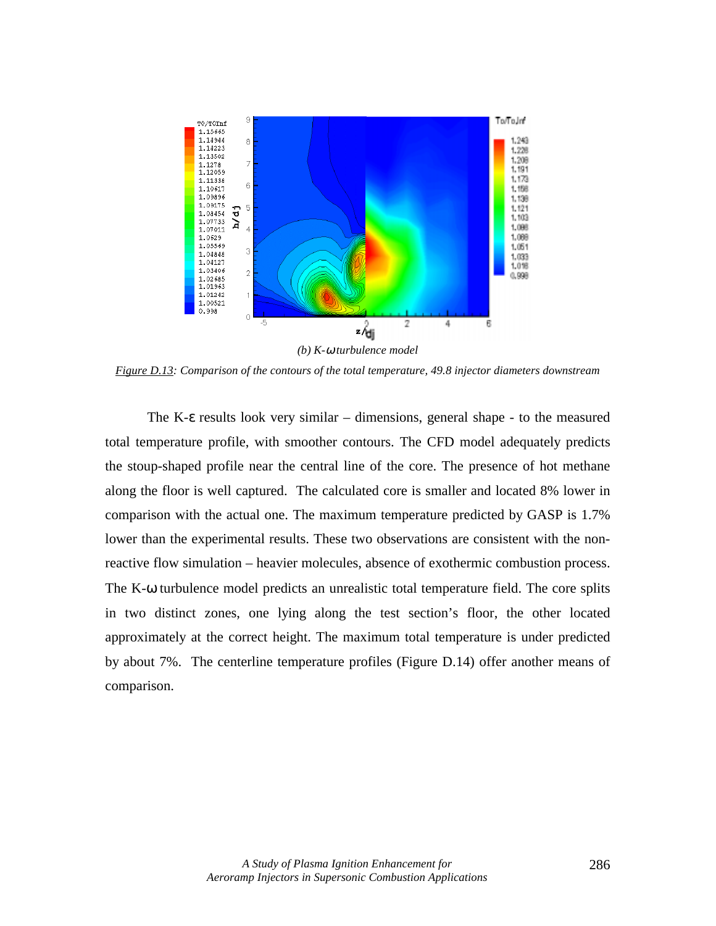

*Figure D.13: Comparison of the contours of the total temperature, 49.8 injector diameters downstream* 

The K-ε results look very similar – dimensions, general shape - to the measured total temperature profile, with smoother contours. The CFD model adequately predicts the stoup-shaped profile near the central line of the core. The presence of hot methane along the floor is well captured. The calculated core is smaller and located 8% lower in comparison with the actual one. The maximum temperature predicted by GASP is 1.7% lower than the experimental results. These two observations are consistent with the nonreactive flow simulation – heavier molecules, absence of exothermic combustion process. The K-ω turbulence model predicts an unrealistic total temperature field. The core splits in two distinct zones, one lying along the test section's floor, the other located approximately at the correct height. The maximum total temperature is under predicted by about 7%. The centerline temperature profiles (Figure D.14) offer another means of comparison.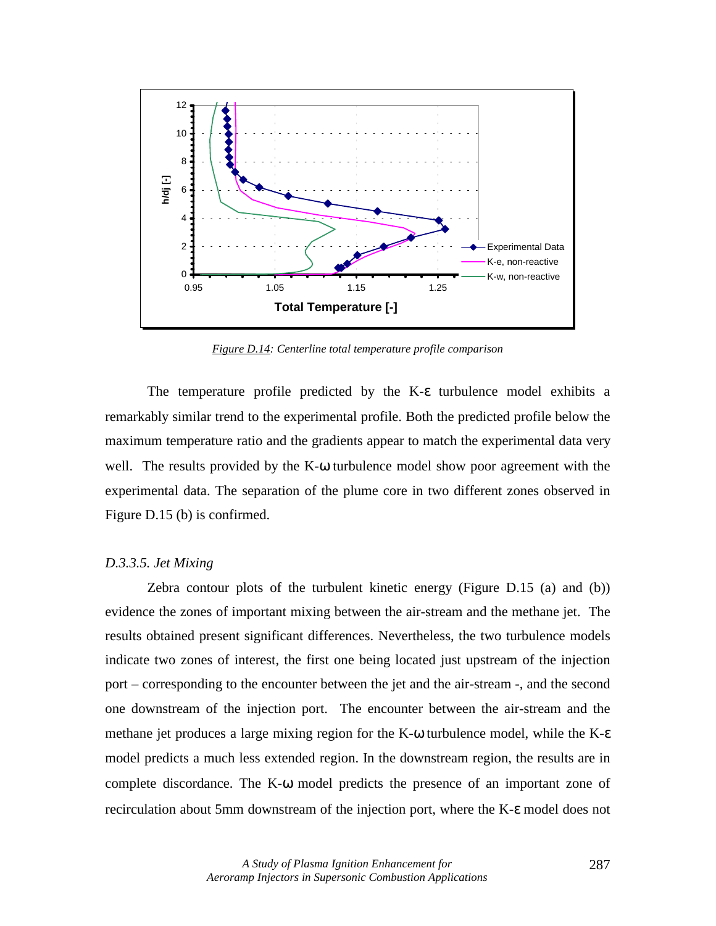

*Figure D.14: Centerline total temperature profile comparison* 

The temperature profile predicted by the K-ε turbulence model exhibits a remarkably similar trend to the experimental profile. Both the predicted profile below the maximum temperature ratio and the gradients appear to match the experimental data very well. The results provided by the  $K-\omega$  turbulence model show poor agreement with the experimental data. The separation of the plume core in two different zones observed in Figure D.15 (b) is confirmed.

## *D.3.3.5. Jet Mixing*

Zebra contour plots of the turbulent kinetic energy (Figure D.15 (a) and (b)) evidence the zones of important mixing between the air-stream and the methane jet. The results obtained present significant differences. Nevertheless, the two turbulence models indicate two zones of interest, the first one being located just upstream of the injection port – corresponding to the encounter between the jet and the air-stream -, and the second one downstream of the injection port. The encounter between the air-stream and the methane jet produces a large mixing region for the K-ω turbulence model, while the K-ε model predicts a much less extended region. In the downstream region, the results are in complete discordance. The K-ω model predicts the presence of an important zone of recirculation about 5mm downstream of the injection port, where the K-ε model does not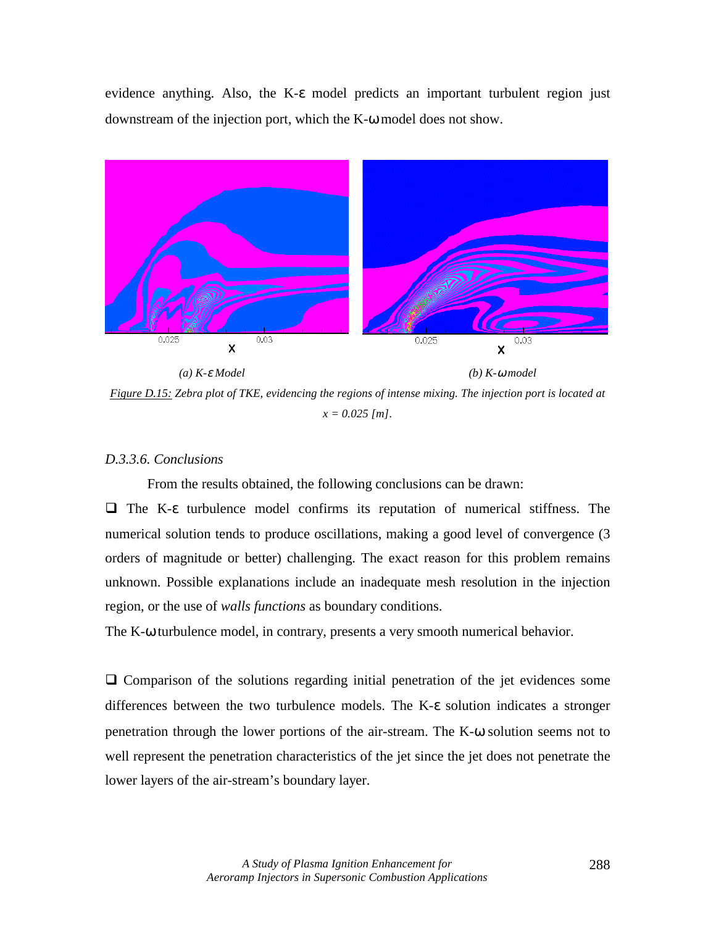evidence anything. Also, the K-ε model predicts an important turbulent region just downstream of the injection port, which the K-ω model does not show.



*(a) K-*ε *Model (b) K-*ω *model* 

*Figure D.15: Zebra plot of TKE, evidencing the regions of intense mixing. The injection port is located at x = 0.025 [m].* 

# *D.3.3.6. Conclusions*

From the results obtained, the following conclusions can be drawn:

! The K-ε turbulence model confirms its reputation of numerical stiffness. The numerical solution tends to produce oscillations, making a good level of convergence (3 orders of magnitude or better) challenging. The exact reason for this problem remains unknown. Possible explanations include an inadequate mesh resolution in the injection region, or the use of *walls functions* as boundary conditions.

The K-ω turbulence model, in contrary, presents a very smooth numerical behavior.

 $\Box$  Comparison of the solutions regarding initial penetration of the jet evidences some differences between the two turbulence models. The K-ε solution indicates a stronger penetration through the lower portions of the air-stream. The K-ω solution seems not to well represent the penetration characteristics of the jet since the jet does not penetrate the lower layers of the air-stream's boundary layer.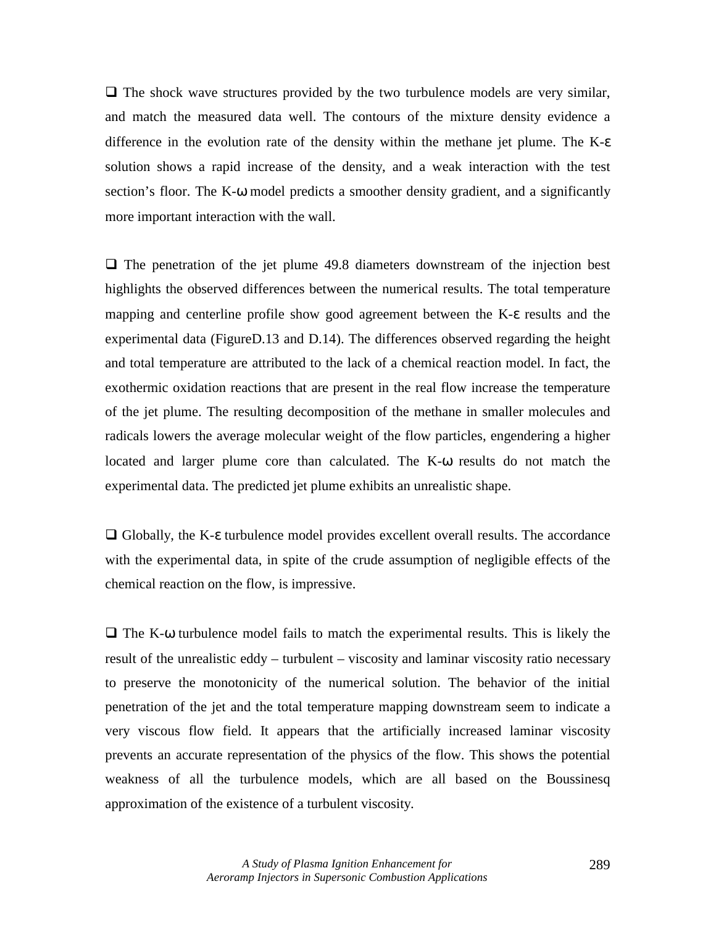$\Box$  The shock wave structures provided by the two turbulence models are very similar, and match the measured data well. The contours of the mixture density evidence a difference in the evolution rate of the density within the methane jet plume. The K-ε solution shows a rapid increase of the density, and a weak interaction with the test section's floor. The K-ω model predicts a smoother density gradient, and a significantly more important interaction with the wall.

 $\Box$  The penetration of the jet plume 49.8 diameters downstream of the injection best highlights the observed differences between the numerical results. The total temperature mapping and centerline profile show good agreement between the K-ε results and the experimental data (FigureD.13 and D.14). The differences observed regarding the height and total temperature are attributed to the lack of a chemical reaction model. In fact, the exothermic oxidation reactions that are present in the real flow increase the temperature of the jet plume. The resulting decomposition of the methane in smaller molecules and radicals lowers the average molecular weight of the flow particles, engendering a higher located and larger plume core than calculated. The K-ω results do not match the experimental data. The predicted jet plume exhibits an unrealistic shape.

 $\Box$  Globally, the K-ε turbulence model provides excellent overall results. The accordance with the experimental data, in spite of the crude assumption of negligible effects of the chemical reaction on the flow, is impressive.

 $\Box$  The K- $\omega$  turbulence model fails to match the experimental results. This is likely the result of the unrealistic eddy – turbulent – viscosity and laminar viscosity ratio necessary to preserve the monotonicity of the numerical solution. The behavior of the initial penetration of the jet and the total temperature mapping downstream seem to indicate a very viscous flow field. It appears that the artificially increased laminar viscosity prevents an accurate representation of the physics of the flow. This shows the potential weakness of all the turbulence models, which are all based on the Boussinesq approximation of the existence of a turbulent viscosity.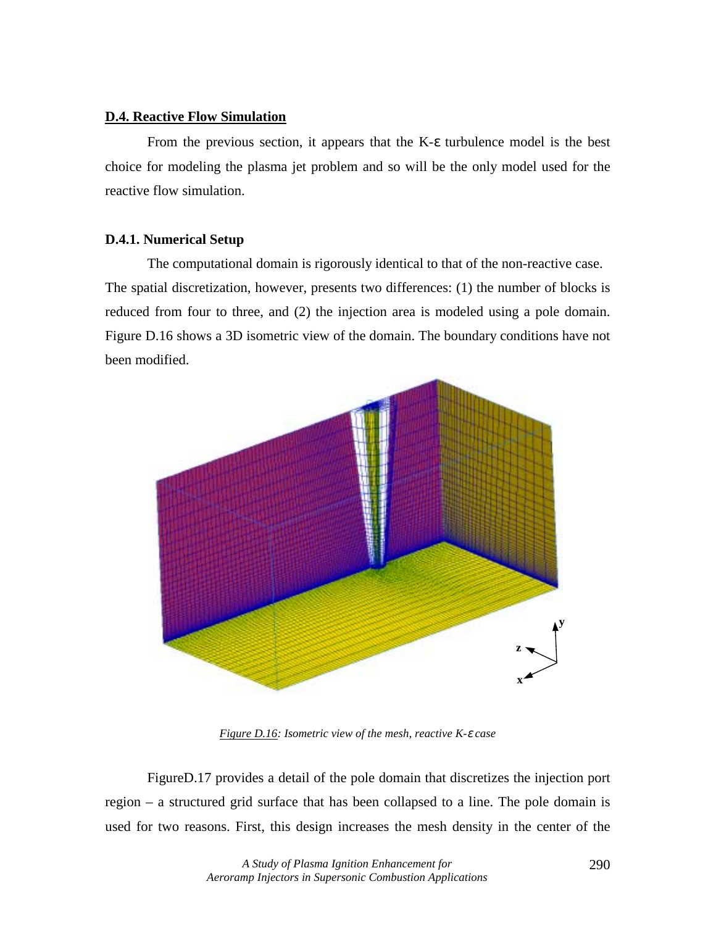# **D.4. Reactive Flow Simulation**

From the previous section, it appears that the K-ε turbulence model is the best choice for modeling the plasma jet problem and so will be the only model used for the reactive flow simulation.

## **D.4.1. Numerical Setup**

The computational domain is rigorously identical to that of the non-reactive case. The spatial discretization, however, presents two differences: (1) the number of blocks is reduced from four to three, and (2) the injection area is modeled using a pole domain. Figure D.16 shows a 3D isometric view of the domain. The boundary conditions have not been modified.



*Figure D.16: Isometric view of the mesh, reactive K-*ε *case* 

FigureD.17 provides a detail of the pole domain that discretizes the injection port region – a structured grid surface that has been collapsed to a line. The pole domain is used for two reasons. First, this design increases the mesh density in the center of the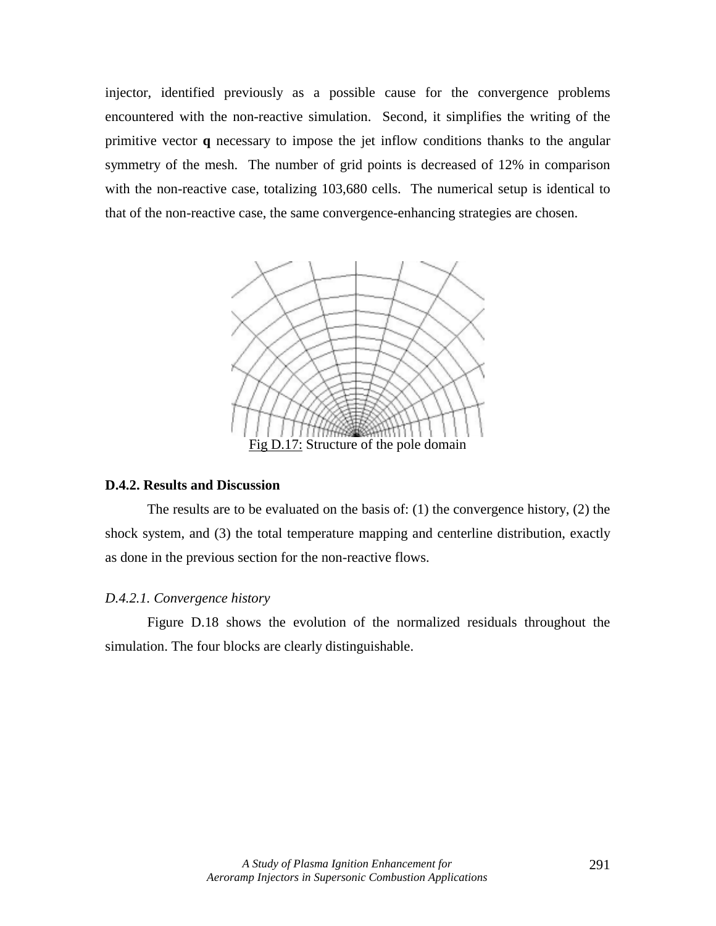injector, identified previously as a possible cause for the convergence problems encountered with the non-reactive simulation. Second, it simplifies the writing of the primitive vector **q** necessary to impose the jet inflow conditions thanks to the angular symmetry of the mesh. The number of grid points is decreased of 12% in comparison with the non-reactive case, totalizing 103,680 cells. The numerical setup is identical to that of the non-reactive case, the same convergence-enhancing strategies are chosen.



#### **D.4.2. Results and Discussion**

The results are to be evaluated on the basis of: (1) the convergence history, (2) the shock system, and (3) the total temperature mapping and centerline distribution, exactly as done in the previous section for the non-reactive flows.

## *D.4.2.1. Convergence history*

Figure D.18 shows the evolution of the normalized residuals throughout the simulation. The four blocks are clearly distinguishable.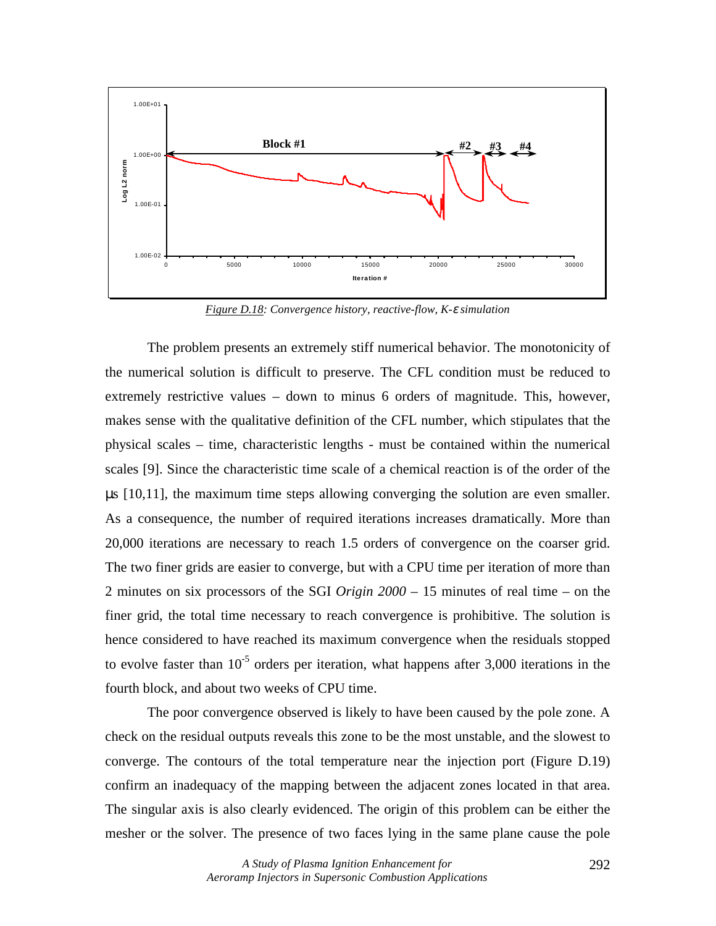

*Figure D.18: Convergence history, reactive-flow, K-*ε *simulation* 

The problem presents an extremely stiff numerical behavior. The monotonicity of the numerical solution is difficult to preserve. The CFL condition must be reduced to extremely restrictive values – down to minus 6 orders of magnitude. This, however, makes sense with the qualitative definition of the CFL number, which stipulates that the physical scales – time, characteristic lengths - must be contained within the numerical scales [9]. Since the characteristic time scale of a chemical reaction is of the order of the µs [10,11], the maximum time steps allowing converging the solution are even smaller. As a consequence, the number of required iterations increases dramatically. More than 20,000 iterations are necessary to reach 1.5 orders of convergence on the coarser grid. The two finer grids are easier to converge, but with a CPU time per iteration of more than 2 minutes on six processors of the SGI *Origin 2000* – 15 minutes of real time – on the finer grid, the total time necessary to reach convergence is prohibitive. The solution is hence considered to have reached its maximum convergence when the residuals stopped to evolve faster than  $10^{-5}$  orders per iteration, what happens after 3,000 iterations in the fourth block, and about two weeks of CPU time.

The poor convergence observed is likely to have been caused by the pole zone. A check on the residual outputs reveals this zone to be the most unstable, and the slowest to converge. The contours of the total temperature near the injection port (Figure D.19) confirm an inadequacy of the mapping between the adjacent zones located in that area. The singular axis is also clearly evidenced. The origin of this problem can be either the mesher or the solver. The presence of two faces lying in the same plane cause the pole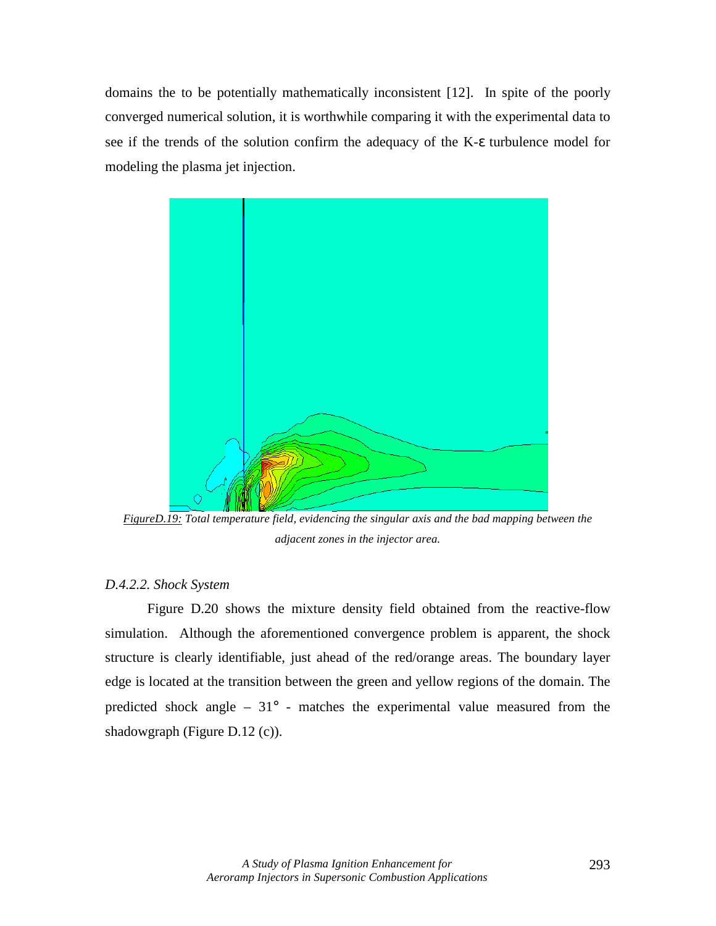domains the to be potentially mathematically inconsistent [12]. In spite of the poorly converged numerical solution, it is worthwhile comparing it with the experimental data to see if the trends of the solution confirm the adequacy of the K-ε turbulence model for modeling the plasma jet injection.



*FigureD.19: Total temperature field, evidencing the singular axis and the bad mapping between the adjacent zones in the injector area.* 

# *D.4.2.2. Shock System*

Figure D.20 shows the mixture density field obtained from the reactive-flow simulation. Although the aforementioned convergence problem is apparent, the shock structure is clearly identifiable, just ahead of the red/orange areas. The boundary layer edge is located at the transition between the green and yellow regions of the domain. The predicted shock angle –  $31^{\circ}$  - matches the experimental value measured from the shadowgraph (Figure D.12 (c)).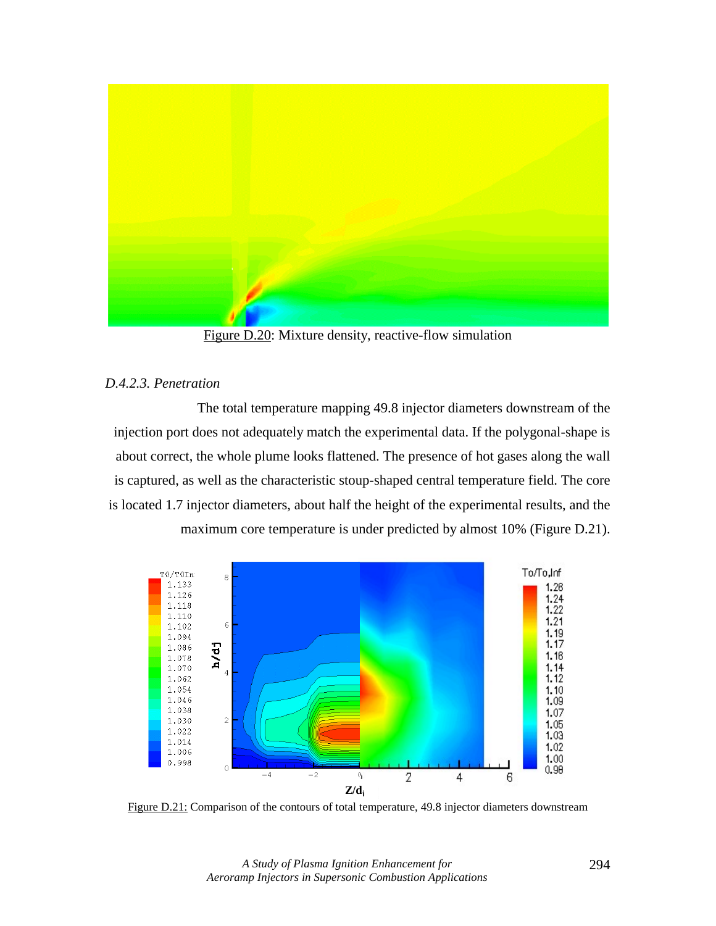

Figure D.20: Mixture density, reactive-flow simulation

# *D.4.2.3. Penetration*

The total temperature mapping 49.8 injector diameters downstream of the injection port does not adequately match the experimental data. If the polygonal-shape is about correct, the whole plume looks flattened. The presence of hot gases along the wall is captured, as well as the characteristic stoup-shaped central temperature field. The core is located 1.7 injector diameters, about half the height of the experimental results, and the maximum core temperature is under predicted by almost 10% (Figure D.21).



Figure D.21: Comparison of the contours of total temperature, 49.8 injector diameters downstream

*A Study of Plasma Ignition Enhancement for Aeroramp Injectors in Supersonic Combustion Applications*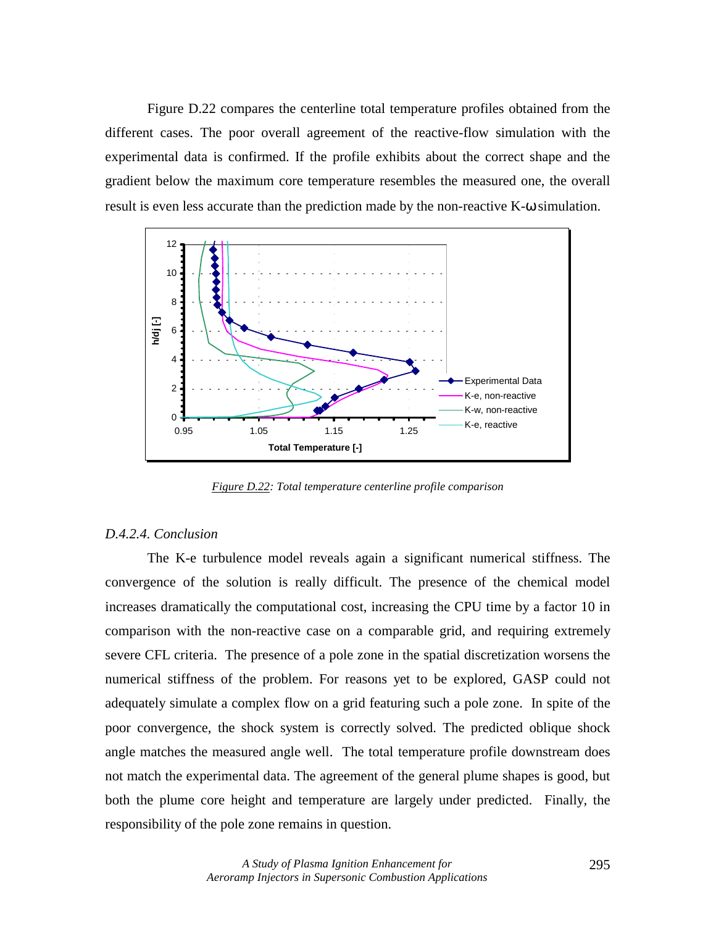Figure D.22 compares the centerline total temperature profiles obtained from the different cases. The poor overall agreement of the reactive-flow simulation with the experimental data is confirmed. If the profile exhibits about the correct shape and the gradient below the maximum core temperature resembles the measured one, the overall result is even less accurate than the prediction made by the non-reactive K-ω simulation.



*Figure D.22: Total temperature centerline profile comparison*

### *D.4.2.4. Conclusion*

The K-e turbulence model reveals again a significant numerical stiffness. The convergence of the solution is really difficult. The presence of the chemical model increases dramatically the computational cost, increasing the CPU time by a factor 10 in comparison with the non-reactive case on a comparable grid, and requiring extremely severe CFL criteria. The presence of a pole zone in the spatial discretization worsens the numerical stiffness of the problem. For reasons yet to be explored, GASP could not adequately simulate a complex flow on a grid featuring such a pole zone. In spite of the poor convergence, the shock system is correctly solved. The predicted oblique shock angle matches the measured angle well. The total temperature profile downstream does not match the experimental data. The agreement of the general plume shapes is good, but both the plume core height and temperature are largely under predicted. Finally, the responsibility of the pole zone remains in question.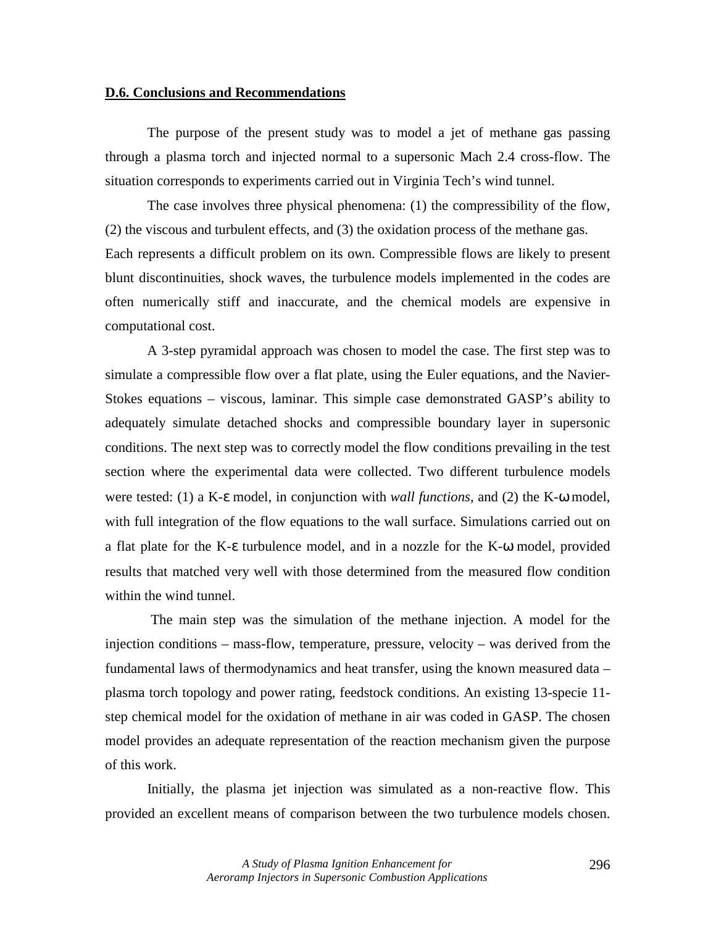#### **D.6. Conclusions and Recommendations**

The purpose of the present study was to model a jet of methane gas passing through a plasma torch and injected normal to a supersonic Mach 2.4 cross-flow. The situation corresponds to experiments carried out in Virginia Tech's wind tunnel.

The case involves three physical phenomena: (1) the compressibility of the flow, (2) the viscous and turbulent effects, and (3) the oxidation process of the methane gas. Each represents a difficult problem on its own. Compressible flows are likely to present blunt discontinuities, shock waves, the turbulence models implemented in the codes are often numerically stiff and inaccurate, and the chemical models are expensive in computational cost.

A 3-step pyramidal approach was chosen to model the case. The first step was to simulate a compressible flow over a flat plate, using the Euler equations, and the Navier-Stokes equations – viscous, laminar. This simple case demonstrated GASP's ability to adequately simulate detached shocks and compressible boundary layer in supersonic conditions. The next step was to correctly model the flow conditions prevailing in the test section where the experimental data were collected. Two different turbulence models were tested: (1) a K-ε model, in conjunction with *wall functions*, and (2) the K-ω model, with full integration of the flow equations to the wall surface. Simulations carried out on a flat plate for the K-ε turbulence model, and in a nozzle for the K-ω model, provided results that matched very well with those determined from the measured flow condition within the wind tunnel.

 The main step was the simulation of the methane injection. A model for the injection conditions – mass-flow, temperature, pressure, velocity – was derived from the fundamental laws of thermodynamics and heat transfer, using the known measured data – plasma torch topology and power rating, feedstock conditions. An existing 13-specie 11 step chemical model for the oxidation of methane in air was coded in GASP. The chosen model provides an adequate representation of the reaction mechanism given the purpose of this work.

Initially, the plasma jet injection was simulated as a non-reactive flow. This provided an excellent means of comparison between the two turbulence models chosen.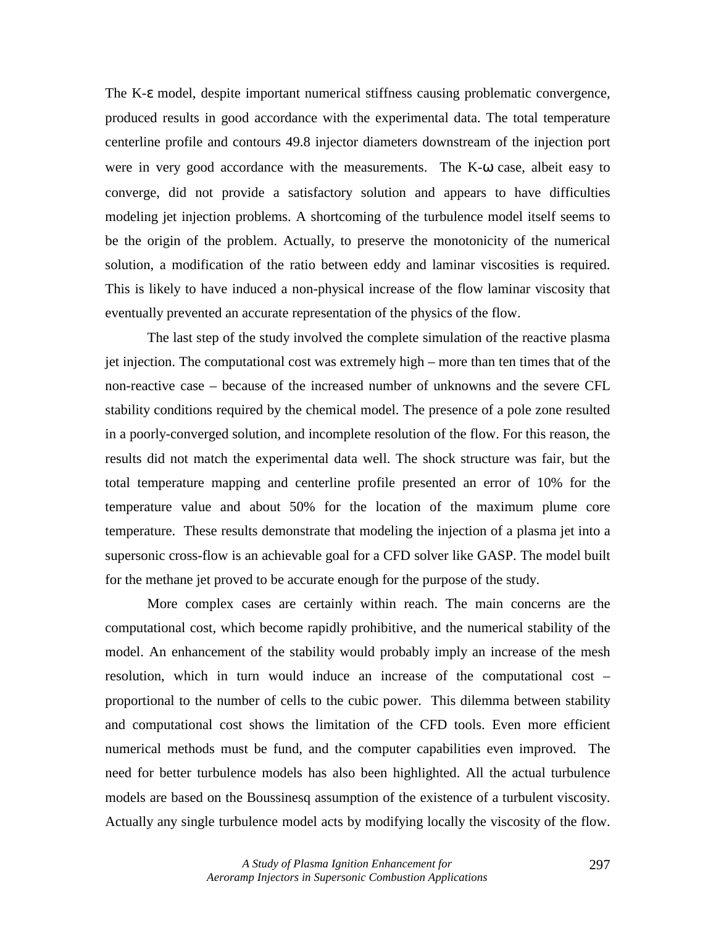The K-ε model, despite important numerical stiffness causing problematic convergence, produced results in good accordance with the experimental data. The total temperature centerline profile and contours 49.8 injector diameters downstream of the injection port were in very good accordance with the measurements. The K-ω case, albeit easy to converge, did not provide a satisfactory solution and appears to have difficulties modeling jet injection problems. A shortcoming of the turbulence model itself seems to be the origin of the problem. Actually, to preserve the monotonicity of the numerical solution, a modification of the ratio between eddy and laminar viscosities is required. This is likely to have induced a non-physical increase of the flow laminar viscosity that eventually prevented an accurate representation of the physics of the flow.

The last step of the study involved the complete simulation of the reactive plasma jet injection. The computational cost was extremely high – more than ten times that of the non-reactive case – because of the increased number of unknowns and the severe CFL stability conditions required by the chemical model. The presence of a pole zone resulted in a poorly-converged solution, and incomplete resolution of the flow. For this reason, the results did not match the experimental data well. The shock structure was fair, but the total temperature mapping and centerline profile presented an error of 10% for the temperature value and about 50% for the location of the maximum plume core temperature. These results demonstrate that modeling the injection of a plasma jet into a supersonic cross-flow is an achievable goal for a CFD solver like GASP. The model built for the methane jet proved to be accurate enough for the purpose of the study.

More complex cases are certainly within reach. The main concerns are the computational cost, which become rapidly prohibitive, and the numerical stability of the model. An enhancement of the stability would probably imply an increase of the mesh resolution, which in turn would induce an increase of the computational cost – proportional to the number of cells to the cubic power. This dilemma between stability and computational cost shows the limitation of the CFD tools. Even more efficient numerical methods must be fund, and the computer capabilities even improved. The need for better turbulence models has also been highlighted. All the actual turbulence models are based on the Boussinesq assumption of the existence of a turbulent viscosity. Actually any single turbulence model acts by modifying locally the viscosity of the flow.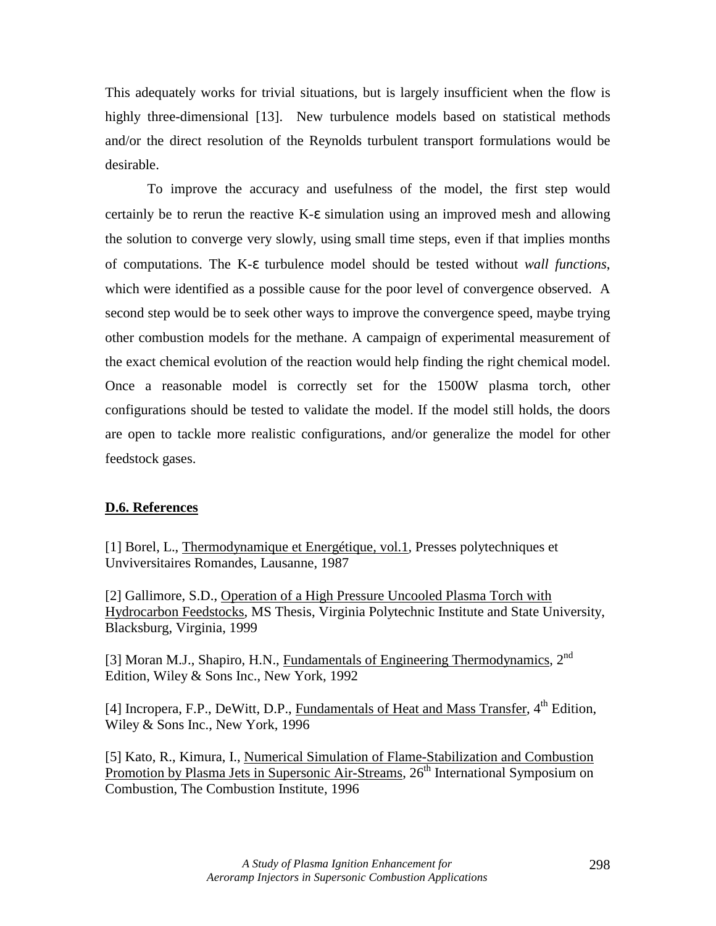This adequately works for trivial situations, but is largely insufficient when the flow is highly three-dimensional [13]. New turbulence models based on statistical methods and/or the direct resolution of the Reynolds turbulent transport formulations would be desirable.

To improve the accuracy and usefulness of the model, the first step would certainly be to rerun the reactive K-ε simulation using an improved mesh and allowing the solution to converge very slowly, using small time steps, even if that implies months of computations. The K-ε turbulence model should be tested without *wall functions*, which were identified as a possible cause for the poor level of convergence observed. A second step would be to seek other ways to improve the convergence speed, maybe trying other combustion models for the methane. A campaign of experimental measurement of the exact chemical evolution of the reaction would help finding the right chemical model. Once a reasonable model is correctly set for the 1500W plasma torch, other configurations should be tested to validate the model. If the model still holds, the doors are open to tackle more realistic configurations, and/or generalize the model for other feedstock gases.

### **D.6. References**

[1] Borel, L., Thermodynamique et Energétique, vol.1, Presses polytechniques et Unviversitaires Romandes, Lausanne, 1987

[2] Gallimore, S.D., Operation of a High Pressure Uncooled Plasma Torch with Hydrocarbon Feedstocks, MS Thesis, Virginia Polytechnic Institute and State University, Blacksburg, Virginia, 1999

[3] Moran M.J., Shapiro, H.N., Fundamentals of Engineering Thermodynamics,  $2^{nd}$ Edition, Wiley & Sons Inc., New York, 1992

[4] Incropera, F.P., DeWitt, D.P., *Fundamentals of Heat and Mass Transfer*, 4<sup>th</sup> Edition, Wiley & Sons Inc., New York, 1996

[5] Kato, R., Kimura, I., Numerical Simulation of Flame-Stabilization and Combustion Promotion by Plasma Jets in Supersonic Air-Streams, 26<sup>th</sup> International Symposium on Combustion, The Combustion Institute, 1996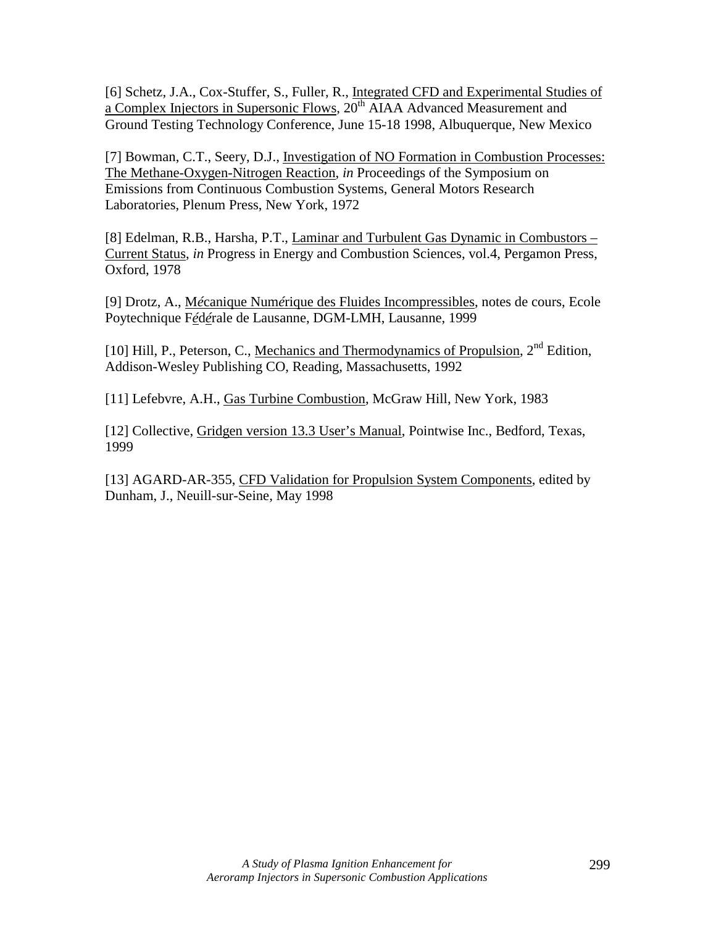[6] Schetz, J.A., Cox-Stuffer, S., Fuller, R., Integrated CFD and Experimental Studies of a Complex Injectors in Supersonic Flows,  $20<sup>th</sup> AIAA$  Advanced Measurement and Ground Testing Technology Conference, June 15-18 1998, Albuquerque, New Mexico

[7] Bowman, C.T., Seery, D.J., Investigation of NO Formation in Combustion Processes: The Methane-Oxygen-Nitrogen Reaction, *in* Proceedings of the Symposium on Emissions from Continuous Combustion Systems, General Motors Research Laboratories, Plenum Press, New York, 1972

[8] Edelman, R.B., Harsha, P.T., Laminar and Turbulent Gas Dynamic in Combustors – Current Status, *in* Progress in Energy and Combustion Sciences, vol.4, Pergamon Press, Oxford, 1978

[9] Drotz, A., M*é*canique Num*é*rique des Fluides Incompressibles, notes de cours, Ecole Poytechnique F*é*d*é*rale de Lausanne, DGM-LMH, Lausanne, 1999

[10] Hill, P., Peterson, C., Mechanics and Thermodynamics of Propulsion, 2<sup>nd</sup> Edition, Addison-Wesley Publishing CO, Reading, Massachusetts, 1992

[11] Lefebvre, A.H., Gas Turbine Combustion, McGraw Hill, New York, 1983

[12] Collective, Gridgen version 13.3 User's Manual, Pointwise Inc., Bedford, Texas, 1999

[13] AGARD-AR-355, CFD Validation for Propulsion System Components, edited by Dunham, J., Neuill-sur-Seine, May 1998